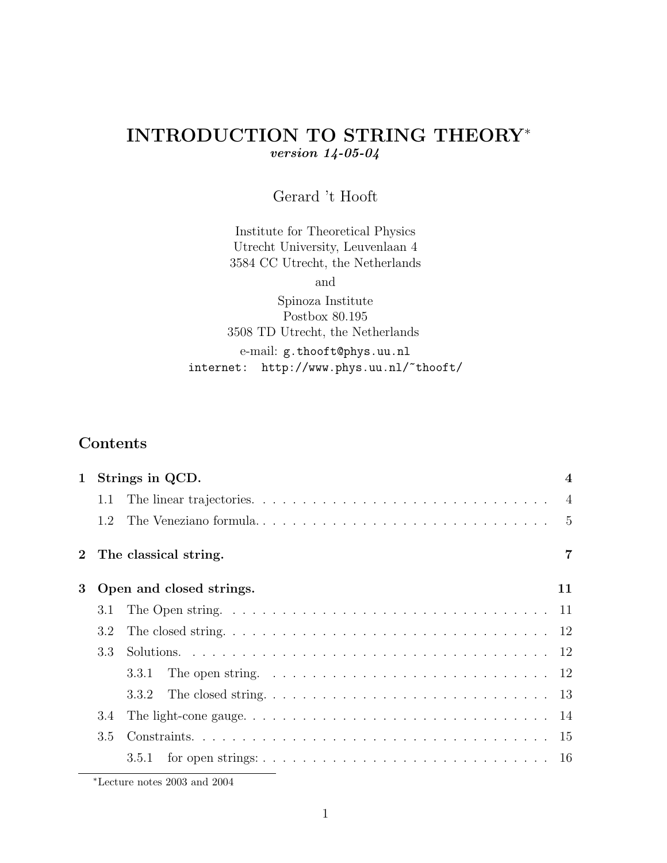# INTRODUCTION TO STRING THEORY<sup>∗</sup> version 14-05-04

# Gerard 't Hooft

Institute for Theoretical Physics Utrecht University, Leuvenlaan 4 3584 CC Utrecht, the Netherlands

and

Spinoza Institute Postbox 80.195 3508 TD Utrecht, the Netherlands e-mail: g.thooft@phys.uu.nl internet: http://www.phys.uu.nl/~thooft/

# Contents

| $\mathbf{1}$ |     | Strings in QCD.          | $\boldsymbol{4}$ |
|--------------|-----|--------------------------|------------------|
|              | 1.1 |                          |                  |
|              | 1.2 |                          | $-5$             |
|              |     | The classical string.    | 7                |
| 3            |     | Open and closed strings. | 11               |
|              | 3.1 |                          |                  |
|              | 3.2 |                          |                  |
|              | 3.3 |                          |                  |
|              |     | 3.3.1                    |                  |
|              |     | 3.3.2                    |                  |
|              | 3.4 |                          |                  |
|              | 3.5 |                          |                  |
|              |     | 3.5.1                    |                  |

<sup>∗</sup>Lecture notes 2003 and 2004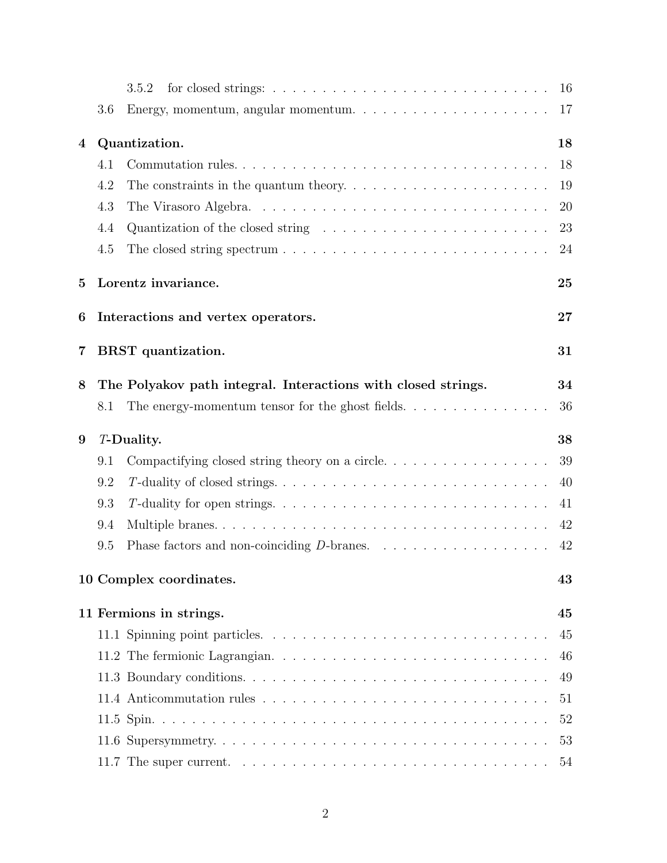|   |     | 3.5.2                                                                                                                              | 16        |
|---|-----|------------------------------------------------------------------------------------------------------------------------------------|-----------|
|   | 3.6 | Energy, momentum, angular momentum.<br>$\hfill\ldots$ $\hfill\ldots$ $\hfill\ldots$ $\hfill\ldots$ $\hfill\ldots$ $\hfill\ldots$ . | 17        |
| 4 |     | Quantization.                                                                                                                      | 18        |
|   | 4.1 | Commutation rules                                                                                                                  | 18        |
|   | 4.2 |                                                                                                                                    | 19        |
|   | 4.3 |                                                                                                                                    | <b>20</b> |
|   | 4.4 | Quantization of the closed string $\ldots \ldots \ldots \ldots \ldots \ldots \ldots \ldots$                                        | 23        |
|   | 4.5 |                                                                                                                                    | 24        |
| 5 |     | Lorentz invariance.                                                                                                                | 25        |
| 6 |     | Interactions and vertex operators.                                                                                                 | 27        |
| 7 |     | BRST quantization.                                                                                                                 | 31        |
| 8 |     | The Polyakov path integral. Interactions with closed strings.                                                                      | 34        |
|   | 8.1 | The energy-momentum tensor for the ghost fields. $\dots \dots \dots \dots \dots$                                                   | 36        |
| 9 |     | <i>T</i> -Duality.                                                                                                                 | 38        |
|   | 9.1 | Compactifying closed string theory on a circle.                                                                                    | 39        |
|   | 9.2 |                                                                                                                                    | 40        |
|   | 9.3 |                                                                                                                                    | 41        |
|   | 9.4 |                                                                                                                                    | 42        |
|   | 9.5 |                                                                                                                                    | 42        |
|   |     | 10 Complex coordinates.                                                                                                            | 43        |
|   |     | 11 Fermions in strings.                                                                                                            | 45        |
|   |     |                                                                                                                                    | 45        |
|   |     |                                                                                                                                    | 46        |
|   |     |                                                                                                                                    | 49        |
|   |     |                                                                                                                                    | 51        |
|   |     |                                                                                                                                    | 52        |
|   |     |                                                                                                                                    | 53        |
|   |     | 11.7 The super current. $\ldots \ldots \ldots \ldots \ldots \ldots \ldots \ldots \ldots \ldots \ldots$                             | 54        |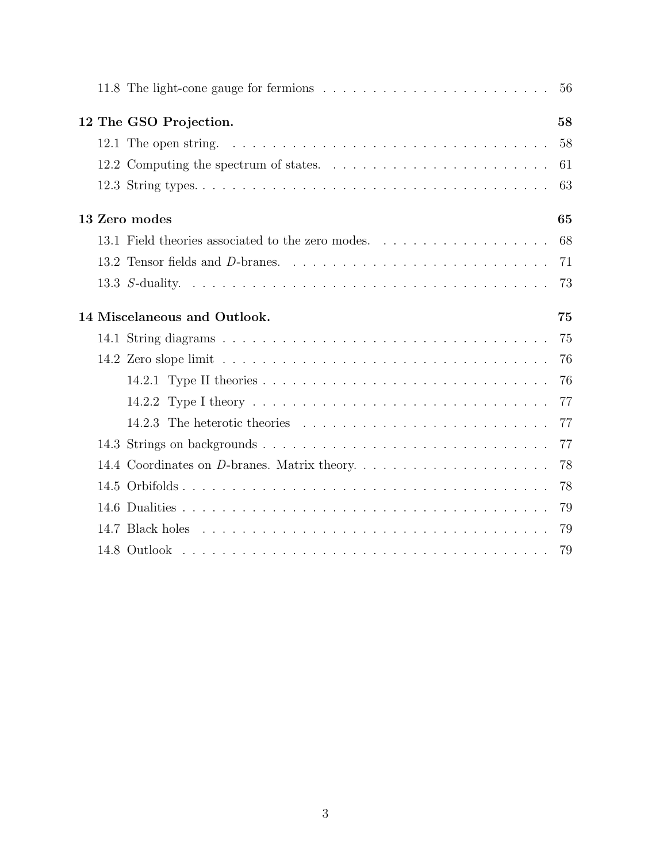|  | 11.8 The light-cone gauge for fermions $\ldots \ldots \ldots \ldots \ldots \ldots \ldots \ldots \ldots 56$ |    |
|--|------------------------------------------------------------------------------------------------------------|----|
|  | 12 The GSO Projection.                                                                                     | 58 |
|  | 12.1 The open string. $\ldots \ldots \ldots \ldots \ldots \ldots \ldots \ldots \ldots \ldots \ldots$       | 58 |
|  |                                                                                                            | 61 |
|  |                                                                                                            | 63 |
|  | 13 Zero modes                                                                                              | 65 |
|  |                                                                                                            |    |
|  |                                                                                                            | 71 |
|  |                                                                                                            | 73 |
|  | 14 Miscelaneous and Outlook.                                                                               | 75 |
|  |                                                                                                            | 75 |
|  |                                                                                                            | 76 |
|  |                                                                                                            | 76 |
|  |                                                                                                            | 77 |
|  |                                                                                                            | 77 |
|  |                                                                                                            | 77 |
|  |                                                                                                            | 78 |
|  |                                                                                                            | 78 |
|  |                                                                                                            | 79 |
|  |                                                                                                            |    |
|  |                                                                                                            |    |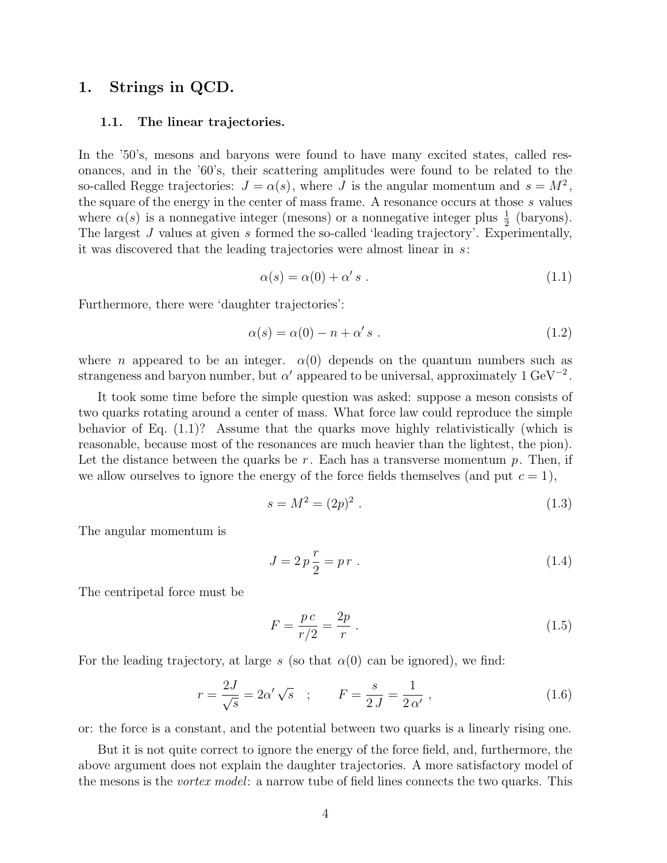## 1. Strings in QCD.

#### 1.1. The linear trajectories.

In the '50's, mesons and baryons were found to have many excited states, called resonances, and in the '60's, their scattering amplitudes were found to be related to the so-called Regge trajectories:  $J = \alpha(s)$ , where J is the angular momentum and  $s = M^2$ , the square of the energy in the center of mass frame. A resonance occurs at those s values where  $\alpha(s)$  is a nonnegative integer (mesons) or a nonnegative integer plus  $\frac{1}{2}$  (baryons). The largest J values at given s formed the so-called 'leading trajectory'. Experimentally, it was discovered that the leading trajectories were almost linear in s:

$$
\alpha(s) = \alpha(0) + \alpha' s . \tag{1.1}
$$

Furthermore, there were 'daughter trajectories':

$$
\alpha(s) = \alpha(0) - n + \alpha' s . \tag{1.2}
$$

where *n* appeared to be an integer.  $\alpha(0)$  depends on the quantum numbers such as strangeness and baryon number, but  $\alpha'$  appeared to be universal, approximately 1 GeV<sup>-2</sup>.

It took some time before the simple question was asked: suppose a meson consists of two quarks rotating around a center of mass. What force law could reproduce the simple behavior of Eq. (1.1)? Assume that the quarks move highly relativistically (which is reasonable, because most of the resonances are much heavier than the lightest, the pion). Let the distance between the quarks be  $r$ . Each has a transverse momentum  $p$ . Then, if we allow ourselves to ignore the energy of the force fields themselves (and put  $c = 1$ ),

$$
s = M^2 = (2p)^2 \tag{1.3}
$$

The angular momentum is

$$
J = 2p\frac{r}{2} = pr.
$$
 (1.4)

The centripetal force must be

$$
F = \frac{pc}{r/2} = \frac{2p}{r} \ . \tag{1.5}
$$

For the leading trajectory, at large s (so that  $\alpha(0)$  can be ignored), we find:

$$
r = \frac{2J}{\sqrt{s}} = 2\alpha' \sqrt{s}
$$
;  $F = \frac{s}{2J} = \frac{1}{2\alpha'}$ , (1.6)

or: the force is a constant, and the potential between two quarks is a linearly rising one.

But it is not quite correct to ignore the energy of the force field, and, furthermore, the above argument does not explain the daughter trajectories. A more satisfactory model of the mesons is the *vortex model*: a narrow tube of field lines connects the two quarks. This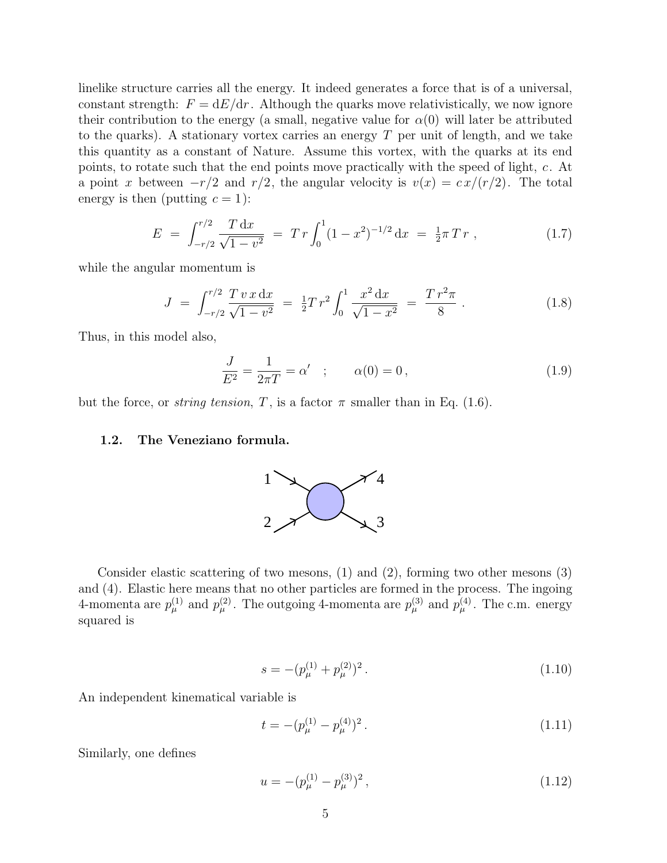linelike structure carries all the energy. It indeed generates a force that is of a universal, constant strength:  $F = dE/dr$ . Although the quarks move relativistically, we now ignore their contribution to the energy (a small, negative value for  $\alpha(0)$  will later be attributed to the quarks). A stationary vortex carries an energy  $T$  per unit of length, and we take this quantity as a constant of Nature. Assume this vortex, with the quarks at its end points, to rotate such that the end points move practically with the speed of light, c. At a point x between  $-r/2$  and  $r/2$ , the angular velocity is  $v(x) = c x/(r/2)$ . The total energy is then (putting  $c = 1$ ):

$$
E = \int_{-r/2}^{r/2} \frac{T dx}{\sqrt{1 - v^2}} = Tr \int_0^1 (1 - x^2)^{-1/2} dx = \frac{1}{2} \pi Tr , \qquad (1.7)
$$

while the angular momentum is

$$
J = \int_{-r/2}^{r/2} \frac{T v x dx}{\sqrt{1 - v^2}} = \frac{1}{2} Tr^2 \int_0^1 \frac{x^2 dx}{\sqrt{1 - x^2}} = \frac{T r^2 \pi}{8} . \tag{1.8}
$$

Thus, in this model also,

$$
\frac{J}{E^2} = \frac{1}{2\pi T} = \alpha' \quad ; \qquad \alpha(0) = 0 \,, \tag{1.9}
$$

but the force, or *string tension*, T, is a factor  $\pi$  smaller than in Eq. (1.6).

#### 1.2. The Veneziano formula.



Consider elastic scattering of two mesons, (1) and (2), forming two other mesons (3) and (4). Elastic here means that no other particles are formed in the process. The ingoing 4-momenta are  $p_{\mu}^{(1)}$  and  $p_{\mu}^{(2)}$ . The outgoing 4-momenta are  $p_{\mu}^{(3)}$  and  $p_{\mu}^{(4)}$ . The c.m. energy squared is

$$
s = -(p_{\mu}^{(1)} + p_{\mu}^{(2)})^2.
$$
\n(1.10)

An independent kinematical variable is

$$
t = -(p_{\mu}^{(1)} - p_{\mu}^{(4)})^2.
$$
\n(1.11)

Similarly, one defines

$$
u = -(p_{\mu}^{(1)} - p_{\mu}^{(3)})^2, \qquad (1.12)
$$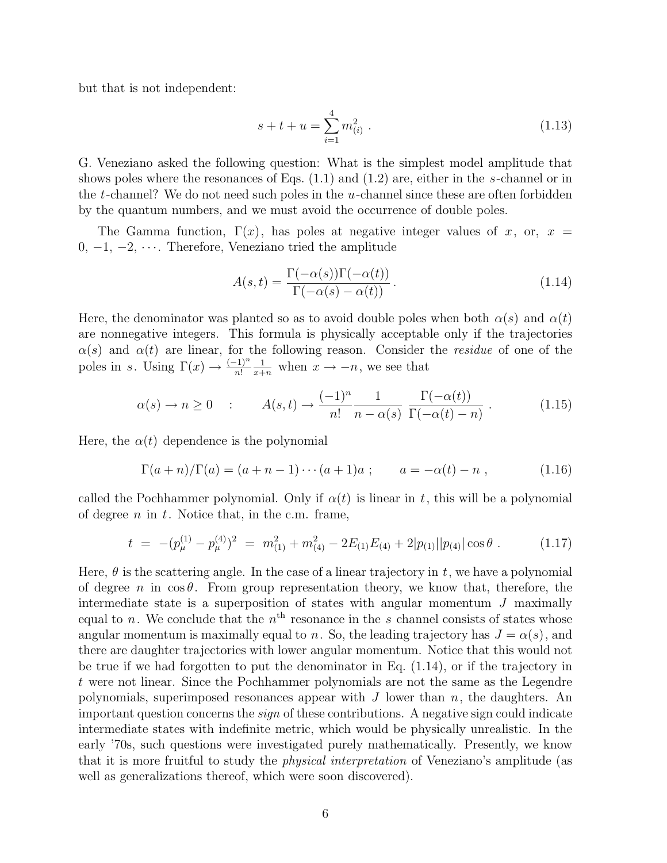but that is not independent:

$$
s + t + u = \sum_{i=1}^{4} m_{(i)}^{2} . \qquad (1.13)
$$

G. Veneziano asked the following question: What is the simplest model amplitude that shows poles where the resonances of Eqs.  $(1.1)$  and  $(1.2)$  are, either in the s-channel or in the t-channel? We do not need such poles in the  $u$ -channel since these are often forbidden by the quantum numbers, and we must avoid the occurrence of double poles.

The Gamma function,  $\Gamma(x)$ , has poles at negative integer values of x, or,  $x =$ 0,  $-1$ ,  $-2$ ,  $\cdots$ . Therefore, Veneziano tried the amplitude

$$
A(s,t) = \frac{\Gamma(-\alpha(s))\Gamma(-\alpha(t))}{\Gamma(-\alpha(s) - \alpha(t))}.
$$
\n(1.14)

Here, the denominator was planted so as to avoid double poles when both  $\alpha(s)$  and  $\alpha(t)$ are nonnegative integers. This formula is physically acceptable only if the trajectories  $\alpha(s)$  and  $\alpha(t)$  are linear, for the following reason. Consider the *residue* of one of the poles in s. Using  $\Gamma(x) \to \frac{(-1)^n}{n!}$  $\frac{1}{x+n}$  when  $x \to -n$ , we see that

$$
\alpha(s) \to n \ge 0 \quad : \qquad A(s,t) \to \frac{(-1)^n}{n!} \frac{1}{n - \alpha(s)} \frac{\Gamma(-\alpha(t))}{\Gamma(-\alpha(t) - n)} \ . \tag{1.15}
$$

Here, the  $\alpha(t)$  dependence is the polynomial

$$
\Gamma(a+n)/\Gamma(a) = (a+n-1)\cdots(a+1)a ; \qquad a = -\alpha(b)-n , \qquad (1.16)
$$

called the Pochhammer polynomial. Only if  $\alpha(t)$  is linear in t, this will be a polynomial of degree  $n$  in  $t$ . Notice that, in the c.m. frame,

$$
t = -(p_{\mu}^{(1)} - p_{\mu}^{(4)})^2 = m_{(1)}^2 + m_{(4)}^2 - 2E_{(1)}E_{(4)} + 2|p_{(1)}||p_{(4)}|\cos\theta.
$$
 (1.17)

Here,  $\theta$  is the scattering angle. In the case of a linear trajectory in t, we have a polynomial of degree n in  $\cos \theta$ . From group representation theory, we know that, therefore, the intermediate state is a superposition of states with angular momentum  $J$  maximally equal to n. We conclude that the  $n<sup>th</sup>$  resonance in the s channel consists of states whose angular momentum is maximally equal to n. So, the leading trajectory has  $J = \alpha(s)$ , and there are daughter trajectories with lower angular momentum. Notice that this would not be true if we had forgotten to put the denominator in Eq.  $(1.14)$ , or if the trajectory in t were not linear. Since the Pochhammer polynomials are not the same as the Legendre polynomials, superimposed resonances appear with  $J$  lower than  $n$ , the daughters. An important question concerns the sign of these contributions. A negative sign could indicate intermediate states with indefinite metric, which would be physically unrealistic. In the early '70s, such questions were investigated purely mathematically. Presently, we know that it is more fruitful to study the physical interpretation of Veneziano's amplitude (as well as generalizations thereof, which were soon discovered).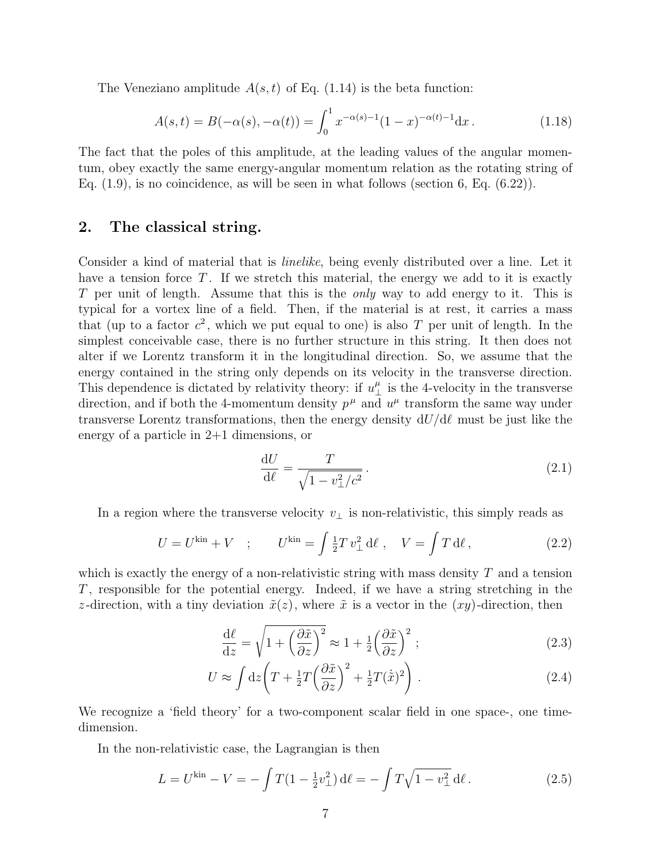The Veneziano amplitude  $A(s,t)$  of Eq. (1.14) is the beta function:

$$
A(s,t) = B(-\alpha(s), -\alpha(t)) = \int_0^1 x^{-\alpha(s)-1} (1-x)^{-\alpha(t)-1} dx.
$$
 (1.18)

The fact that the poles of this amplitude, at the leading values of the angular momentum, obey exactly the same energy-angular momentum relation as the rotating string of Eq.  $(1.9)$ , is no coincidence, as will be seen in what follows (section 6, Eq.  $(6.22)$ ).

# 2. The classical string.

Consider a kind of material that is *linelike*, being evenly distributed over a line. Let it have a tension force  $T$ . If we stretch this material, the energy we add to it is exactly T per unit of length. Assume that this is the *only* way to add energy to it. This is typical for a vortex line of a field. Then, if the material is at rest, it carries a mass that (up to a factor  $c^2$ , which we put equal to one) is also T per unit of length. In the simplest conceivable case, there is no further structure in this string. It then does not alter if we Lorentz transform it in the longitudinal direction. So, we assume that the energy contained in the string only depends on its velocity in the transverse direction. This dependence is dictated by relativity theory: if  $u^{\mu}_{\perp}$  is the 4-velocity in the transverse direction, and if both the 4-momentum density  $p^{\mu}$  and  $u^{\mu}$  transform the same way under transverse Lorentz transformations, then the energy density  $dU/d\ell$  must be just like the energy of a particle in 2+1 dimensions, or

$$
\frac{\mathrm{d}U}{\mathrm{d}\ell} = \frac{T}{\sqrt{1 - v_\perp^2/c^2}}.\tag{2.1}
$$

In a region where the transverse velocity  $v_{\perp}$  is non-relativistic, this simply reads as

$$
U = U^{\rm kin} + V \quad ; \qquad U^{\rm kin} = \int \frac{1}{2} T v_{\perp}^2 d\ell \ , \quad V = \int T d\ell \,, \tag{2.2}
$$

which is exactly the energy of a non-relativistic string with mass density  $T$  and a tension T , responsible for the potential energy. Indeed, if we have a string stretching in the z-direction, with a tiny deviation  $\tilde{x}(z)$ , where  $\tilde{x}$  is a vector in the  $(xy)$ -direction, then

$$
\frac{d\ell}{dz} = \sqrt{1 + \left(\frac{\partial \tilde{x}}{\partial z}\right)^2} \approx 1 + \frac{1}{2} \left(\frac{\partial \tilde{x}}{\partial z}\right)^2; \tag{2.3}
$$

$$
U \approx \int dz \left( T + \frac{1}{2} T \left( \frac{\partial \tilde{x}}{\partial z} \right)^2 + \frac{1}{2} T (\dot{\tilde{x}})^2 \right) . \tag{2.4}
$$

We recognize a 'field theory' for a two-component scalar field in one space-, one timedimension.

In the non-relativistic case, the Lagrangian is then

$$
L = U^{\text{kin}} - V = -\int T(1 - \frac{1}{2}v_{\perp}^2) \, d\ell = -\int T\sqrt{1 - v_{\perp}^2} \, d\ell \,. \tag{2.5}
$$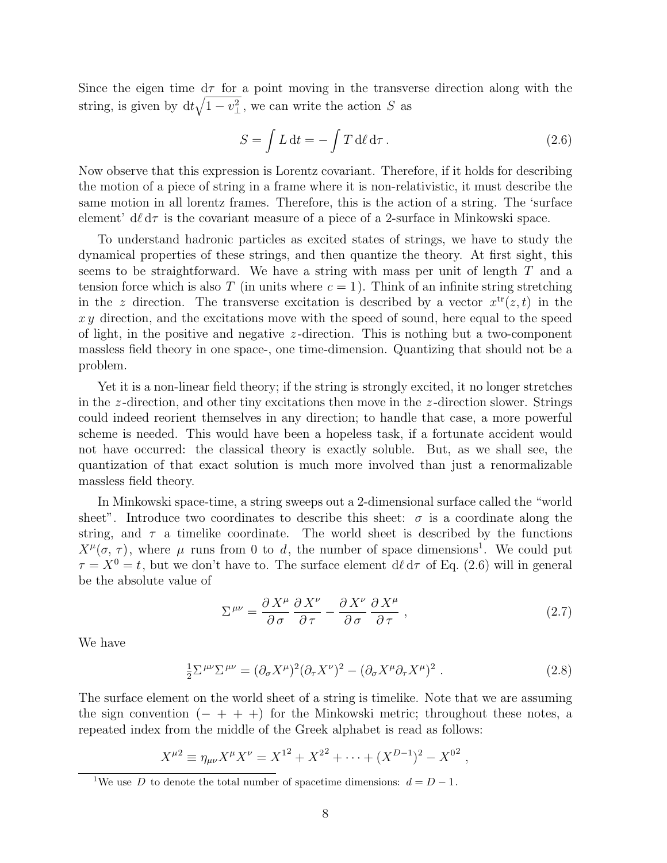Since the eigen time  $d\tau$  for a point moving in the transverse direction along with the string, is given by  $dt\sqrt{1-v_{\perp}^2}$ , we can write the action S as

$$
S = \int L dt = -\int T d\ell d\tau. \qquad (2.6)
$$

Now observe that this expression is Lorentz covariant. Therefore, if it holds for describing the motion of a piece of string in a frame where it is non-relativistic, it must describe the same motion in all lorentz frames. Therefore, this is the action of a string. The 'surface element'  $d\ell d\tau$  is the covariant measure of a piece of a 2-surface in Minkowski space.

To understand hadronic particles as excited states of strings, we have to study the dynamical properties of these strings, and then quantize the theory. At first sight, this seems to be straightforward. We have a string with mass per unit of length  $T$  and a tension force which is also T (in units where  $c = 1$ ). Think of an infinite string stretching in the z direction. The transverse excitation is described by a vector  $x^{\text{tr}}(z, t)$  in the  $xy$  direction, and the excitations move with the speed of sound, here equal to the speed of light, in the positive and negative  $z$ -direction. This is nothing but a two-component massless field theory in one space-, one time-dimension. Quantizing that should not be a problem.

Yet it is a non-linear field theory; if the string is strongly excited, it no longer stretches in the z-direction, and other tiny excitations then move in the z-direction slower. Strings could indeed reorient themselves in any direction; to handle that case, a more powerful scheme is needed. This would have been a hopeless task, if a fortunate accident would not have occurred: the classical theory is exactly soluble. But, as we shall see, the quantization of that exact solution is much more involved than just a renormalizable massless field theory.

In Minkowski space-time, a string sweeps out a 2-dimensional surface called the "world sheet". Introduce two coordinates to describe this sheet:  $\sigma$  is a coordinate along the string, and  $\tau$  a timelike coordinate. The world sheet is described by the functions  $X^{\mu}(\sigma, \tau)$ , where  $\mu$  runs from 0 to d, the number of space dimensions<sup>1</sup>. We could put  $\tau = X^0 = t$ , but we don't have to. The surface element  $d\ell d\tau$  of Eq. (2.6) will in general be the absolute value of

$$
\Sigma^{\mu\nu} = \frac{\partial X^{\mu}}{\partial \sigma} \frac{\partial X^{\nu}}{\partial \tau} - \frac{\partial X^{\nu}}{\partial \sigma} \frac{\partial X^{\mu}}{\partial \tau} , \qquad (2.7)
$$

We have

$$
\frac{1}{2}\Sigma^{\mu\nu}\Sigma^{\mu\nu} = (\partial_{\sigma}X^{\mu})^2(\partial_{\tau}X^{\nu})^2 - (\partial_{\sigma}X^{\mu}\partial_{\tau}X^{\mu})^2.
$$
 (2.8)

The surface element on the world sheet of a string is timelike. Note that we are assuming the sign convention  $(- + + +)$  for the Minkowski metric; throughout these notes, a repeated index from the middle of the Greek alphabet is read as follows:

$$
X^{\mu 2} \equiv \eta_{\mu\nu} X^{\mu} X^{\nu} = X^{1^2} + X^{2^2} + \dots + (X^{D-1})^2 - X^{0^2} ,
$$

<sup>&</sup>lt;sup>1</sup>We use D to denote the total number of spacetime dimensions:  $d = D - 1$ .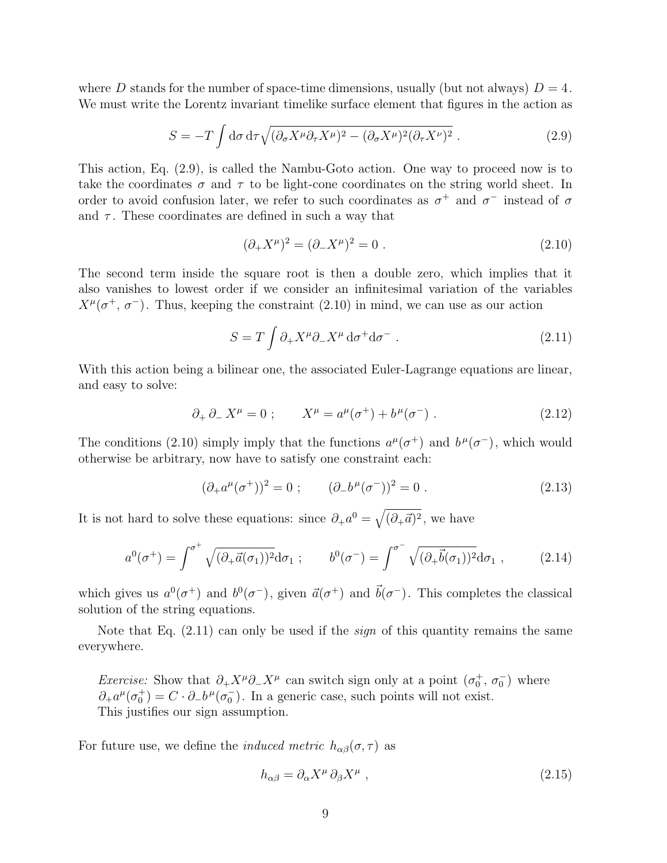where D stands for the number of space-time dimensions, usually (but not always)  $D = 4$ . We must write the Lorentz invariant timelike surface element that figures in the action as

$$
S = -T \int d\sigma \, d\tau \sqrt{(\partial_{\sigma} X^{\mu} \partial_{\tau} X^{\mu})^2 - (\partial_{\sigma} X^{\mu})^2 (\partial_{\tau} X^{\nu})^2} . \tag{2.9}
$$

This action, Eq. (2.9), is called the Nambu-Goto action. One way to proceed now is to take the coordinates  $\sigma$  and  $\tau$  to be light-cone coordinates on the string world sheet. In order to avoid confusion later, we refer to such coordinates as  $\sigma^+$  and  $\sigma^-$  instead of  $\sigma$ and  $\tau$ . These coordinates are defined in such a way that

$$
(\partial_+ X^\mu)^2 = (\partial_- X^\mu)^2 = 0.
$$
\n(2.10)

The second term inside the square root is then a double zero, which implies that it also vanishes to lowest order if we consider an infinitesimal variation of the variables  $X^{\mu}(\sigma^+,\sigma^-)$ . Thus, keeping the constraint (2.10) in mind, we can use as our action

$$
S = T \int \partial_{+} X^{\mu} \partial_{-} X^{\mu} d\sigma^{+} d\sigma^{-} . \qquad (2.11)
$$

With this action being a bilinear one, the associated Euler-Lagrange equations are linear, and easy to solve:

$$
\partial_+ \partial_- X^\mu = 0
$$
;  $X^\mu = a^\mu (\sigma^+) + b^\mu (\sigma^-)$ . (2.12)

The conditions (2.10) simply imply that the functions  $a^{\mu}(\sigma^+)$  and  $b^{\mu}(\sigma^-)$ , which would otherwise be arbitrary, now have to satisfy one constraint each:

$$
(\partial_{+}a^{\mu}(\sigma^{+}))^{2} = 0 ; \qquad (\partial_{-}b^{\mu}(\sigma^{-}))^{2} = 0 . \qquad (2.13)
$$

It is not hard to solve these equations: since  $\partial_+ a^0 =$  $\mathcal{L}$  $(\partial_{+}\vec{a})^2$ , we have

$$
a^0(\sigma^+) = \int^{\sigma^+} \sqrt{(\partial_+ \vec{a}(\sigma_1))^2} d\sigma_1 ; \qquad b^0(\sigma^-) = \int^{\sigma^-} \sqrt{(\partial_+ \vec{b}(\sigma_1))^2} d\sigma_1 , \qquad (2.14)
$$

which gives us  $a^0(\sigma^+)$  and  $b^0(\sigma^-)$ , given  $\vec{a}(\sigma^+)$  and  $\vec{b}(\sigma^-)$ . This completes the classical solution of the string equations.

Note that Eq.  $(2.11)$  can only be used if the *sign* of this quantity remains the same everywhere.

*Exercise:* Show that  $\partial_+ X^{\mu} \partial_- X^{\mu}$  can switch sign only at a point  $(\sigma_0^+, \sigma_0^-)$  where  $\partial_+ a^{\mu} (\sigma_0^+) = C \cdot \partial_- b^{\mu} (\sigma_0^-)$ . In a generic case, such points will not exist. This justifies our sign assumption.

For future use, we define the *induced metric*  $h_{\alpha\beta}(\sigma, \tau)$  as

$$
h_{\alpha\beta} = \partial_{\alpha} X^{\mu} \partial_{\beta} X^{\mu} , \qquad (2.15)
$$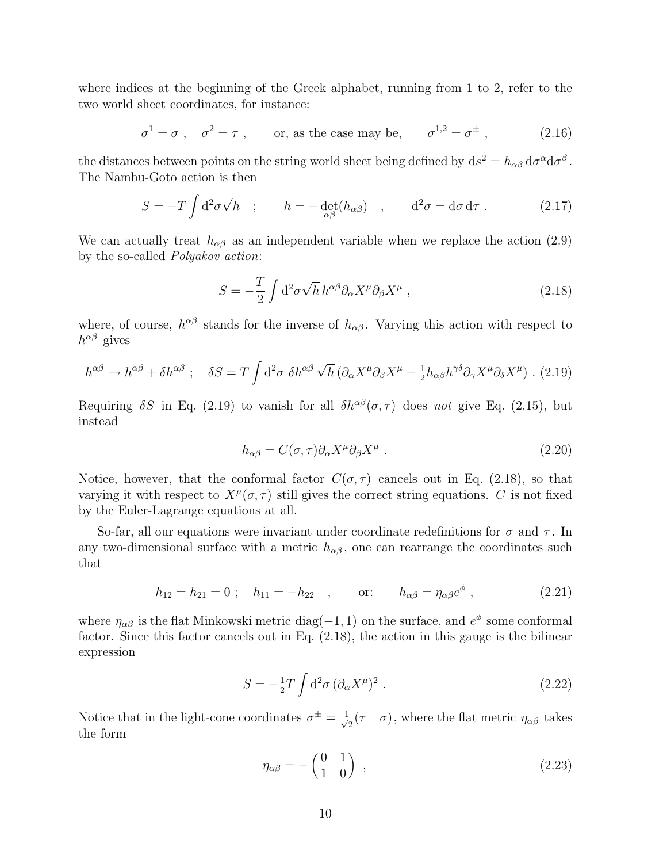where indices at the beginning of the Greek alphabet, running from 1 to 2, refer to the two world sheet coordinates, for instance:

$$
\sigma^1 = \sigma
$$
,  $\sigma^2 = \tau$ , or, as the case may be,  $\sigma^{1,2} = \sigma^{\pm}$ , (2.16)

the distances between points on the string world sheet being defined by  $ds^2 = h_{\alpha\beta} d\sigma^{\alpha} d\sigma^{\beta}$ . The Nambu-Goto action is then

$$
S = -T \int d^2 \sigma \sqrt{h} \quad ; \qquad h = -\det_{\alpha \beta}(h_{\alpha \beta}) \quad , \qquad d^2 \sigma = d \sigma d \tau \ . \tag{2.17}
$$

We can actually treat  $h_{\alpha\beta}$  as an independent variable when we replace the action (2.9) by the so-called Polyakov action:

$$
S = -\frac{T}{2} \int d^2 \sigma \sqrt{h} \, h^{\alpha \beta} \partial_\alpha X^\mu \partial_\beta X^\mu \,, \tag{2.18}
$$

where, of course,  $h^{\alpha\beta}$  stands for the inverse of  $h_{\alpha\beta}$ . Varying this action with respect to  $h^{\alpha\beta}$  gives

$$
h^{\alpha\beta} \to h^{\alpha\beta} + \delta h^{\alpha\beta} \; ; \quad \delta S = T \int d^2 \sigma \; \delta h^{\alpha\beta} \sqrt{h} \left( \partial_\alpha X^\mu \partial_\beta X^\mu - \frac{1}{2} h_{\alpha\beta} h^{\gamma\delta} \partial_\gamma X^\mu \partial_\delta X^\mu \right) .
$$
 (2.19)

Requiring  $\delta S$  in Eq. (2.19) to vanish for all  $\delta h^{\alpha\beta}(\sigma, \tau)$  does not give Eq. (2.15), but instead

$$
h_{\alpha\beta} = C(\sigma, \tau) \partial_{\alpha} X^{\mu} \partial_{\beta} X^{\mu} . \tag{2.20}
$$

Notice, however, that the conformal factor  $C(\sigma, \tau)$  cancels out in Eq. (2.18), so that varying it with respect to  $X^{\mu}(\sigma, \tau)$  still gives the correct string equations. C is not fixed by the Euler-Lagrange equations at all.

So-far, all our equations were invariant under coordinate redefinitions for  $\sigma$  and  $\tau$ . In any two-dimensional surface with a metric  $h_{\alpha\beta}$ , one can rearrange the coordinates such that

$$
h_{12} = h_{21} = 0 \; ; \quad h_{11} = -h_{22} \quad , \qquad \text{or:} \qquad h_{\alpha\beta} = \eta_{\alpha\beta} e^{\phi} \; , \tag{2.21}
$$

where  $\eta_{\alpha\beta}$  is the flat Minkowski metric diag(-1, 1) on the surface, and  $e^{\phi}$  some conformal factor. Since this factor cancels out in Eq. (2.18), the action in this gauge is the bilinear expression

$$
S = -\frac{1}{2}T \int d^2\sigma \, (\partial_\alpha X^\mu)^2 \; . \tag{2.22}
$$

Notice that in the light-cone coordinates  $\sigma^{\pm} = \frac{1}{\sqrt{2}}$  $\overline{z}(\tau \pm \sigma)$ , where the flat metric  $\eta_{\alpha\beta}$  takes the form

$$
\eta_{\alpha\beta} = -\begin{pmatrix} 0 & 1 \\ 1 & 0 \end{pmatrix} , \qquad (2.23)
$$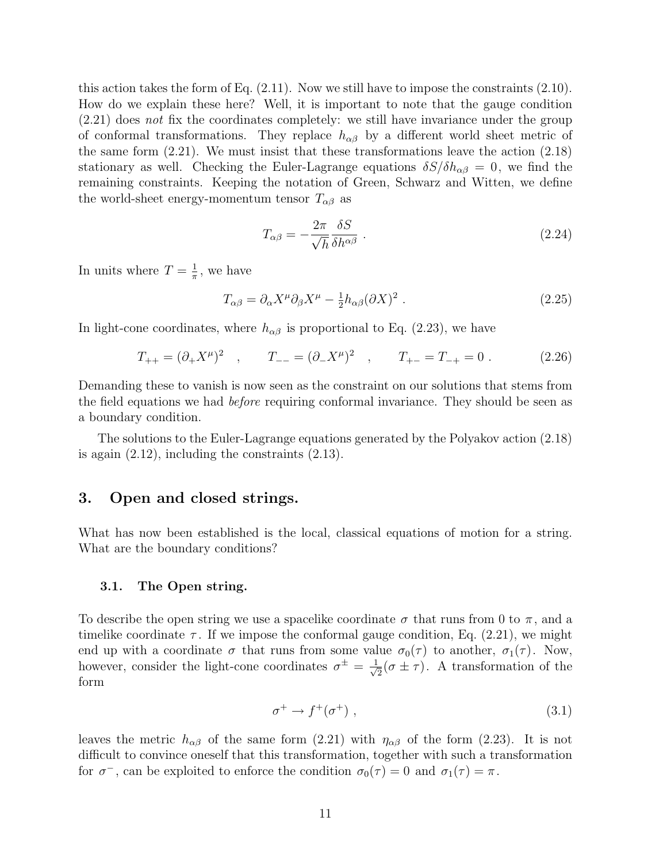this action takes the form of Eq. (2.11). Now we still have to impose the constraints (2.10). How do we explain these here? Well, it is important to note that the gauge condition (2.21) does not fix the coordinates completely: we still have invariance under the group of conformal transformations. They replace  $h_{\alpha\beta}$  by a different world sheet metric of the same form (2.21). We must insist that these transformations leave the action (2.18) stationary as well. Checking the Euler-Lagrange equations  $\delta S/\delta h_{\alpha\beta} = 0$ , we find the remaining constraints. Keeping the notation of Green, Schwarz and Witten, we define the world-sheet energy-momentum tensor  $T_{\alpha\beta}$  as

$$
T_{\alpha\beta} = -\frac{2\pi}{\sqrt{h}} \frac{\delta S}{\delta h^{\alpha\beta}} \tag{2.24}
$$

In units where  $T = \frac{1}{\pi}$  $\frac{1}{\pi}$ , we have

$$
T_{\alpha\beta} = \partial_{\alpha} X^{\mu} \partial_{\beta} X^{\mu} - \frac{1}{2} h_{\alpha\beta} (\partial X)^2 . \qquad (2.25)
$$

In light-cone coordinates, where  $h_{\alpha\beta}$  is proportional to Eq. (2.23), we have

$$
T_{++} = (\partial_+ X^\mu)^2 \quad , \qquad T_{--} = (\partial_- X^\mu)^2 \quad , \qquad T_{+-} = T_{-+} = 0 \; . \tag{2.26}
$$

Demanding these to vanish is now seen as the constraint on our solutions that stems from the field equations we had before requiring conformal invariance. They should be seen as a boundary condition.

The solutions to the Euler-Lagrange equations generated by the Polyakov action (2.18) is again  $(2.12)$ , including the constraints  $(2.13)$ .

# 3. Open and closed strings.

What has now been established is the local, classical equations of motion for a string. What are the boundary conditions?

#### 3.1. The Open string.

To describe the open string we use a spacelike coordinate  $\sigma$  that runs from 0 to  $\pi$ , and a timelike coordinate  $\tau$ . If we impose the conformal gauge condition, Eq. (2.21), we might end up with a coordinate  $\sigma$  that runs from some value  $\sigma_0(\tau)$  to another,  $\sigma_1(\tau)$ . Now, however, consider the light-cone coordinates  $\sigma^{\pm} = \frac{1}{\sqrt{2}}$  $\frac{1}{2}(\sigma \pm \tau)$ . A transformation of the form

$$
\sigma^+ \to f^+(\sigma^+) \tag{3.1}
$$

leaves the metric  $h_{\alpha\beta}$  of the same form (2.21) with  $\eta_{\alpha\beta}$  of the form (2.23). It is not difficult to convince oneself that this transformation, together with such a transformation for  $\sigma^-$ , can be exploited to enforce the condition  $\sigma_0(\tau) = 0$  and  $\sigma_1(\tau) = \pi$ .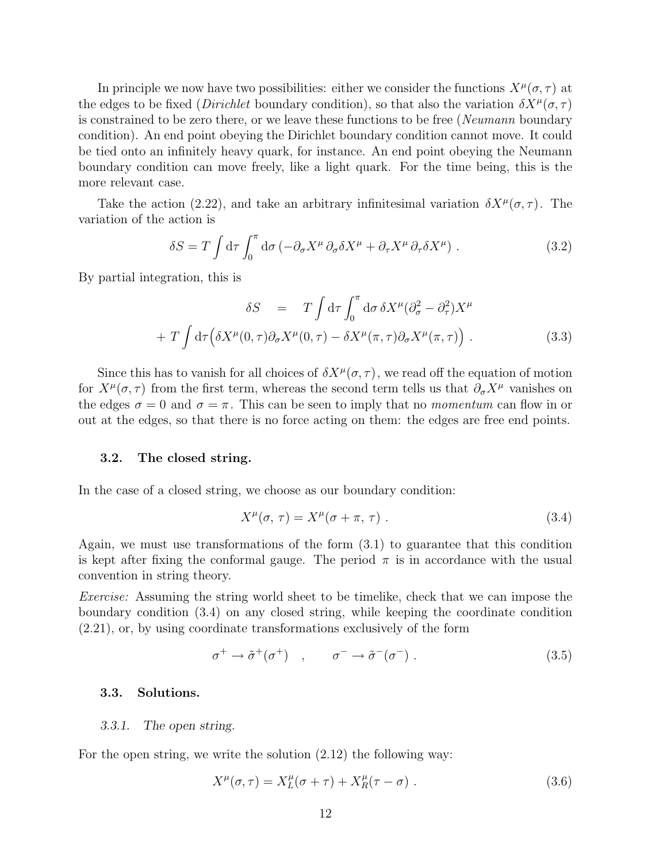In principle we now have two possibilities: either we consider the functions  $X^{\mu}(\sigma, \tau)$  at the edges to be fixed (*Dirichlet* boundary condition), so that also the variation  $\delta X^{\mu}(\sigma, \tau)$ is constrained to be zero there, or we leave these functions to be free (*Neumann* boundary condition). An end point obeying the Dirichlet boundary condition cannot move. It could be tied onto an infinitely heavy quark, for instance. An end point obeying the Neumann boundary condition can move freely, like a light quark. For the time being, this is the more relevant case.

Take the action (2.22), and take an arbitrary infinitesimal variation  $\delta X^{\mu}(\sigma, \tau)$ . The variation of the action is

$$
\delta S = T \int d\tau \int_0^{\pi} d\sigma \left( -\partial_{\sigma} X^{\mu} \partial_{\sigma} \delta X^{\mu} + \partial_{\tau} X^{\mu} \partial_{\tau} \delta X^{\mu} \right).
$$
 (3.2)

By partial integration, this is

$$
\delta S = T \int d\tau \int_0^{\pi} d\sigma \, \delta X^{\mu} (\partial_{\sigma}^2 - \partial_{\tau}^2) X^{\mu} + T \int d\tau \Big( \delta X^{\mu} (0, \tau) \partial_{\sigma} X^{\mu} (0, \tau) - \delta X^{\mu} (\pi, \tau) \partial_{\sigma} X^{\mu} (\pi, \tau) \Big) .
$$
 (3.3)

Since this has to vanish for all choices of  $\delta X^{\mu}(\sigma, \tau)$ , we read off the equation of motion for  $X^{\mu}(\sigma, \tau)$  from the first term, whereas the second term tells us that  $\partial_{\sigma}X^{\mu}$  vanishes on the edges  $\sigma = 0$  and  $\sigma = \pi$ . This can be seen to imply that no *momentum* can flow in or out at the edges, so that there is no force acting on them: the edges are free end points.

#### 3.2. The closed string.

In the case of a closed string, we choose as our boundary condition:

$$
X^{\mu}(\sigma,\,\tau) = X^{\mu}(\sigma + \pi,\,\tau) \tag{3.4}
$$

Again, we must use transformations of the form (3.1) to guarantee that this condition is kept after fixing the conformal gauge. The period  $\pi$  is in accordance with the usual convention in string theory.

Exercise: Assuming the string world sheet to be timelike, check that we can impose the boundary condition (3.4) on any closed string, while keeping the coordinate condition (2.21), or, by using coordinate transformations exclusively of the form

$$
\sigma^+ \to \tilde{\sigma}^+(\sigma^+) \quad , \qquad \sigma^- \to \tilde{\sigma}^-(\sigma^-) \ . \tag{3.5}
$$

#### 3.3. Solutions.

#### 3.3.1. The open string.

For the open string, we write the solution (2.12) the following way:

$$
X^{\mu}(\sigma,\tau) = X_L^{\mu}(\sigma+\tau) + X_R^{\mu}(\tau-\sigma) \tag{3.6}
$$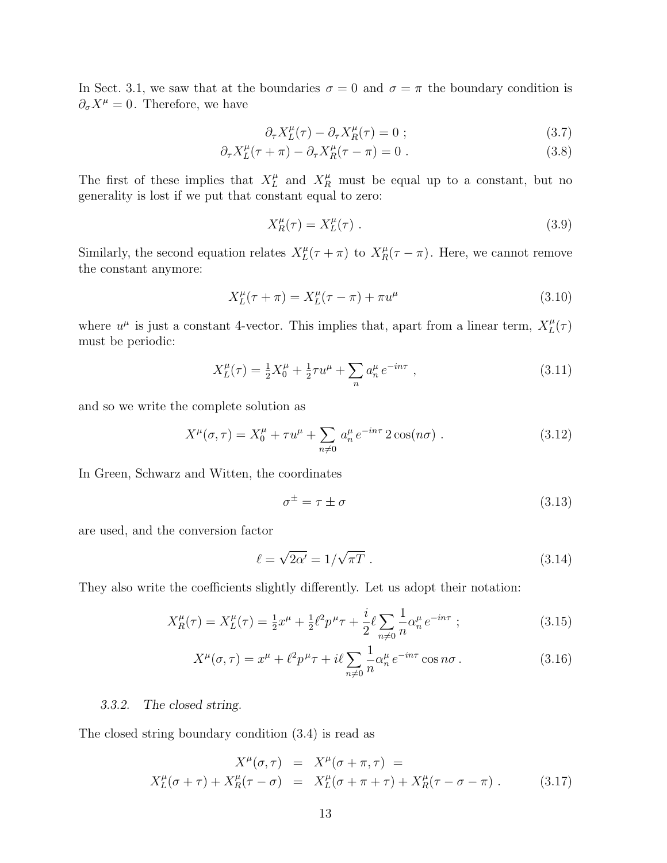In Sect. 3.1, we saw that at the boundaries  $\sigma = 0$  and  $\sigma = \pi$  the boundary condition is  $\partial_{\sigma}X^{\mu}=0$ . Therefore, we have

$$
\partial_{\tau} X_L^{\mu}(\tau) - \partial_{\tau} X_R^{\mu}(\tau) = 0 ; \qquad (3.7)
$$

$$
\partial_{\tau} X_L^{\mu}(\tau + \pi) - \partial_{\tau} X_R^{\mu}(\tau - \pi) = 0.
$$
\n(3.8)

The first of these implies that  $X_L^{\mu}$  $L^{\mu}$  and  $X_R^{\mu}$  must be equal up to a constant, but no generality is lost if we put that constant equal to zero:

$$
X_R^{\mu}(\tau) = X_L^{\mu}(\tau) \tag{3.9}
$$

Similarly, the second equation relates  $X_L^{\mu}$  $L(t + \pi)$  to  $X_R^{\mu}(\tau - \pi)$ . Here, we cannot remove the constant anymore:

$$
X_L^{\mu}(\tau + \pi) = X_L^{\mu}(\tau - \pi) + \pi u^{\mu}
$$
\n(3.10)

where  $u^{\mu}$  is just a constant 4-vector. This implies that, apart from a linear term,  $X_L^{\mu}$  $_L^\mu(\tau)$ must be periodic:

$$
X_L^{\mu}(\tau) = \frac{1}{2}X_0^{\mu} + \frac{1}{2}\tau u^{\mu} + \sum_n a_n^{\mu} e^{-in\tau} , \qquad (3.11)
$$

and so we write the complete solution as

$$
X^{\mu}(\sigma,\tau) = X_0^{\mu} + \tau u^{\mu} + \sum_{n \neq 0} a_n^{\mu} e^{-in\tau} 2 \cos(n\sigma) . \qquad (3.12)
$$

In Green, Schwarz and Witten, the coordinates

$$
\sigma^{\pm} = \tau \pm \sigma \tag{3.13}
$$

are used, and the conversion factor

$$
\ell = \sqrt{2\alpha'} = 1/\sqrt{\pi T} \tag{3.14}
$$

They also write the coefficients slightly differently. Let us adopt their notation:

$$
X_R^{\mu}(\tau) = X_L^{\mu}(\tau) = \frac{1}{2}x^{\mu} + \frac{1}{2}\ell^2 p^{\mu}\tau + \frac{i}{2}\ell \sum_{n \neq 0} \frac{1}{n} \alpha_n^{\mu} e^{-in\tau} ; \qquad (3.15)
$$

$$
X^{\mu}(\sigma,\tau) = x^{\mu} + \ell^2 p^{\mu} \tau + i\ell \sum_{n \neq 0} \frac{1}{n} \alpha_n^{\mu} e^{-in\tau} \cos n\sigma.
$$
 (3.16)

#### 3.3.2. The closed string.

The closed string boundary condition (3.4) is read as

$$
X^{\mu}(\sigma,\tau) = X^{\mu}(\sigma+\pi,\tau) =
$$
  

$$
X^{\mu}_L(\sigma+\tau) + X^{\mu}_R(\tau-\sigma) = X^{\mu}_L(\sigma+\pi+\tau) + X^{\mu}_R(\tau-\sigma-\pi) .
$$
 (3.17)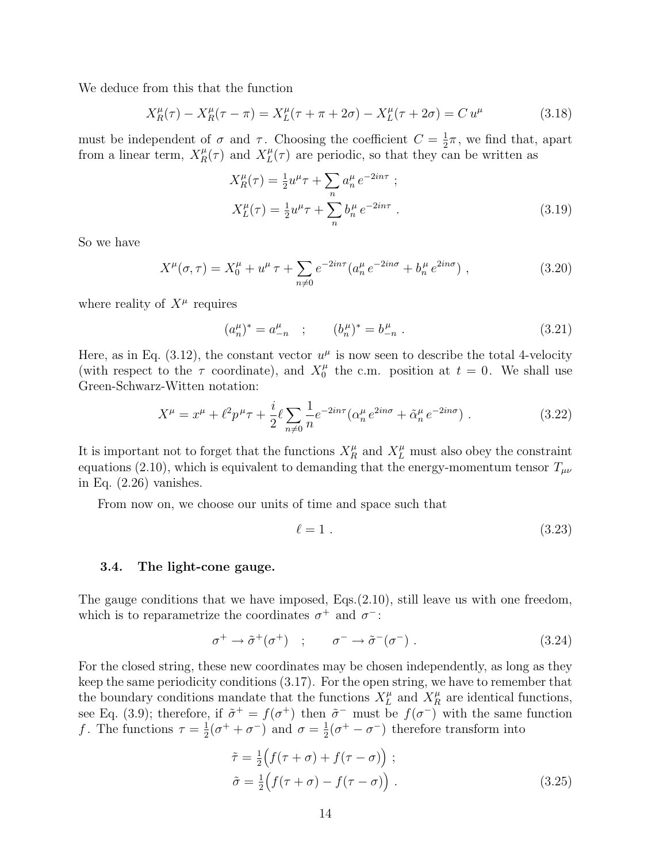We deduce from this that the function

$$
X_R^{\mu}(\tau) - X_R^{\mu}(\tau - \pi) = X_L^{\mu}(\tau + \pi + 2\sigma) - X_L^{\mu}(\tau + 2\sigma) = C u^{\mu}
$$
 (3.18)

must be independent of  $\sigma$  and  $\tau$ . Choosing the coefficient  $C = \frac{1}{2}$  $\frac{1}{2}\pi$ , we find that, apart from a linear term,  $X_R^{\mu}(\tau)$  and  $X_L^{\mu}$  $L(t)$  are periodic, so that they can be written as

$$
X_R^{\mu}(\tau) = \frac{1}{2}u^{\mu}\tau + \sum_n a_n^{\mu} e^{-2in\tau} ;
$$
  
\n
$$
X_L^{\mu}(\tau) = \frac{1}{2}u^{\mu}\tau + \sum_n b_n^{\mu} e^{-2in\tau} .
$$
\n(3.19)

So we have

$$
X^{\mu}(\sigma,\tau) = X_0^{\mu} + u^{\mu}\tau + \sum_{n \neq 0} e^{-2in\tau} (a_n^{\mu} e^{-2in\sigma} + b_n^{\mu} e^{2in\sigma}), \qquad (3.20)
$$

where reality of  $X^{\mu}$  requires

$$
(a_n^{\mu})^* = a_{-n}^{\mu} \quad ; \qquad (b_n^{\mu})^* = b_{-n}^{\mu} \; . \tag{3.21}
$$

Here, as in Eq. (3.12), the constant vector  $u^{\mu}$  is now seen to describe the total 4-velocity (with respect to the  $\tau$  coordinate), and  $X_0^{\mu}$  $t_0^{\mu}$  the c.m. position at  $t = 0$ . We shall use Green-Schwarz-Witten notation:

$$
X^{\mu} = x^{\mu} + \ell^2 p^{\mu} \tau + \frac{i}{2} \ell \sum_{n \neq 0} \frac{1}{n} e^{-2in\tau} (\alpha_n^{\mu} e^{2in\sigma} + \tilde{\alpha}_n^{\mu} e^{-2in\sigma}). \tag{3.22}
$$

It is important not to forget that the functions  $X_R^{\mu}$  and  $X_L^{\mu}$  must also obey the constraint equations (2.10), which is equivalent to demanding that the energy-momentum tensor  $T_{\mu\nu}$ in Eq. (2.26) vanishes.

From now on, we choose our units of time and space such that

$$
\ell = 1 \tag{3.23}
$$

#### 3.4. The light-cone gauge.

The gauge conditions that we have imposed, Eqs.(2.10), still leave us with one freedom, which is to reparametrize the coordinates  $\sigma^+$  and  $\sigma^-$ :

$$
\sigma^+ \to \tilde{\sigma}^+(\sigma^+) \quad ; \qquad \sigma^- \to \tilde{\sigma}^-(\sigma^-) \ . \tag{3.24}
$$

For the closed string, these new coordinates may be chosen independently, as long as they keep the same periodicity conditions (3.17). For the open string, we have to remember that the boundary conditions mandate that the functions  $X_L^{\mu}$  $L^{\mu}$  and  $X_R^{\mu}$  are identical functions, see Eq. (3.9); therefore, if  $\tilde{\sigma}^+ = f(\sigma^+)$  then  $\tilde{\sigma}^-$  must be  $f(\sigma^-)$  with the same function f. The functions  $\tau = \frac{1}{2}$  $\frac{1}{2}(\sigma^+ + \sigma^-)$  and  $\sigma = \frac{1}{2}$  $\frac{1}{2}(\sigma^+ - \sigma^-)$  therefore transform into

$$
\tilde{\tau} = \frac{1}{2} \Big( f(\tau + \sigma) + f(\tau - \sigma) \Big) ;
$$
  
\n
$$
\tilde{\sigma} = \frac{1}{2} \Big( f(\tau + \sigma) - f(\tau - \sigma) \Big) .
$$
\n(3.25)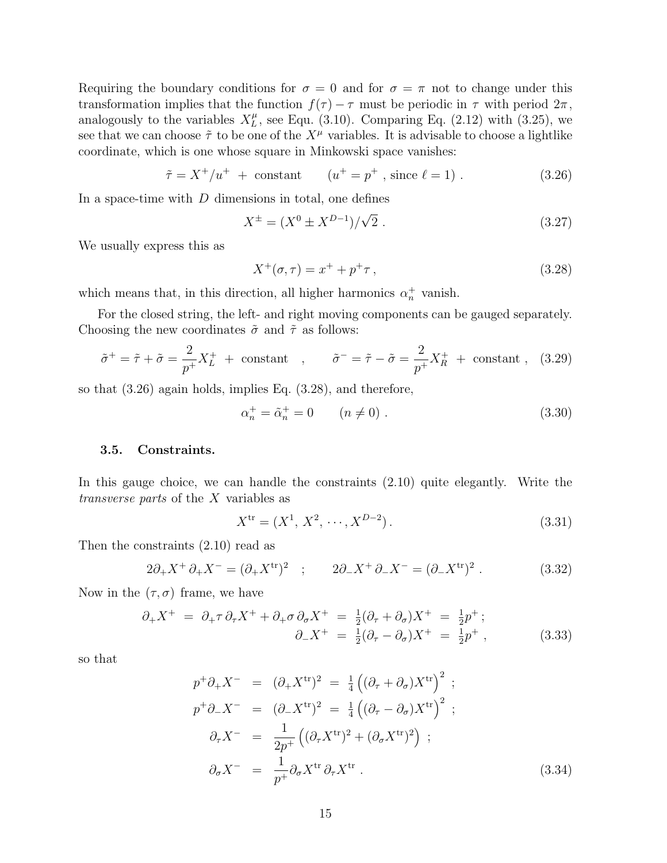Requiring the boundary conditions for  $\sigma = 0$  and for  $\sigma = \pi$  not to change under this transformation implies that the function  $f(\tau) - \tau$  must be periodic in  $\tau$  with period  $2\pi$ , analogously to the variables  $X_L^{\mu}$  $L^{\mu}$ , see Equ. (3.10). Comparing Eq. (2.12) with (3.25), we see that we can choose  $\tilde{\tau}$  to be one of the  $X^{\mu}$  variables. It is advisable to choose a lightlike coordinate, which is one whose square in Minkowski space vanishes:

$$
\tilde{\tau} = X^+ / u^+ + \text{constant} \qquad (u^+ = p^+ , \text{ since } \ell = 1) .
$$
 (3.26)

In a space-time with  $D$  dimensions in total, one defines

$$
X^{\pm} = (X^0 \pm X^{D-1})/\sqrt{2} . \tag{3.27}
$$

We usually express this as

$$
X^{+}(\sigma,\tau) = x^{+} + p^{+}\tau\,,\tag{3.28}
$$

which means that, in this direction, all higher harmonics  $\alpha_n^+$  vanish.

For the closed string, the left- and right moving components can be gauged separately. Choosing the new coordinates  $\tilde{\sigma}$  and  $\tilde{\tau}$  as follows:

$$
\tilde{\sigma}^+ = \tilde{\tau} + \tilde{\sigma} = \frac{2}{p^+} X_L^+ + \text{ constant} , \qquad \tilde{\sigma}^- = \tilde{\tau} - \tilde{\sigma} = \frac{2}{p^+} X_R^+ + \text{ constant} , \quad (3.29)
$$

so that (3.26) again holds, implies Eq. (3.28), and therefore,

$$
\alpha_n^+ = \tilde{\alpha}_n^+ = 0 \qquad (n \neq 0) \; . \tag{3.30}
$$

### 3.5. Constraints.

In this gauge choice, we can handle the constraints (2.10) quite elegantly. Write the transverse parts of the X variables as

$$
X^{tr} = (X^1, X^2, \cdots, X^{D-2}).
$$
\n(3.31)

Then the constraints (2.10) read as

$$
2\partial_{+}X^{+}\partial_{+}X^{-} = (\partial_{+}X^{\text{tr}})^{2} \quad ; \qquad 2\partial_{-}X^{+}\partial_{-}X^{-} = (\partial_{-}X^{\text{tr}})^{2} \; . \tag{3.32}
$$

Now in the  $(\tau, \sigma)$  frame, we have

$$
\partial_+ X^+ = \partial_+ \tau \partial_\tau X^+ + \partial_+ \sigma \partial_\sigma X^+ = \frac{1}{2} (\partial_\tau + \partial_\sigma) X^+ = \frac{1}{2} p^+ ;
$$
  

$$
\partial_- X^+ = \frac{1}{2} (\partial_\tau - \partial_\sigma) X^+ = \frac{1}{2} p^+ ,
$$
 (3.33)

so that

$$
p^{+} \partial_{+} X^{-} = (\partial_{+} X^{\text{tr}})^{2} = \frac{1}{4} ((\partial_{\tau} + \partial_{\sigma}) X^{\text{tr}})^{2} ;
$$
  
\n
$$
p^{+} \partial_{-} X^{-} = (\partial_{-} X^{\text{tr}})^{2} = \frac{1}{4} ((\partial_{\tau} - \partial_{\sigma}) X^{\text{tr}})^{2} ;
$$
  
\n
$$
\partial_{\tau} X^{-} = \frac{1}{2p^{+}} ((\partial_{\tau} X^{\text{tr}})^{2} + (\partial_{\sigma} X^{\text{tr}})^{2}) ;
$$
  
\n
$$
\partial_{\sigma} X^{-} = \frac{1}{p^{+}} \partial_{\sigma} X^{\text{tr}} \partial_{\tau} X^{\text{tr}} .
$$
\n(3.34)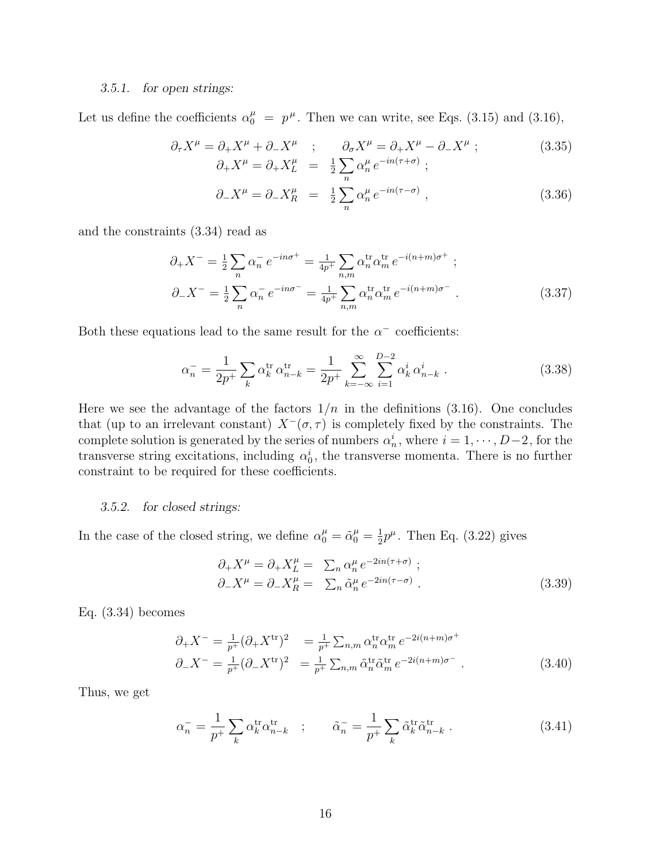#### 3.5.1. for open strings:

Let us define the coefficients  $\alpha_0^{\mu} = p^{\mu}$ . Then we can write, see Eqs. (3.15) and (3.16),

$$
\partial_{\tau} X^{\mu} = \partial_{+} X^{\mu} + \partial_{-} X^{\mu} \quad ; \qquad \partial_{\sigma} X^{\mu} = \partial_{+} X^{\mu} - \partial_{-} X^{\mu} \quad ; \qquad (3.35)
$$

$$
\partial_{+} X^{\mu} = \partial_{+} X^{\mu}_{L} = \frac{1}{2} \sum \alpha^{\mu}_{n} e^{-in(\tau + \sigma)} \quad ;
$$

$$
\partial_- X^\mu = \partial_- X_R^\mu = \frac{1}{2} \sum_n^n \alpha_n^\mu e^{-in(\tau - \sigma)}, \qquad (3.36)
$$

and the constraints (3.34) read as

$$
\partial_{+}X^{-} = \frac{1}{2} \sum_{n} \alpha_{n}^{-} e^{-in\sigma^{+}} = \frac{1}{4p^{+}} \sum_{n,m} \alpha_{n}^{\text{tr}} \alpha_{m}^{\text{tr}} e^{-i(n+m)\sigma^{+}} ;
$$
  

$$
\partial_{-}X^{-} = \frac{1}{2} \sum_{n} \alpha_{n}^{-} e^{-in\sigma^{-}} = \frac{1}{4p^{+}} \sum_{n,m} \alpha_{n}^{\text{tr}} \alpha_{m}^{\text{tr}} e^{-i(n+m)\sigma^{-}} .
$$
(3.37)

Both these equations lead to the same result for the  $\alpha^-$  coefficients:

$$
\alpha_n^- = \frac{1}{2p^+} \sum_k \alpha_k^{\text{tr}} \alpha_{n-k}^{\text{tr}} = \frac{1}{2p^+} \sum_{k=-\infty}^{\infty} \sum_{i=1}^{D-2} \alpha_k^i \alpha_{n-k}^i . \tag{3.38}
$$

Here we see the advantage of the factors  $1/n$  in the definitions (3.16). One concludes that (up to an irrelevant constant)  $X^{-}(\sigma, \tau)$  is completely fixed by the constraints. The complete solution is generated by the series of numbers  $\alpha_n^i$ , where  $i = 1, \dots, D-2$ , for the transverse string excitations, including  $\alpha_0^i$ , the transverse momenta. There is no further constraint to be required for these coefficients.

#### 3.5.2. for closed strings:

In the case of the closed string, we define  $\alpha_0^{\mu} = \tilde{\alpha}_0^{\mu} = \frac{1}{2}$  $\frac{1}{2}p^{\mu}$ . Then Eq. (3.22) gives

$$
\partial_{+}X^{\mu} = \partial_{+}X^{\mu}_{L} = \sum_{n} \alpha^{\mu}_{n} e^{-2in(\tau+\sigma)}; \n\partial_{-}X^{\mu} = \partial_{-}X^{\mu}_{R} = \sum_{n} \tilde{\alpha}^{\mu}_{n} e^{-2in(\tau-\sigma)}.
$$
\n(3.39)

Eq. (3.34) becomes

$$
\partial_{+} X^{-} = \frac{1}{p^{+}} (\partial_{+} X^{\text{tr}})^{2} = \frac{1}{p^{+}} \sum_{n,m} \alpha_{n}^{\text{tr}} \alpha_{m}^{\text{tr}} e^{-2i(n+m)\sigma^{+}}
$$
  

$$
\partial_{-} X^{-} = \frac{1}{p^{+}} (\partial_{-} X^{\text{tr}})^{2} = \frac{1}{p^{+}} \sum_{n,m} \tilde{\alpha}_{n}^{\text{tr}} \tilde{\alpha}_{m}^{\text{tr}} e^{-2i(n+m)\sigma^{-}}.
$$
(3.40)

Thus, we get

$$
\alpha_n^- = \frac{1}{p^+} \sum_k \alpha_k^{\text{tr}} \alpha_{n-k}^{\text{tr}} \quad ; \qquad \tilde{\alpha}_n^- = \frac{1}{p^+} \sum_k \tilde{\alpha}_k^{\text{tr}} \tilde{\alpha}_{n-k}^{\text{tr}} \,. \tag{3.41}
$$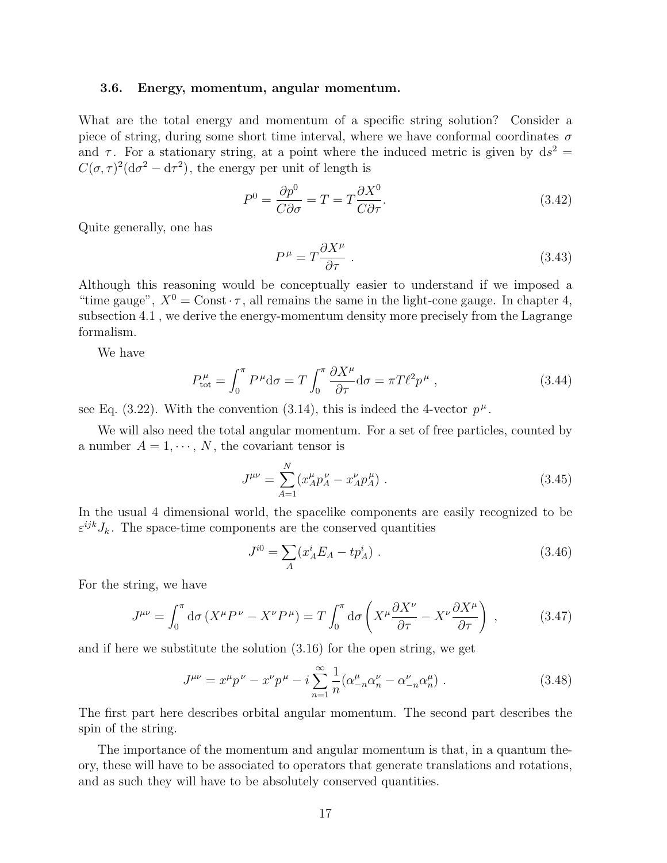#### 3.6. Energy, momentum, angular momentum.

What are the total energy and momentum of a specific string solution? Consider a piece of string, during some short time interval, where we have conformal coordinates  $\sigma$ and  $\tau$ . For a stationary string, at a point where the induced metric is given by  $ds^2 =$  $C(\sigma, \tau)^2(\mathrm{d}\sigma^2 - \mathrm{d}\tau^2)$ , the energy per unit of length is

$$
P^{0} = \frac{\partial p^{0}}{C \partial \sigma} = T = T \frac{\partial X^{0}}{C \partial \tau}.
$$
\n(3.42)

Quite generally, one has

$$
P^{\mu} = T \frac{\partial X^{\mu}}{\partial \tau} \tag{3.43}
$$

Although this reasoning would be conceptually easier to understand if we imposed a "time gauge",  $X^0 = \text{Const} \cdot \tau$ , all remains the same in the light-cone gauge. In chapter 4, subsection 4.1 , we derive the energy-momentum density more precisely from the Lagrange formalism.

We have

$$
P_{\text{tot}}^{\mu} = \int_0^{\pi} P^{\mu} d\sigma = T \int_0^{\pi} \frac{\partial X^{\mu}}{\partial \tau} d\sigma = \pi T \ell^2 p^{\mu} , \qquad (3.44)
$$

see Eq. (3.22). With the convention (3.14), this is indeed the 4-vector  $p^{\mu}$ .

We will also need the total angular momentum. For a set of free particles, counted by a number  $A = 1, \dots, N$ , the covariant tensor is

$$
J^{\mu\nu} = \sum_{A=1}^{N} (x_A^{\mu} p_A^{\nu} - x_A^{\nu} p_A^{\mu}).
$$
\n(3.45)

In the usual 4 dimensional world, the spacelike components are easily recognized to be  $\varepsilon^{ijk} J_k$ . The space-time components are the conserved quantities

$$
J^{i0} = \sum_{A} (x_A^i E_A - t p_A^i) \tag{3.46}
$$

For the string, we have

$$
J^{\mu\nu} = \int_0^{\pi} d\sigma \left( X^{\mu} P^{\nu} - X^{\nu} P^{\mu} \right) = T \int_0^{\pi} d\sigma \left( X^{\mu} \frac{\partial X^{\nu}}{\partial \tau} - X^{\nu} \frac{\partial X^{\mu}}{\partial \tau} \right) , \qquad (3.47)
$$

and if here we substitute the solution (3.16) for the open string, we get

$$
J^{\mu\nu} = x^{\mu}p^{\nu} - x^{\nu}p^{\mu} - i\sum_{n=1}^{\infty} \frac{1}{n} (\alpha^{\mu}_{-n}\alpha^{\nu}_{n} - \alpha^{\nu}_{-n}\alpha^{\mu}_{n})
$$
 (3.48)

The first part here describes orbital angular momentum. The second part describes the spin of the string.

The importance of the momentum and angular momentum is that, in a quantum theory, these will have to be associated to operators that generate translations and rotations, and as such they will have to be absolutely conserved quantities.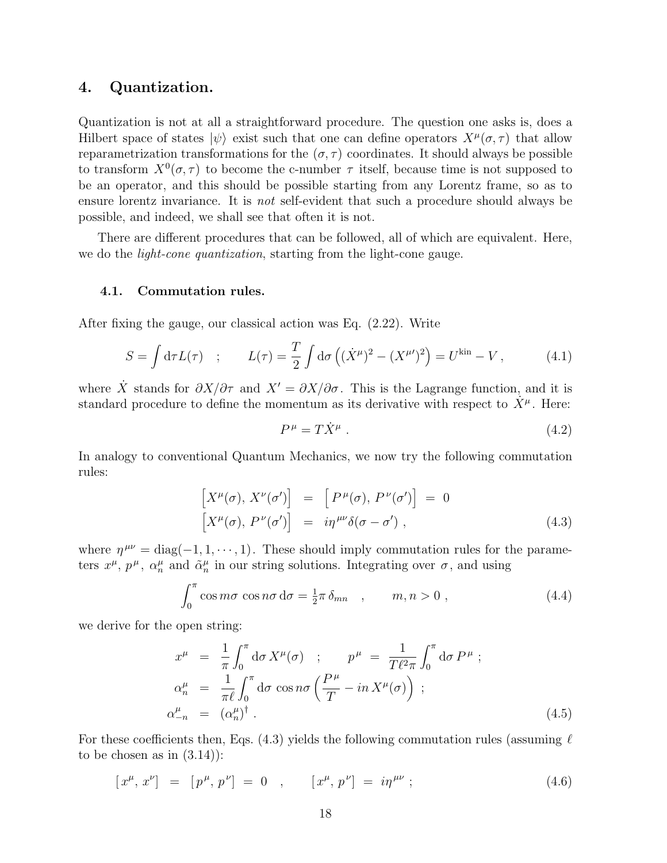## 4. Quantization.

Quantization is not at all a straightforward procedure. The question one asks is, does a Hilbert space of states  $|\psi\rangle$  exist such that one can define operators  $X^{\mu}(\sigma, \tau)$  that allow reparametrization transformations for the  $(\sigma, \tau)$  coordinates. It should always be possible to transform  $X^0(\sigma, \tau)$  to become the c-number  $\tau$  itself, because time is not supposed to be an operator, and this should be possible starting from any Lorentz frame, so as to ensure lorentz invariance. It is *not* self-evident that such a procedure should always be possible, and indeed, we shall see that often it is not.

There are different procedures that can be followed, all of which are equivalent. Here, we do the *light-cone quantization*, starting from the light-cone gauge.

#### 4.1. Commutation rules.

After fixing the gauge, our classical action was Eq. (2.22). Write

$$
S = \int d\tau L(\tau) \quad ; \qquad L(\tau) = \frac{T}{2} \int d\sigma \left( (\dot{X}^{\mu})^2 - (X^{\mu\prime})^2 \right) = U^{\text{kin}} - V \,, \tag{4.1}
$$

where X stands for  $\partial X/\partial \tau$  and  $X' = \partial X/\partial \sigma$ . This is the Lagrange function, and it is standard procedure to define the momentum as its derivative with respect to  $\dot{X}^{\mu}$ . Here:

$$
P^{\mu} = T\dot{X}^{\mu} \tag{4.2}
$$

In analogy to conventional Quantum Mechanics, we now try the following commutation rules:

$$
\begin{aligned}\n\left[X^{\mu}(\sigma), X^{\nu}(\sigma')\right] &= \left[P^{\mu}(\sigma), P^{\nu}(\sigma')\right] = 0 \\
\left[X^{\mu}(\sigma), P^{\nu}(\sigma')\right] &= i\eta^{\mu\nu}\delta(\sigma - \sigma')\n\end{aligned} \tag{4.3}
$$

where  $\eta^{\mu\nu} = \text{diag}(-1, 1, \dots, 1)$ . These should imply commutation rules for the parameters  $x^{\mu}$ ,  $p^{\mu}$ ,  $\alpha_n^{\mu}$  and  $\tilde{\alpha}_n^{\mu}$  in our string solutions. Integrating over  $\sigma$ , and using

$$
\int_0^{\pi} \cos m\sigma \, \cos n\sigma \, \mathrm{d}\sigma = \frac{1}{2}\pi \, \delta_{mn} \quad , \qquad m, n > 0 \; , \tag{4.4}
$$

we derive for the open string:

$$
x^{\mu} = \frac{1}{\pi} \int_0^{\pi} d\sigma X^{\mu}(\sigma) ; \qquad p^{\mu} = \frac{1}{T\ell^{2}\pi} \int_0^{\pi} d\sigma P^{\mu} ;
$$
  
\n
$$
\alpha_n^{\mu} = \frac{1}{\pi\ell} \int_0^{\pi} d\sigma \cos n\sigma \left(\frac{P^{\mu}}{T} - in X^{\mu}(\sigma)\right) ;
$$
  
\n
$$
\alpha_{-n}^{\mu} = (\alpha_n^{\mu})^{\dagger} .
$$
\n(4.5)

For these coefficients then, Eqs. (4.3) yields the following commutation rules (assuming  $\ell$ to be chosen as in  $(3.14)$ :

$$
[x^{\mu}, x^{\nu}] = [p^{\mu}, p^{\nu}] = 0 , \qquad [x^{\mu}, p^{\nu}] = i\eta^{\mu\nu} ; \qquad (4.6)
$$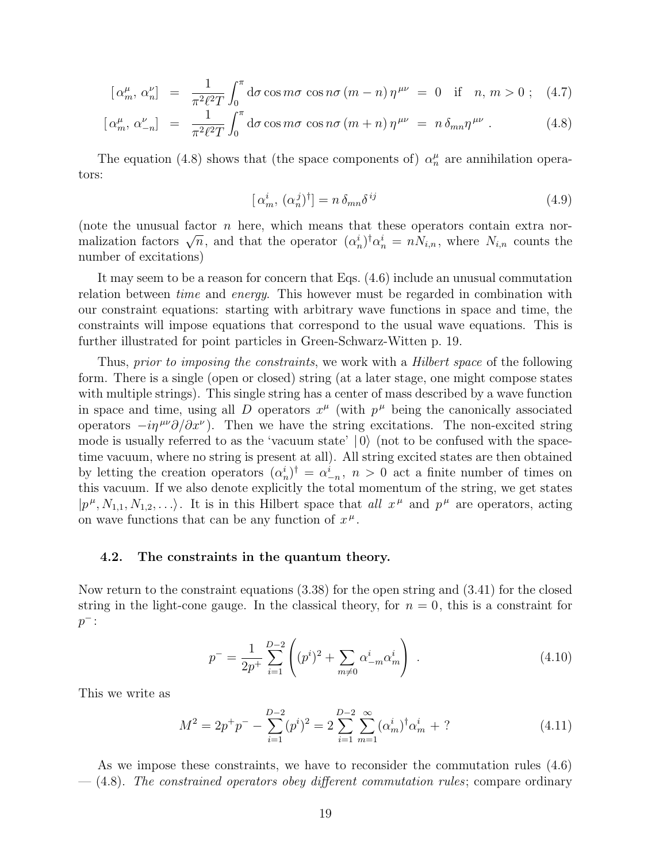$$
\left[\alpha_m^{\mu}, \alpha_n^{\nu}\right] = \frac{1}{\pi^2 \ell^2 T} \int_0^{\pi} d\sigma \cos m\sigma \cos n\sigma \left(m - n\right) \eta^{\mu\nu} = 0 \quad \text{if} \quad n, m > 0 \; ; \quad (4.7)
$$

$$
\left[\alpha_m^{\mu},\,\alpha_{-n}^{\nu}\right] = \frac{1}{\pi^2 \ell^2 T} \int_0^{\pi} d\sigma \cos m\sigma \cos n\sigma \left(m+n\right) \eta^{\mu\nu} = n \,\delta_{mn} \eta^{\mu\nu} \,. \tag{4.8}
$$

The equation (4.8) shows that (the space components of)  $\alpha_n^{\mu}$  are annihilation operators:

$$
[\alpha_m^i, (\alpha_n^j)^\dagger] = n \,\delta_{mn} \delta^{ij} \tag{4.9}
$$

(note the unusual factor  $n$  here, which means that these operators contain extra nor-(note the unusual factor *n* here, which means that these operators contain extra nor-<br>malization factors  $\sqrt{n}$ , and that the operator  $(\alpha_n^i)^{\dagger} \alpha_n^i = n N_{i,n}$ , where  $N_{i,n}$  counts the number of excitations)

It may seem to be a reason for concern that Eqs. (4.6) include an unusual commutation relation between *time* and *energy*. This however must be regarded in combination with our constraint equations: starting with arbitrary wave functions in space and time, the constraints will impose equations that correspond to the usual wave equations. This is further illustrated for point particles in Green-Schwarz-Witten p. 19.

Thus, prior to imposing the constraints, we work with a *Hilbert space* of the following form. There is a single (open or closed) string (at a later stage, one might compose states with multiple strings). This single string has a center of mass described by a wave function in space and time, using all D operators  $x^{\mu}$  (with  $p^{\mu}$  being the canonically associated operators  $-i\eta^{\mu\nu}\partial/\partial x^{\nu}$ ). Then we have the string excitations. The non-excited string mode is usually referred to as the 'vacuum state'  $|0\rangle$  (not to be confused with the spacetime vacuum, where no string is present at all). All string excited states are then obtained by letting the creation operators  $(\alpha_n^i)^{\dagger} = \alpha_{-n}^i$ ,  $n > 0$  act a finite number of times on this vacuum. If we also denote explicitly the total momentum of the string, we get states  $|p^{\mu}, N_{1,1}, N_{1,2}, \ldots\rangle$ . It is in this Hilbert space that all  $x^{\mu}$  and  $p^{\mu}$  are operators, acting on wave functions that can be any function of  $x^{\mu}$ .

#### 4.2. The constraints in the quantum theory.

Now return to the constraint equations (3.38) for the open string and (3.41) for the closed string in the light-cone gauge. In the classical theory, for  $n = 0$ , this is a constraint for  $p^-$ :

$$
p^{-} = \frac{1}{2p^{+}} \sum_{i=1}^{D-2} \left( (p^{i})^{2} + \sum_{m \neq 0} \alpha_{-m}^{i} \alpha_{m}^{i} \right) . \tag{4.10}
$$

This we write as

$$
M^{2} = 2p^{+}p^{-} - \sum_{i=1}^{D-2} (p^{i})^{2} = 2\sum_{i=1}^{D-2} \sum_{m=1}^{\infty} (\alpha_{m}^{i})^{\dagger} \alpha_{m}^{i} + ? \qquad (4.11)
$$

As we impose these constraints, we have to reconsider the commutation rules (4.6)  $-$  (4.8). The constrained operators obey different commutation rules; compare ordinary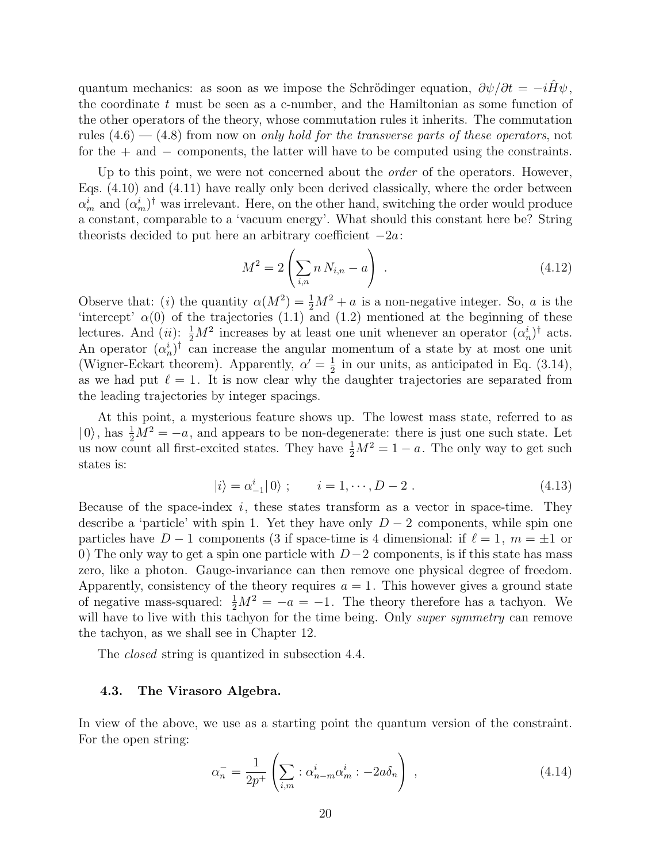quantum mechanics: as soon as we impose the Schrödinger equation,  $\partial \psi / \partial t = -i \hat{H} \psi$ , the coordinate  $t$  must be seen as a c-number, and the Hamiltonian as some function of the other operators of the theory, whose commutation rules it inherits. The commutation rules  $(4.6)$  —  $(4.8)$  from now on only hold for the transverse parts of these operators, not for the  $+$  and  $-$  components, the latter will have to be computed using the constraints.

Up to this point, we were not concerned about the *order* of the operators. However, Eqs. (4.10) and (4.11) have really only been derived classically, where the order between  $\alpha_m^i$  and  $(\alpha_m^i)^\dagger$  was irrelevant. Here, on the other hand, switching the order would produce a constant, comparable to a 'vacuum energy'. What should this constant here be? String theorists decided to put here an arbitrary coefficient  $-2a$ :  $\overline{\phantom{a}}$  $\mathbf{r}$ 

$$
M^{2} = 2\left(\sum_{i,n} n N_{i,n} - a\right) \tag{4.12}
$$

Observe that: (*i*) the quantity  $\alpha(M^2) = \frac{1}{2}M^2 + a$  is a non-negative integer. So, a is the 'intercept'  $\alpha(0)$  of the trajectories (1.1) and (1.2) mentioned at the beginning of these lectures. And (*ii*):  $\frac{1}{2}M^2$  increases by at least one unit whenever an operator  $(\alpha_n^i)^\dagger$  acts. An operator  $(\alpha_n^i)^\dagger$  can increase the angular momentum of a state by at most one unit (Wigner-Eckart theorem). Apparently,  $\alpha' = \frac{1}{2}$  $\frac{1}{2}$  in our units, as anticipated in Eq. (3.14), as we had put  $\ell = 1$ . It is now clear why the daughter trajectories are separated from the leading trajectories by integer spacings.

At this point, a mysterious feature shows up. The lowest mass state, referred to as  $| 0 \rangle$ , has  $\frac{1}{2}M^2 = -a$ , and appears to be non-degenerate: there is just one such state. Let us now count all first-excited states. They have  $\frac{1}{2}M^2 = 1 - a$ . The only way to get such states is:

$$
|i\rangle = \alpha_{-1}^{i}|0\rangle ; \qquad i = 1, \cdots, D - 2. \qquad (4.13)
$$

Because of the space-index  $i$ , these states transform as a vector in space-time. They describe a 'particle' with spin 1. Yet they have only  $D-2$  components, while spin one particles have  $D - 1$  components (3 if space-time is 4 dimensional: if  $\ell = 1, m = \pm 1$  or 0) The only way to get a spin one particle with  $D-2$  components, is if this state has mass zero, like a photon. Gauge-invariance can then remove one physical degree of freedom. Apparently, consistency of the theory requires  $a = 1$ . This however gives a ground state of negative mass-squared:  $\frac{1}{2}M^2 = -a = -1$ . The theory therefore has a tachyon. We will have to live with this tachyon for the time being. Only *super symmetry* can remove the tachyon, as we shall see in Chapter 12.

The *closed* string is quantized in subsection 4.4.

#### 4.3. The Virasoro Algebra.

In view of the above, we use as a starting point the quantum version of the constraint. For the open string:

$$
\alpha_n^- = \frac{1}{2p^+} \left( \sum_{i,m} : \alpha_{n-m}^i \alpha_m^i : -2a\delta_n \right) , \qquad (4.14)
$$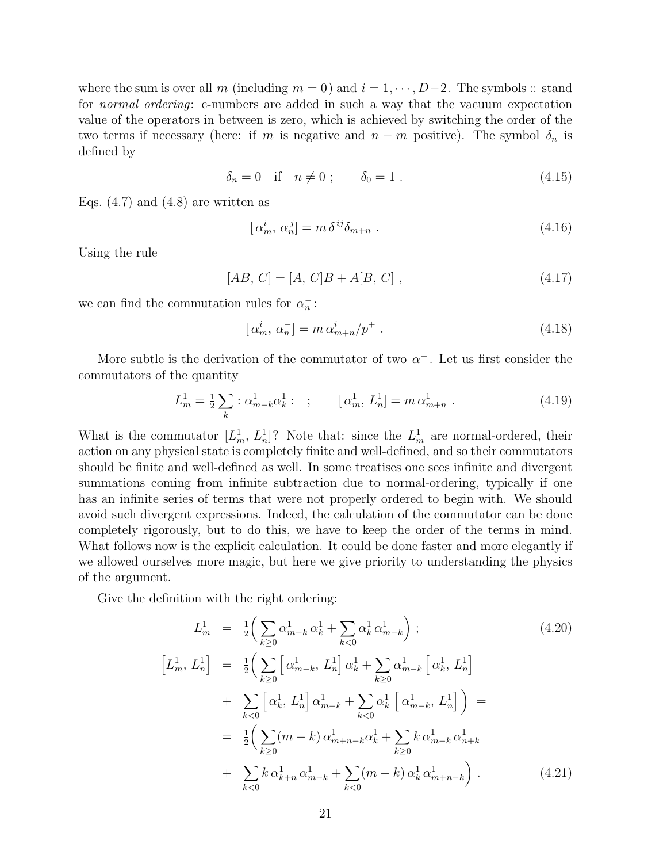where the sum is over all m (including  $m = 0$ ) and  $i = 1, \dots, D-2$ . The symbols :: stand for normal ordering: c-numbers are added in such a way that the vacuum expectation value of the operators in between is zero, which is achieved by switching the order of the two terms if necessary (here: if m is negative and  $n - m$  positive). The symbol  $\delta_n$  is defined by

$$
\delta_n = 0 \quad \text{if} \quad n \neq 0 \; ; \qquad \delta_0 = 1 \; . \tag{4.15}
$$

Eqs.  $(4.7)$  and  $(4.8)$  are written as

$$
[\alpha_m^i, \alpha_n^j] = m \,\delta^{ij} \delta_{m+n} \tag{4.16}
$$

Using the rule

$$
[AB, C] = [A, C]B + A[B, C], \qquad (4.17)
$$

we can find the commutation rules for  $\alpha_n^-$ :

$$
\left[\alpha_m^i, \alpha_n^-\right] = m \,\alpha_{m+n}^i / p^+ \,. \tag{4.18}
$$

More subtle is the derivation of the commutator of two  $\alpha^-$ . Let us first consider the commutators of the quantity

$$
L_m^1 = \frac{1}{2} \sum_k : \alpha_{m-k}^1 \alpha_k^1 : ; \qquad [\alpha_m^1, L_n^1] = m \alpha_{m+n}^1 .
$$
 (4.19)

What is the commutator  $[L_m^1, L_n^1]$ ? Note that: since the  $L_m^1$  are normal-ordered, their action on any physical state is completely finite and well-defined, and so their commutators should be finite and well-defined as well. In some treatises one sees infinite and divergent summations coming from infinite subtraction due to normal-ordering, typically if one has an infinite series of terms that were not properly ordered to begin with. We should avoid such divergent expressions. Indeed, the calculation of the commutator can be done completely rigorously, but to do this, we have to keep the order of the terms in mind. What follows now is the explicit calculation. It could be done faster and more elegantly if we allowed ourselves more magic, but here we give priority to understanding the physics of the argument.

Give the definition with the right ordering:

h

$$
L_m^1 = \frac{1}{2} \Big( \sum_{k \ge 0} \alpha_{m-k}^1 \alpha_k^1 + \sum_{k < 0} \alpha_k^1 \alpha_{m-k}^1 \Big) ; \tag{4.20}
$$
\n
$$
L_m^1, L_n^1] = \frac{1}{2} \Big( \sum_{k \ge 0} \Big[ \alpha_{m-k}^1, L_n^1 \Big] \alpha_k^1 + \sum_{k \ge 0} \alpha_{m-k}^1 \Big[ \alpha_k^1, L_n^1 \Big] \\
+ \sum_{k < 0} \Big[ \alpha_k^1, L_n^1 \Big] \alpha_{m-k}^1 + \sum_{k < 0} \alpha_k^1 \Big[ \alpha_{m-k}^1, L_n^1 \Big] \Big) = \\
= \frac{1}{2} \Big( \sum_{k \ge 0} (m - k) \alpha_{m+n-k}^1 \alpha_k^1 + \sum_{k \ge 0} k \alpha_{m-k}^1 \alpha_{n+k}^1 + \sum_{k \ge 0} k \alpha_{m-k}^1 \alpha_{n+k}^1 + \sum_{k < 0} k \alpha_{k+n}^1 \alpha_{m-k}^1 + \sum_{k < 0} (m - k) \alpha_k^1 \alpha_{m+n-k}^1 \Big) . \tag{4.21}
$$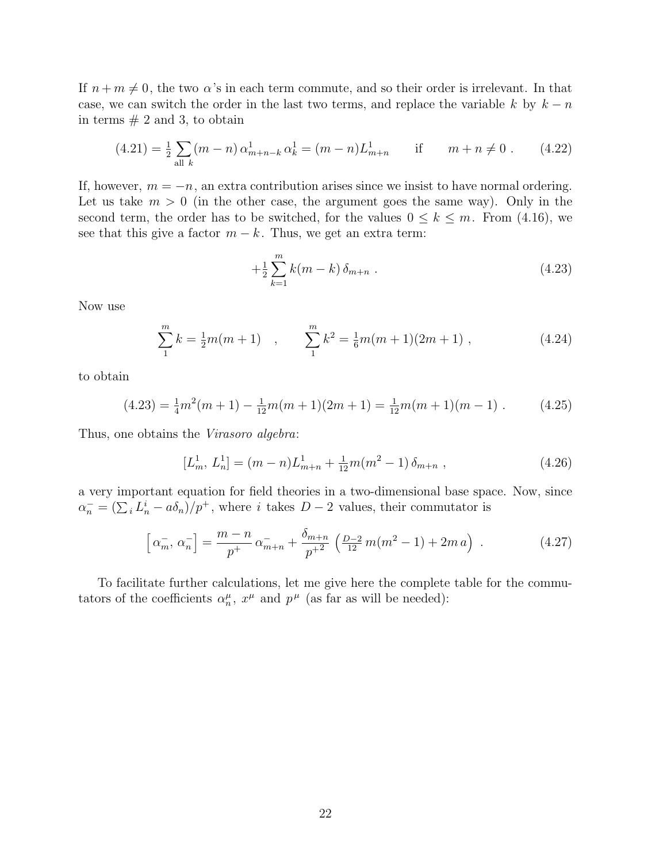If  $n + m \neq 0$ , the two  $\alpha$ 's in each term commute, and so their order is irrelevant. In that case, we can switch the order in the last two terms, and replace the variable k by  $k - n$ in terms  $# 2$  and 3, to obtain

$$
(4.21) = \frac{1}{2} \sum_{\text{all } k} (m - n) \alpha_{m+n-k}^1 \alpha_k^1 = (m - n) L_{m+n}^1 \quad \text{if } \quad m + n \neq 0. \tag{4.22}
$$

If, however,  $m = -n$ , an extra contribution arises since we insist to have normal ordering. Let us take  $m > 0$  (in the other case, the argument goes the same way). Only in the second term, the order has to be switched, for the values  $0 \leq k \leq m$ . From (4.16), we see that this give a factor  $m - k$ . Thus, we get an extra term:

$$
+\frac{1}{2}\sum_{k=1}^{m}k(m-k)\,\delta_{m+n} \tag{4.23}
$$

Now use

$$
\sum_{1}^{m} k = \frac{1}{2}m(m+1) \quad , \qquad \sum_{1}^{m} k^{2} = \frac{1}{6}m(m+1)(2m+1) \quad , \tag{4.24}
$$

to obtain

$$
(4.23) = \frac{1}{4}m^2(m+1) - \frac{1}{12}m(m+1)(2m+1) = \frac{1}{12}m(m+1)(m-1)
$$
 (4.25)

Thus, one obtains the Virasoro algebra:

$$
[L_m^1, L_n^1] = (m - n)L_{m+n}^1 + \frac{1}{12}m(m^2 - 1)\,\delta_{m+n} \,,\tag{4.26}
$$

a very important equation for field theories in a two-dimensional base space. Now, since  $\alpha_n^- = (\sum_i L_n^i - a\delta_n)/p^+$ , where i takes  $D-2$  values, their commutator is

$$
\[ \alpha_m^-, \alpha_n^- \] = \frac{m-n}{p^+} \alpha_{m+n}^- + \frac{\delta_{m+n}}{p^{+2}} \left( \frac{D-2}{12} m (m^2 - 1) + 2m a \right) \,. \tag{4.27}
$$

To facilitate further calculations, let me give here the complete table for the commutators of the coefficients  $\alpha_n^{\mu}$ ,  $x^{\mu}$  and  $p^{\mu}$  (as far as will be needed):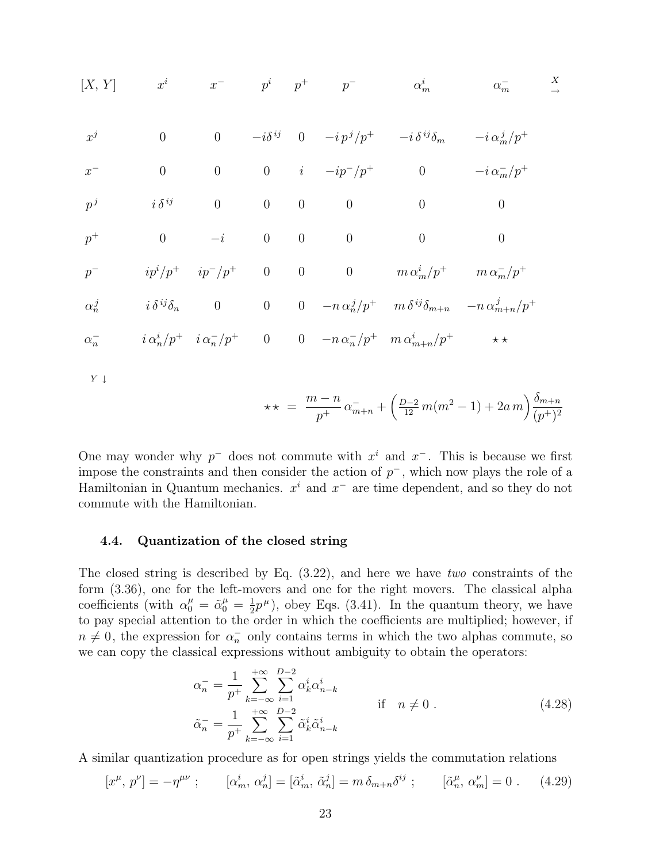$$
[X, Y] \t x^{i} \t x^{-} \t p^{i} \t p^{+}
$$
\n
$$
x^{j} \t 0 \t 0 \t -i\delta^{ij} \t 0 \t -ip^{j}/p^{+}
$$
\n
$$
x^{j} \t 0 \t 0 \t 0 \t -i\delta^{ij} \t 0 \t -ip^{j}/p^{+}
$$
\n
$$
x^{-} \t 0 \t 0 \t 0 \t i \t -ip^{-}/p^{+}
$$
\n
$$
p^{j} \t i\delta^{ij} \t 0 \t 0 \t 0 \t 0 \t 0 \t 0 \t 0
$$
\n
$$
p^{+} \t 0 \t -i \t 0 \t 0 \t 0 \t 0 \t 0
$$
\n
$$
p^{-} \t i p^{i}/p^{+} \t i p^{-}/p^{+}
$$
\n
$$
p^{-} \t i p^{i}/p^{+} \t i p^{-}/p^{+}
$$
\n
$$
p^{-} \t i \delta^{ij}\delta_{n} \t 0 \t 0 \t 0 \t 0 \t 0 \t m\alpha_{m}^{i}/p^{+}
$$
\n
$$
m\delta^{ij}\delta_{m+n} -n\alpha_{m+n}^{j}/p^{+}
$$
\n
$$
\alpha_{n}^{-} \t i \alpha_{n}^{i}/p^{+} \t i \alpha_{n}^{-}/p^{+}
$$
\n
$$
0 \t 0 \t -n\alpha_{n}^{-}/p^{+} \t m\alpha_{m+n}^{i}/p^{+} \t \star \star
$$

 $Y \downarrow$ 

$$
\star \star = \frac{m-n}{p^+} \alpha_{m+n}^- + \left(\frac{D-2}{12} m(m^2 - 1) + 2a m\right) \frac{\delta_{m+n}}{(p^+)^2}
$$

One may wonder why  $p^-$  does not commute with  $x^i$  and  $x^-$ . This is because we first impose the constraints and then consider the action of  $p^-$ , which now plays the role of a Hamiltonian in Quantum mechanics.  $x^i$  and  $x^-$  are time dependent, and so they do not commute with the Hamiltonian.

#### 4.4. Quantization of the closed string

The closed string is described by Eq. (3.22), and here we have two constraints of the form (3.36), one for the left-movers and one for the right movers. The classical alpha coefficients (with  $\alpha_0^{\mu} = \tilde{\alpha}_0^{\mu} = \frac{1}{2}$  $\frac{1}{2}p^{\mu}$ , obey Eqs. (3.41). In the quantum theory, we have to pay special attention to the order in which the coefficients are multiplied; however, if  $n \neq 0$ , the expression for  $\alpha_n^-$  only contains terms in which the two alphas commute, so we can copy the classical expressions without ambiguity to obtain the operators:

$$
\alpha_n^- = \frac{1}{p^+} \sum_{k=-\infty}^{+\infty} \sum_{i=1}^{D-2} \alpha_k^i \alpha_{n-k}^i
$$
\n
$$
\tilde{\alpha}_n^- = \frac{1}{p^+} \sum_{k=-\infty}^{+\infty} \sum_{i=1}^{D-2} \tilde{\alpha}_k^i \tilde{\alpha}_{n-k}^i
$$
\nif  $n \neq 0$ .

\n(4.28)

A similar quantization procedure as for open strings yields the commutation relations

$$
[x^{\mu}, p^{\nu}] = -\eta^{\mu\nu} \; ; \qquad [\alpha_m^i, \alpha_n^j] = [\tilde{\alpha}_m^i, \tilde{\alpha}_n^j] = m \, \delta_{m+n} \delta^{ij} \; ; \qquad [\tilde{\alpha}_n^{\mu}, \alpha_m^{\nu}] = 0 \; . \tag{4.29}
$$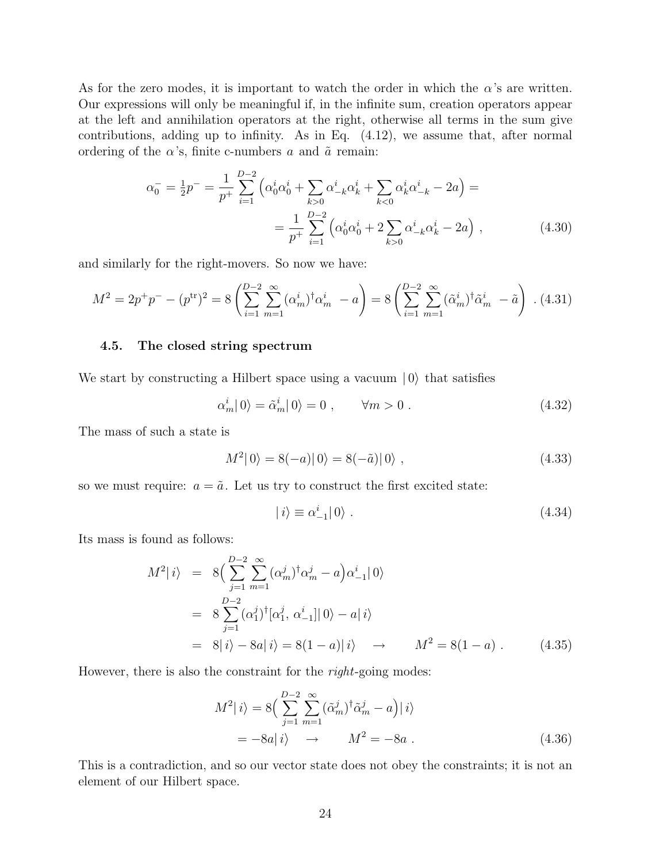As for the zero modes, it is important to watch the order in which the  $\alpha$ 's are written. Our expressions will only be meaningful if, in the infinite sum, creation operators appear at the left and annihilation operators at the right, otherwise all terms in the sum give contributions, adding up to infinity. As in Eq. (4.12), we assume that, after normal ordering of the  $\alpha$ 's, finite c-numbers a and  $\tilde{a}$  remain:

$$
\alpha_0^- = \frac{1}{2}p^- = \frac{1}{p^+} \sum_{i=1}^{D-2} \left( \alpha_0^i \alpha_0^i + \sum_{k>0} \alpha_{-k}^i \alpha_k^i + \sum_{k<0} \alpha_k^i \alpha_{-k}^i - 2a \right) =
$$
  
= 
$$
\frac{1}{p^+} \sum_{i=1}^{D-2} \left( \alpha_0^i \alpha_0^i + 2 \sum_{k>0} \alpha_{-k}^i \alpha_k^i - 2a \right),
$$
 (4.30)

and similarly for the right-movers. So now we have:

$$
M^{2} = 2p^{+}p^{-} - (p^{\text{tr}})^{2} = 8\left(\sum_{i=1}^{D-2} \sum_{m=1}^{\infty} (\alpha_{m}^{i})^{\dagger} \alpha_{m}^{i} - a\right) = 8\left(\sum_{i=1}^{D-2} \sum_{m=1}^{\infty} (\tilde{\alpha}_{m}^{i})^{\dagger} \tilde{\alpha}_{m}^{i} - \tilde{a}\right)
$$
 (4.31)

## 4.5. The closed string spectrum

We start by constructing a Hilbert space using a vacuum  $|0\rangle$  that satisfies

$$
\alpha_m^i |0\rangle = \tilde{\alpha}_m^i |0\rangle = 0 , \qquad \forall m > 0 . \qquad (4.32)
$$

The mass of such a state is

$$
M^{2} |0\rangle = 8(-a) |0\rangle = 8(-\tilde{a}) |0\rangle , \qquad (4.33)
$$

so we must require:  $a = \tilde{a}$ . Let us try to construct the first excited state:

$$
|i\rangle \equiv \alpha_{-1}^i|0\rangle. \tag{4.34}
$$

Its mass is found as follows:

$$
M^{2} | i \rangle = 8 \Big( \sum_{j=1}^{D-2} \sum_{m=1}^{\infty} (\alpha_{m}^{j})^{\dagger} \alpha_{m}^{j} - a \Big) \alpha_{-1}^{i} | 0 \rangle
$$
  
= 8 \sum\_{j=1}^{D-2} (\alpha\_{1}^{j})^{\dagger} [\alpha\_{1}^{j}, \alpha\_{-1}^{i}] | 0 \rangle - a | i \rangle  
= 8 | i \rangle - 8a | i \rangle = 8(1 - a) | i \rangle \rightarrow M^{2} = 8(1 - a) . (4.35)

However, there is also the constraint for the *right*-going modes:

$$
M^{2} | i \rangle = 8 \Big( \sum_{j=1}^{D-2} \sum_{m=1}^{\infty} (\tilde{\alpha}_{m}^{j})^{\dagger} \tilde{\alpha}_{m}^{j} - a \Big) | i \rangle
$$
  
=  $-8a | i \rangle \rightarrow M^{2} = -8a .$  (4.36)

This is a contradiction, and so our vector state does not obey the constraints; it is not an element of our Hilbert space.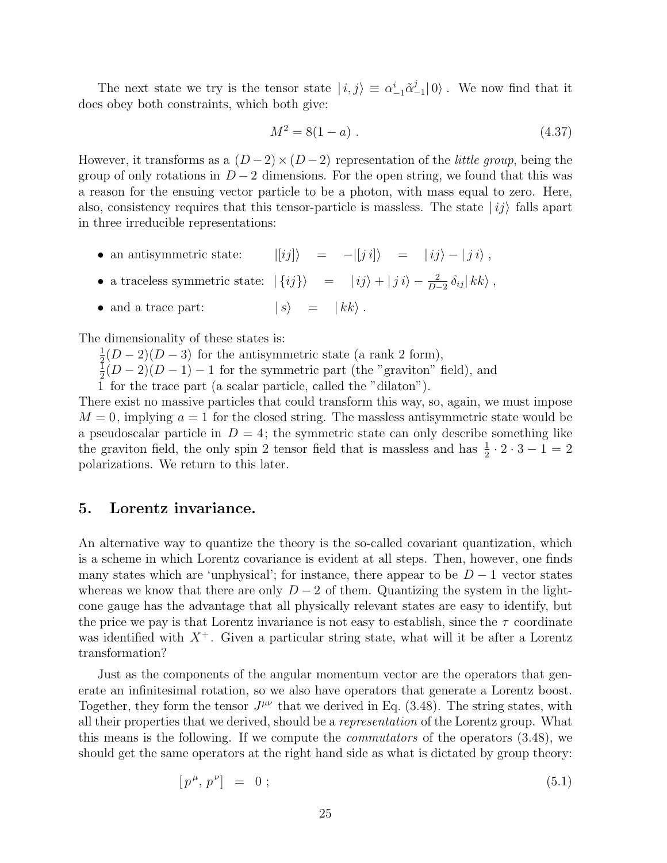The next state we try is the tensor state  $|i,j\rangle \equiv \alpha^i_{-1} \tilde{\alpha}^j_{-1}$  $\binom{J}{-1}$  (0). We now find that it does obey both constraints, which both give:

$$
M^2 = 8(1 - a) \tag{4.37}
$$

However, it transforms as a  $(D-2) \times (D-2)$  representation of the *little group*, being the group of only rotations in  $D-2$  dimensions. For the open string, we found that this was a reason for the ensuing vector particle to be a photon, with mass equal to zero. Here, also, consistency requires that this tensor-particle is massless. The state  $|i j \rangle$  falls apart in three irreducible representations:

- an antisymmetric state:  $|[ij]\rangle = -|[ji]\rangle = |ij\rangle |ji\rangle$ ,
- a traceless symmetric state:  $| \{ ij \} \rangle = | ij \rangle + | j i \rangle \frac{2}{D-2} \delta_{ij} | k k \rangle$ ,
- and a trace part:  $| s \rangle = | k k \rangle$ .

The dimensionality of these states is:

1  $\frac{1}{2}(D-2)(D-3)$  for the antisymmetric state (a rank 2 form),

1  $\frac{1}{2}(D-2)(D-1)-1$  for the symmetric part (the "graviton" field), and

1 for the trace part (a scalar particle, called the "dilaton").

There exist no massive particles that could transform this way, so, again, we must impose  $M = 0$ , implying  $a = 1$  for the closed string. The massless antisymmetric state would be a pseudoscalar particle in  $D = 4$ ; the symmetric state can only describe something like the graviton field, the only spin 2 tensor field that is massless and has  $\frac{1}{2} \cdot 2 \cdot 3 - 1 = 2$ polarizations. We return to this later.

## 5. Lorentz invariance.

An alternative way to quantize the theory is the so-called covariant quantization, which is a scheme in which Lorentz covariance is evident at all steps. Then, however, one finds many states which are 'unphysical'; for instance, there appear to be  $D-1$  vector states whereas we know that there are only  $D-2$  of them. Quantizing the system in the lightcone gauge has the advantage that all physically relevant states are easy to identify, but the price we pay is that Lorentz invariance is not easy to establish, since the  $\tau$  coordinate was identified with  $X^+$ . Given a particular string state, what will it be after a Lorentz transformation?

Just as the components of the angular momentum vector are the operators that generate an infinitesimal rotation, so we also have operators that generate a Lorentz boost. Together, they form the tensor  $J^{\mu\nu}$  that we derived in Eq. (3.48). The string states, with all their properties that we derived, should be a representation of the Lorentz group. What this means is the following. If we compute the commutators of the operators (3.48), we should get the same operators at the right hand side as what is dictated by group theory:

$$
[p^{\mu}, p^{\nu}] = 0; \tag{5.1}
$$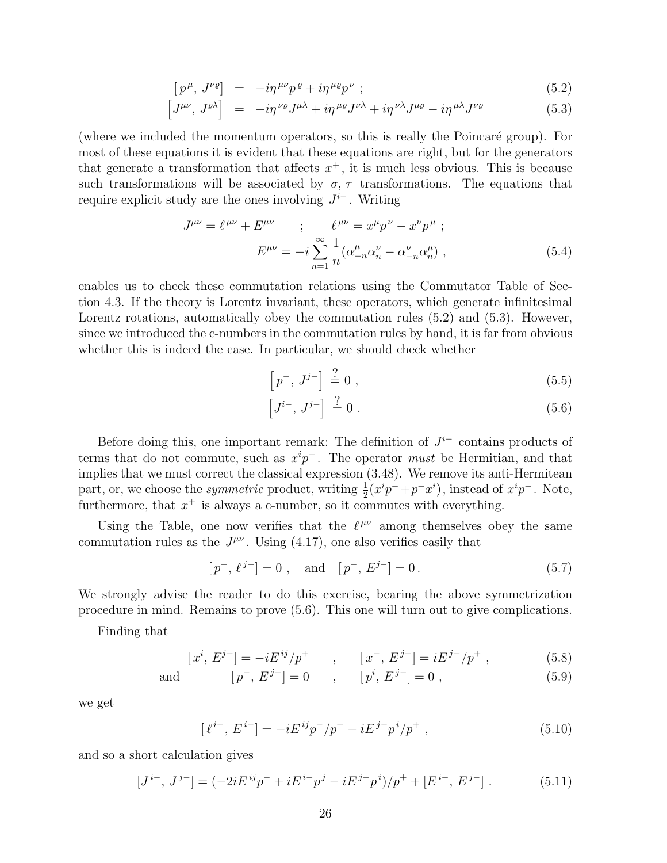$$
[p^{\mu}, J^{\nu\rho}] = -i\eta^{\mu\nu}p^{\rho} + i\eta^{\mu\rho}p^{\nu} ; \qquad (5.2)
$$

$$
\begin{bmatrix} J^{\mu\nu}, J^{\rho\lambda} \end{bmatrix} = -i\eta^{\nu\rho} J^{\mu\lambda} + i\eta^{\mu\rho} J^{\nu\lambda} + i\eta^{\nu\lambda} J^{\mu\rho} - i\eta^{\mu\lambda} J^{\nu\rho} \tag{5.3}
$$

(where we included the momentum operators, so this is really the Poincaré group). For most of these equations it is evident that these equations are right, but for the generators that generate a transformation that affects  $x^+$ , it is much less obvious. This is because such transformations will be associated by  $\sigma$ ,  $\tau$  transformations. The equations that require explicit study are the ones involving  $J^{i-}$ . Writing

$$
J^{\mu\nu} = \ell^{\mu\nu} + E^{\mu\nu} \qquad ; \qquad \ell^{\mu\nu} = x^{\mu}p^{\nu} - x^{\nu}p^{\mu} \; ;
$$

$$
E^{\mu\nu} = -i\sum_{n=1}^{\infty} \frac{1}{n} (\alpha^{\mu}_{-n}\alpha^{\nu}_{n} - \alpha^{\nu}_{-n}\alpha^{\mu}_{n}) \; , \tag{5.4}
$$

enables us to check these commutation relations using the Commutator Table of Section 4.3. If the theory is Lorentz invariant, these operators, which generate infinitesimal Lorentz rotations, automatically obey the commutation rules (5.2) and (5.3). However, since we introduced the c-numbers in the commutation rules by hand, it is far from obvious whether this is indeed the case. In particular, we should check whether

$$
\left[p^{-}, J^{j-}\right] \stackrel{?}{=} 0 ,\t\t(5.5)
$$

$$
\left[J^{i-},\,J^{j-}\right]\,\stackrel{?}{=}\,0\,\,.
$$
\n
$$
(5.6)
$$

Before doing this, one important remark: The definition of  $J^{i-}$  contains products of terms that do not commute, such as  $x^{i}p^{-}$ . The operator must be Hermitian, and that implies that we must correct the classical expression (3.48). We remove its anti-Hermitean part, or, we choose the *symmetric* product, writing  $\frac{1}{2}(x^i p^- + p^- x^i)$ , instead of  $x^i p^-$ . Note, part, or, we enouse the *symmetric* product, writing  $_2(x p + p x)$ , instead or<br>furthermore, that  $x^+$  is always a c-number, so it commutes with everything.

Using the Table, one now verifies that the  $\ell^{\mu\nu}$  among themselves obey the same commutation rules as the  $J^{\mu\nu}$ . Using (4.17), one also verifies easily that

$$
[p^-, \ell^{j-}] = 0
$$
, and  $[p^-, E^{j-}] = 0$ . (5.7)

We strongly advise the reader to do this exercise, bearing the above symmetrization procedure in mind. Remains to prove (5.6). This one will turn out to give complications.

Finding that

$$
[x^{i}, E^{j-}] = -iE^{ij}/p^{+} \qquad , \qquad [x^{-}, E^{j-}] = iE^{j-}/p^{+} \; , \tag{5.8}
$$

and 
$$
[p^-, E^{j-}] = 0
$$
,  $[p^i, E^{j-}] = 0$ ,  $(5.9)$ 

we get

$$
[\ell^{i-}, E^{i-}] = -iE^{ij}p^{-}/p^{+} - iE^{j-p}p^{i}/p^{+} , \qquad (5.10)
$$

and so a short calculation gives

$$
[J^{i-}, J^{j-}] = (-2iE^{ij}p^- + iE^{i-}p^j - iE^{j-}p^i)/p^+ + [E^{i-}, E^{j-}]. \qquad (5.11)
$$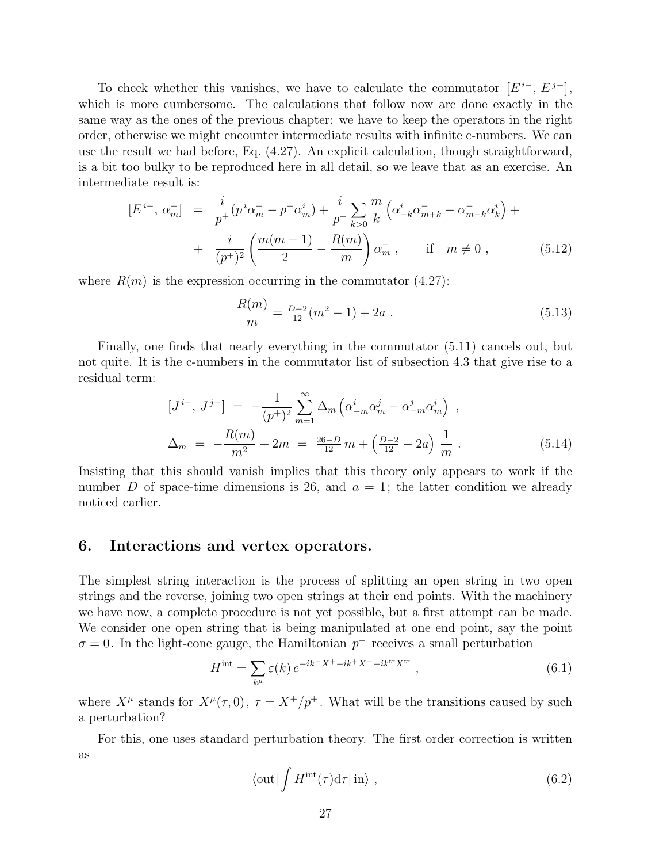To check whether this vanishes, we have to calculate the commutator  $[E^{i-}, E^{j-}],$ which is more cumbersome. The calculations that follow now are done exactly in the same way as the ones of the previous chapter: we have to keep the operators in the right order, otherwise we might encounter intermediate results with infinite c-numbers. We can use the result we had before, Eq. (4.27). An explicit calculation, though straightforward, is a bit too bulky to be reproduced here in all detail, so we leave that as an exercise. An intermediate result is:

$$
[E^{i-}, \alpha_m^-] = \frac{i}{p^+} (p^i \alpha_m^- - p^- \alpha_m^i) + \frac{i}{p^+} \sum_{k>0} \frac{m}{k} \left( \alpha_{-k}^i \alpha_{m+k}^- - \alpha_{m-k}^- \alpha_k^i \right) +
$$
  
+ 
$$
\frac{i}{(p^+)^2} \left( \frac{m(m-1)}{2} - \frac{R(m)}{m} \right) \alpha_m^- , \quad \text{if} \quad m \neq 0 ,
$$
 (5.12)

where  $R(m)$  is the expression occurring in the commutator  $(4.27)$ :

$$
\frac{R(m)}{m} = \frac{D-2}{12}(m^2 - 1) + 2a \tag{5.13}
$$

Finally, one finds that nearly everything in the commutator (5.11) cancels out, but not quite. It is the c-numbers in the commutator list of subsection 4.3 that give rise to a residual term:

$$
[J^{i-}, J^{j-}] = -\frac{1}{(p^+)^2} \sum_{m=1}^{\infty} \Delta_m \left( \alpha_{-m}^i \alpha_m^j - \alpha_{-m}^j \alpha_m^i \right) ,
$$
  

$$
\Delta_m = -\frac{R(m)}{m^2} + 2m = \frac{26-D}{12} m + \left( \frac{D-2}{12} - 2a \right) \frac{1}{m} .
$$
 (5.14)

Insisting that this should vanish implies that this theory only appears to work if the number D of space-time dimensions is 26, and  $a = 1$ ; the latter condition we already noticed earlier.

### 6. Interactions and vertex operators.

The simplest string interaction is the process of splitting an open string in two open strings and the reverse, joining two open strings at their end points. With the machinery we have now, a complete procedure is not yet possible, but a first attempt can be made. We consider one open string that is being manipulated at one end point, say the point  $\sigma = 0$ . In the light-cone gauge, the Hamiltonian  $p^-$  receives a small perturbation

$$
H^{\text{int}} = \sum_{k^{\mu}} \varepsilon(k) e^{-ik^-X^+ - ik^+X^- + ik^{\text{tr}}X^{\text{tr}}}, \qquad (6.1)
$$

where  $X^{\mu}$  stands for  $X^{\mu}(\tau,0)$ ,  $\tau = X^{+}/p^{+}$ . What will be the transitions caused by such a perturbation?

For this, one uses standard perturbation theory. The first order correction is written as

$$
\langle \text{out} | \int H^{\text{int}}(\tau) d\tau | \text{ in} \rangle , \qquad (6.2)
$$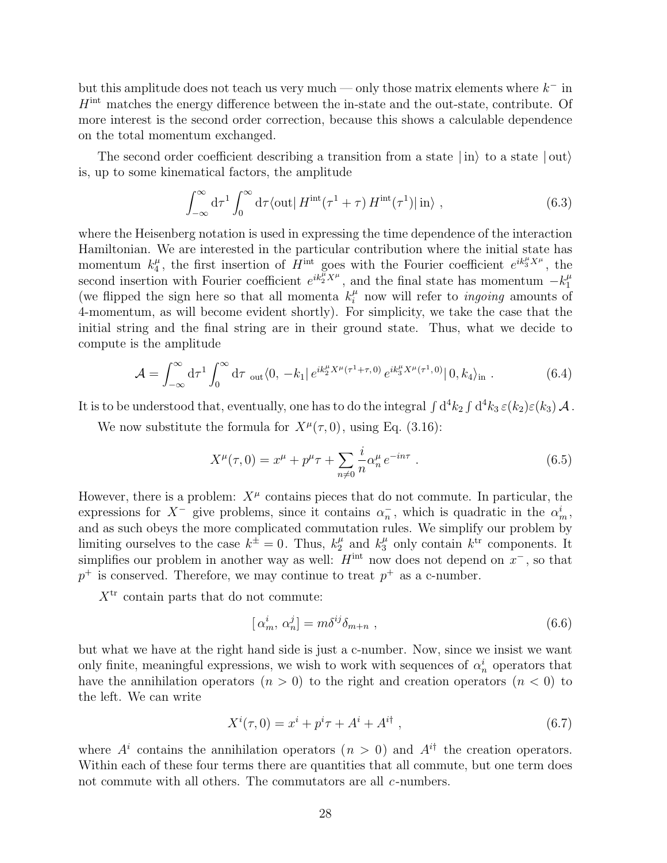but this amplitude does not teach us very much — only those matrix elements where  $k^-$  in  $H<sup>int</sup>$  matches the energy difference between the in-state and the out-state, contribute. Of more interest is the second order correction, because this shows a calculable dependence on the total momentum exchanged.

The second order coefficient describing a transition from a state  $|\text{in}\rangle$  to a state  $|\text{out}\rangle$ is, up to some kinematical factors, the amplitude

$$
\int_{-\infty}^{\infty} d\tau \int_{0}^{\infty} d\tau \langle \text{out} | H^{\text{int}}(\tau^{1} + \tau) H^{\text{int}}(\tau^{1}) | \text{in} \rangle , \qquad (6.3)
$$

where the Heisenberg notation is used in expressing the time dependence of the interaction Hamiltonian. We are interested in the particular contribution where the initial state has momentum  $k_4^{\mu}$  $\mu$ , the first insertion of  $\hat{H}^{\text{int}}$  goes with the Fourier coefficient  $e^{ik_3^{\mu}X^{\mu}}$ , the second insertion with Fourier coefficient  $e^{ik_2^{\mu}X^{\mu}}$ , and the final state has momentum  $-k_1^{\mu}$ 1 (we flipped the sign here so that all momenta  $k_i^{\mu}$  now will refer to *ingoing* amounts of 4-momentum, as will become evident shortly). For simplicity, we take the case that the initial string and the final string are in their ground state. Thus, what we decide to compute is the amplitude

$$
\mathcal{A} = \int_{-\infty}^{\infty} d\tau^1 \int_0^{\infty} d\tau \, \mathrm{_{out}} \langle 0, -k_1 | e^{ik_2^{\mu} X^{\mu} (\tau^1 + \tau, 0)} e^{ik_3^{\mu} X^{\mu} (\tau^1, 0)} | 0, k_4 \rangle_{\mathrm{in}} \,. \tag{6.4}
$$

It is to be understood that, eventually, one has to do the integral  $\int d^4k_2 \int d^4k_3 \, \varepsilon(k_2) \varepsilon(k_3) \, {\cal A}$  .

We now substitute the formula for  $X^{\mu}(\tau,0)$ , using Eq. (3.16):

$$
X^{\mu}(\tau,0) = x^{\mu} + p^{\mu}\tau + \sum_{n \neq 0} \frac{i}{n} \alpha_n^{\mu} e^{-in\tau} . \tag{6.5}
$$

However, there is a problem:  $X^{\mu}$  contains pieces that do not commute. In particular, the expressions for  $X^-$  give problems, since it contains  $\alpha_n^-$ , which is quadratic in the  $\alpha_m^i$ , and as such obeys the more complicated commutation rules. We simplify our problem by limiting ourselves to the case  $k^{\pm} = 0$ . Thus,  $k_2^{\mu}$  and  $k_3^{\mu}$  only contain  $k^{\text{tr}}$  components. It simplifies our problem in another way as well:  $H<sup>int</sup>$  now does not depend on  $x^-$ , so that  $p^+$  is conserved. Therefore, we may continue to treat  $p^+$  as a c-number.

 $X<sup>tr</sup>$  contain parts that do not commute:

$$
[\alpha_m^i, \alpha_n^j] = m\delta^{ij}\delta_{m+n} , \qquad (6.6)
$$

but what we have at the right hand side is just a c-number. Now, since we insist we want only finite, meaningful expressions, we wish to work with sequences of  $\alpha_n^i$  operators that have the annihilation operators  $(n > 0)$  to the right and creation operators  $(n < 0)$  to the left. We can write

$$
X^{i}(\tau,0) = x^{i} + p^{i}\tau + A^{i} + A^{i\dagger} , \qquad (6.7)
$$

where  $A^i$  contains the annihilation operators  $(n > 0)$  and  $A^{i\dagger}$  the creation operators. Within each of these four terms there are quantities that all commute, but one term does not commute with all others. The commutators are all c-numbers.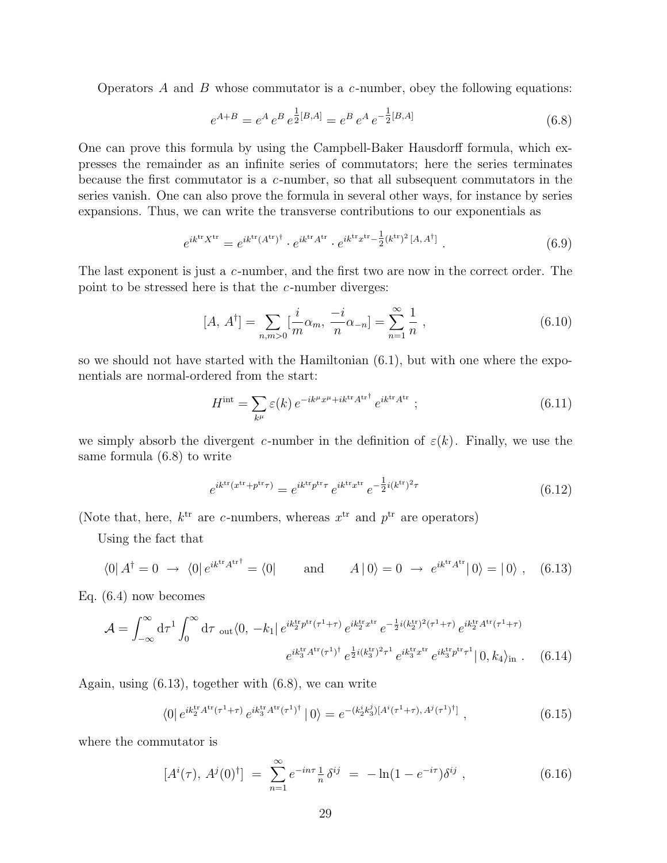Operators  $\tilde{A}$  and  $\tilde{B}$  whose commutator is a c-number, obey the following equations:

$$
e^{A+B} = e^A e^B e^{\frac{1}{2}[B,A]} = e^B e^A e^{-\frac{1}{2}[B,A]}
$$
\n(6.8)

One can prove this formula by using the Campbell-Baker Hausdorff formula, which expresses the remainder as an infinite series of commutators; here the series terminates because the first commutator is a c-number, so that all subsequent commutators in the series vanish. One can also prove the formula in several other ways, for instance by series expansions. Thus, we can write the transverse contributions to our exponentials as

$$
e^{ik^{\text{tr}}X^{\text{tr}}} = e^{ik^{\text{tr}}(A^{\text{tr}})^{\dagger}} \cdot e^{ik^{\text{tr}}A^{\text{tr}}} \cdot e^{ik^{\text{tr}}x^{\text{tr}} - \frac{1}{2}(k^{\text{tr}})^{2}[A, A^{\dagger}]} \tag{6.9}
$$

The last exponent is just a c-number, and the first two are now in the correct order. The point to be stressed here is that the c-number diverges:

$$
[A, A^{\dagger}] = \sum_{n,m>0} \left[\frac{i}{m}\alpha_m, \frac{-i}{n}\alpha_{-n}\right] = \sum_{n=1}^{\infty} \frac{1}{n},\tag{6.10}
$$

so we should not have started with the Hamiltonian  $(6.1)$ , but with one where the exponentials are normal-ordered from the start:

$$
H^{\text{int}} = \sum_{k^{\mu}} \varepsilon(k) e^{-ik^{\mu}x^{\mu} + ik^{\text{tr}}A^{\text{tr}\dagger}} e^{ik^{\text{tr}}A^{\text{tr}}};
$$
\n(6.11)

we simply absorb the divergent c-number in the definition of  $\varepsilon(k)$ . Finally, we use the same formula (6.8) to write

$$
e^{ik^{\text{tr}}(x^{\text{tr}} + p^{\text{tr}}\tau)} = e^{ik^{\text{tr}}p^{\text{tr}}\tau} e^{ik^{\text{tr}}x^{\text{tr}}} e^{-\frac{1}{2}i(k^{\text{tr}})^2\tau}
$$
(6.12)

(Note that, here,  $k^{\text{tr}}$  are c-numbers, whereas  $x^{\text{tr}}$  and  $p^{\text{tr}}$  are operators)

Using the fact that

$$
\langle 0 | A^{\dagger} = 0 \rightarrow \langle 0 | e^{ik^{\text{tr}} A^{\text{tr}\dagger}} = \langle 0 | \quad \text{and} \quad A | 0 \rangle = 0 \rightarrow e^{ik^{\text{tr}} A^{\text{tr}} | 0 \rangle = | 0 \rangle , \quad (6.13)
$$

Eq. (6.4) now becomes

$$
\mathcal{A} = \int_{-\infty}^{\infty} d\tau \int_{0}^{\infty} d\tau \int_{0}^{\infty} d\tau \int_{0}^{\infty} d\tau \int_{0}^{\infty} (0, -k_{1}|e^{ik_{2}^{\text{tr}}p^{\text{tr}}(\tau^{1}+\tau)}e^{ik_{2}^{\text{tr}}x^{\text{tr}}}e^{-\frac{1}{2}i(k_{2}^{\text{tr}})^{2}(\tau^{1}+\tau)}e^{ik_{2}^{\text{tr}}A^{\text{tr}}(\tau^{1}+\tau)}e^{ik_{3}^{\text{tr}}p^{\text{tr}}\tau^{1}}|0, k_{4}\rangle_{\text{in}} . \tag{6.14}
$$

Again, using (6.13), together with (6.8), we can write

$$
\langle 0 | e^{ik_2^{\text{tr}} A^{\text{tr}} (\tau^1 + \tau)} e^{ik_3^{\text{tr}} A^{\text{tr}} (\tau^1)^\dagger} | 0 \rangle = e^{-(k_2^i k_3^j) [A^i (\tau^1 + \tau), A^j (\tau^1)^\dagger]}, \qquad (6.15)
$$

where the commutator is

$$
[A^{i}(\tau), A^{j}(0)^{\dagger}] = \sum_{n=1}^{\infty} e^{-in\tau} \frac{1}{n} \delta^{ij} = -\ln(1 - e^{-i\tau}) \delta^{ij}, \qquad (6.16)
$$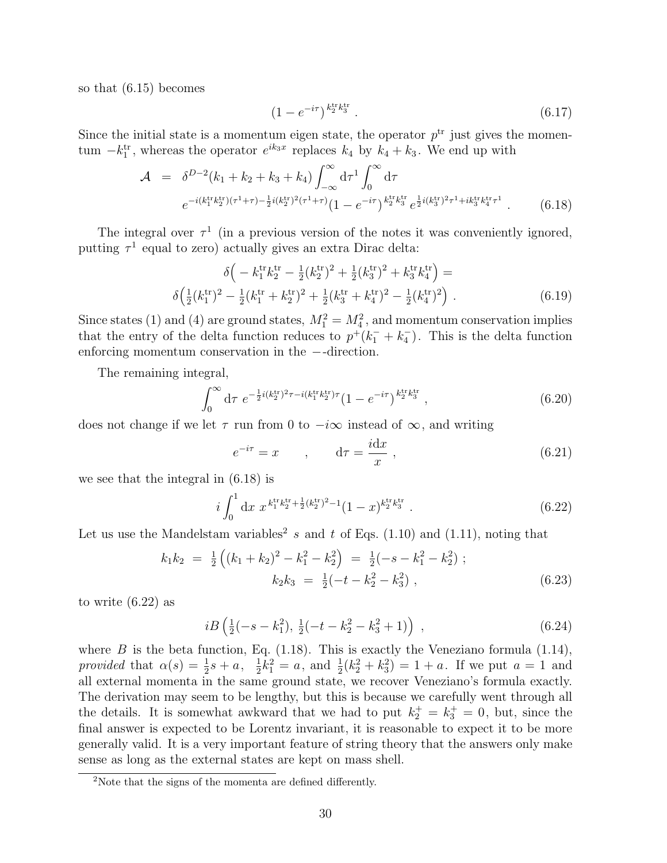so that (6.15) becomes

$$
(1 - e^{-i\tau})^{\binom{k^{\text{tr}}k^{\text{tr}}}{2}}.
$$
\n(6.17)

Since the initial state is a momentum eigen state, the operator  $p<sup>tr</sup>$  just gives the momentum  $-k_1^{\text{tr}}$ , whereas the operator  $e^{ik_3x}$  replaces  $k_4$  by  $k_4 + k_3$ . We end up with

$$
\mathcal{A} = \delta^{D-2}(k_1 + k_2 + k_3 + k_4) \int_{-\infty}^{\infty} d\tau^1 \int_0^{\infty} d\tau
$$
  

$$
e^{-i(k_1^{\text{tr}}k_2^{\text{tr}})(\tau^1 + \tau) - \frac{1}{2}i(k_2^{\text{tr}})^2(\tau^1 + \tau)} (1 - e^{-i\tau})^{k_2^{\text{tr}}k_3^{\text{tr}}} e^{\frac{1}{2}i(k_3^{\text{tr}})^2 \tau^1 + ik_3^{\text{tr}}k_4^{\text{tr}} \tau^1}.
$$
 (6.18)

The integral over  $\tau^1$  (in a previous version of the notes it was conveniently ignored, putting  $\tau^1$  equal to zero) actually gives an extra Dirac delta:

$$
\delta \left( -k_1^{\text{tr}} k_2^{\text{tr}} - \frac{1}{2} (k_2^{\text{tr}})^2 + \frac{1}{2} (k_3^{\text{tr}})^2 + k_3^{\text{tr}} k_4^{\text{tr}} \right) =
$$
  

$$
\delta \left( \frac{1}{2} (k_1^{\text{tr}})^2 - \frac{1}{2} (k_1^{\text{tr}} + k_2^{\text{tr}})^2 + \frac{1}{2} (k_3^{\text{tr}} + k_4^{\text{tr}})^2 - \frac{1}{2} (k_4^{\text{tr}})^2 \right).
$$
 (6.19)

Since states (1) and (4) are ground states,  $M_1^2 = M_4^2$ , and momentum conservation implies that the entry of the delta function reduces to  $p^+(k_1^- + k_4^-)$ . This is the delta function enforcing momentum conservation in the −-direction.

The remaining integral,

$$
\int_0^\infty d\tau \ e^{-\frac{1}{2}i(k_2^{\text{tr}})^2 \tau - i(k_1^{\text{tr}} k_2^{\text{tr}}) \tau} (1 - e^{-i\tau})^{\frac{k_1^{\text{tr}} k_3^{\text{tr}}}{2}}, \tag{6.20}
$$

does not change if we let  $\tau$  run from 0 to  $-i\infty$  instead of  $\infty$ , and writing

$$
e^{-i\tau} = x \qquad , \qquad d\tau = \frac{i dx}{x} \; , \tag{6.21}
$$

we see that the integral in (6.18) is

$$
i\int_0^1 \mathrm{d}x \ x^{k_1^{\text{tr}}k_2^{\text{tr}} + \frac{1}{2}(k_2^{\text{tr}})^2 - 1}(1-x)^{k_2^{\text{tr}}k_3^{\text{tr}}}.
$$
 (6.22)

Let us use the Mandelstam variables<sup>2</sup> s and t of Eqs. (1.10) and (1.11), noting that

$$
k_1 k_2 = \frac{1}{2} \left( (k_1 + k_2)^2 - k_1^2 - k_2^2 \right) = \frac{1}{2} (-s - k_1^2 - k_2^2) ;
$$
  
\n
$$
k_2 k_3 = \frac{1}{2} (-t - k_2^2 - k_3^2) ,
$$
\n(6.23)

to write (6.22) as

$$
iB\left(\frac{1}{2}(-s-k_1^2),\,\frac{1}{2}(-t-k_2^2-k_3^2+1)\right) \,,\tag{6.24}
$$

where  $B$  is the beta function, Eq. (1.18). This is exactly the Veneziano formula (1.14), provided that  $\alpha(s) = \frac{1}{2}s + a, \frac{1}{2}$  $\frac{1}{2}k_1^2 = a$ , and  $\frac{1}{2}(k_2^2 + k_3^2) = 1 + a$ . If we put  $a = 1$  and all external momenta in the same ground state, we recover Veneziano's formula exactly. The derivation may seem to be lengthy, but this is because we carefully went through all the details. It is somewhat awkward that we had to put  $k_2^+ = k_3^+ = 0$ , but, since the final answer is expected to be Lorentz invariant, it is reasonable to expect it to be more generally valid. It is a very important feature of string theory that the answers only make sense as long as the external states are kept on mass shell.

<sup>2</sup>Note that the signs of the momenta are defined differently.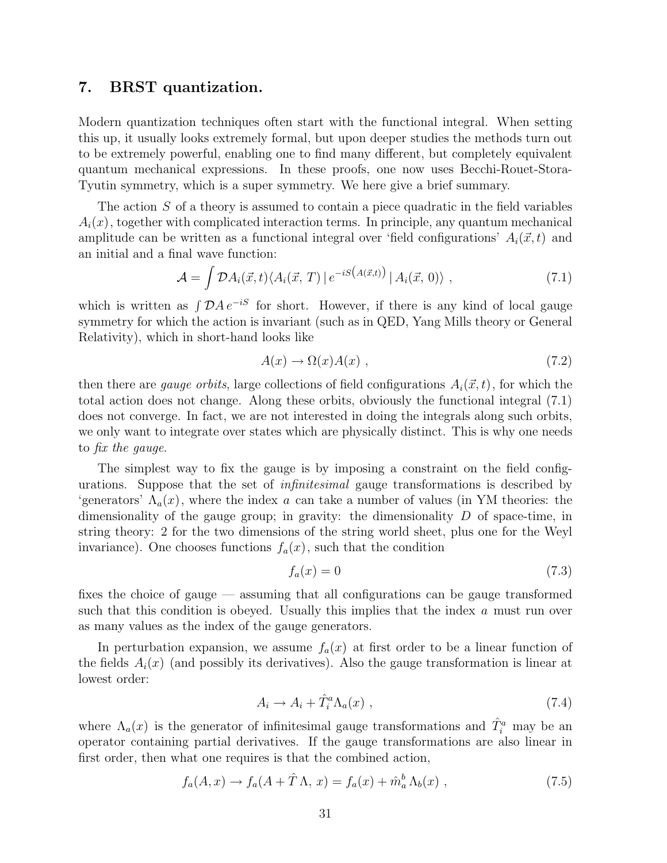# 7. BRST quantization.

Modern quantization techniques often start with the functional integral. When setting this up, it usually looks extremely formal, but upon deeper studies the methods turn out to be extremely powerful, enabling one to find many different, but completely equivalent quantum mechanical expressions. In these proofs, one now uses Becchi-Rouet-Stora-Tyutin symmetry, which is a super symmetry. We here give a brief summary.

The action S of a theory is assumed to contain a piece quadratic in the field variables  $A_i(x)$ , together with complicated interaction terms. In principle, any quantum mechanical amplitude can be written as a functional integral over 'field configurations'  $A_i(\vec{x}, t)$  and an initial and a final wave function:

$$
\mathcal{A} = \int \mathcal{D}A_i(\vec{x},t) \langle A_i(\vec{x},T) | e^{-iS(A(\vec{x},t))} | A_i(\vec{x},0) \rangle , \qquad (7.1)
$$

which is written as  $\int \mathcal{D}A e^{-iS}$  for short. However, if there is any kind of local gauge symmetry for which the action is invariant (such as in QED, Yang Mills theory or General Relativity), which in short-hand looks like

$$
A(x) \to \Omega(x)A(x) , \qquad (7.2)
$$

then there are *gauge orbits*, large collections of field configurations  $A_i(\vec{x}, t)$ , for which the total action does not change. Along these orbits, obviously the functional integral (7.1) does not converge. In fact, we are not interested in doing the integrals along such orbits, we only want to integrate over states which are physically distinct. This is why one needs to fix the gauge.

The simplest way to fix the gauge is by imposing a constraint on the field configurations. Suppose that the set of infinitesimal gauge transformations is described by 'generators'  $\Lambda_a(x)$ , where the index a can take a number of values (in YM theories: the dimensionality of the gauge group; in gravity: the dimensionality  $D$  of space-time, in string theory: 2 for the two dimensions of the string world sheet, plus one for the Weyl invariance). One chooses functions  $f_a(x)$ , such that the condition

$$
f_a(x) = 0\tag{7.3}
$$

fixes the choice of gauge — assuming that all configurations can be gauge transformed such that this condition is obeyed. Usually this implies that the index a must run over as many values as the index of the gauge generators.

In perturbation expansion, we assume  $f_a(x)$  at first order to be a linear function of the fields  $A_i(x)$  (and possibly its derivatives). Also the gauge transformation is linear at lowest order:

$$
A_i \to A_i + \hat{T}_i^a \Lambda_a(x) \tag{7.4}
$$

where  $\Lambda_a(x)$  is the generator of infinitesimal gauge transformations and  $\hat{T}_i^a$  may be an operator containing partial derivatives. If the gauge transformations are also linear in first order, then what one requires is that the combined action,

$$
f_a(A, x) \to f_a(A + \hat{T} \Lambda, x) = f_a(x) + \hat{m}_a^b \Lambda_b(x) , \qquad (7.5)
$$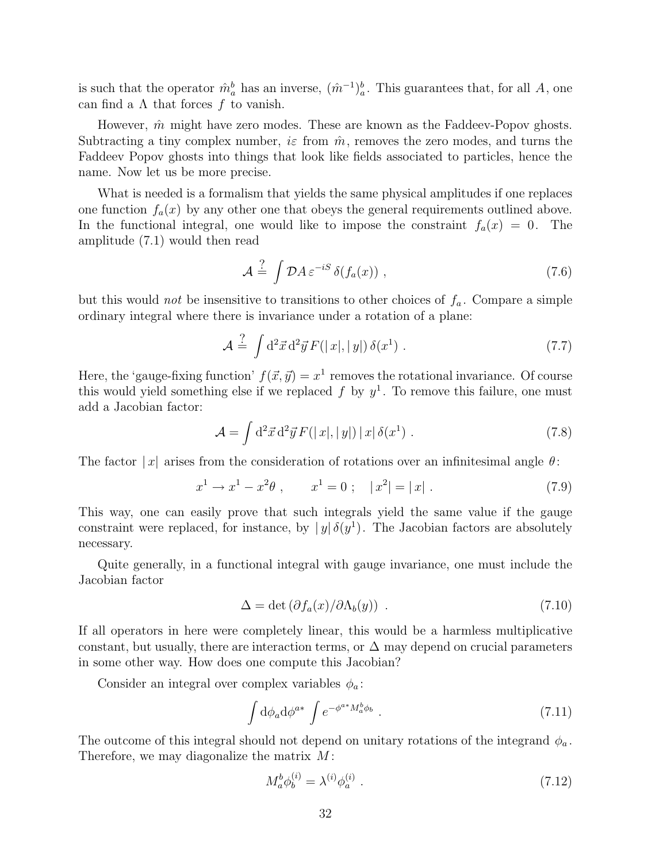is such that the operator  $\hat{m}_a^b$  has an inverse,  $(\hat{m}^{-1})_a^b$ . This guarantees that, for all A, one can find a  $\Lambda$  that forces f to vanish.

However,  $\hat{m}$  might have zero modes. These are known as the Faddeev-Popov ghosts. Subtracting a tiny complex number,  $i\varepsilon$  from  $\hat{m}$ , removes the zero modes, and turns the Faddeev Popov ghosts into things that look like fields associated to particles, hence the name. Now let us be more precise.

What is needed is a formalism that yields the same physical amplitudes if one replaces one function  $f_a(x)$  by any other one that obeys the general requirements outlined above. In the functional integral, one would like to impose the constraint  $f_a(x) = 0$ . The amplitude (7.1) would then read

$$
\mathcal{A} \stackrel{?}{=} \int \mathcal{D}A \,\varepsilon^{-iS} \,\delta(f_a(x)) \;, \tag{7.6}
$$

but this would *not* be insensitive to transitions to other choices of  $f_a$ . Compare a simple ordinary integral where there is invariance under a rotation of a plane:

$$
\mathcal{A} \stackrel{?}{=} \int d^2 \vec{x} d^2 \vec{y} F(|x|, |y|) \delta(x^1) . \tag{7.7}
$$

Here, the 'gauge-fixing function'  $f(\vec{x}, \vec{y}) = x^1$  removes the rotational invariance. Of course this would yield something else if we replaced  $f$  by  $y^1$ . To remove this failure, one must add a Jacobian factor:

$$
\mathcal{A} = \int d^2 \vec{x} d^2 \vec{y} F(|x|, |y|) |x| \delta(x^1) . \qquad (7.8)
$$

The factor  $|x|$  arises from the consideration of rotations over an infinitesimal angle  $\theta$ :

$$
x^{1} \to x^{1} - x^{2} \theta , \qquad x^{1} = 0 ; \quad |x^{2}| = |x| . \tag{7.9}
$$

This way, one can easily prove that such integrals yield the same value if the gauge constraint were replaced, for instance, by  $|y|\delta(y^1)$ . The Jacobian factors are absolutely necessary.

Quite generally, in a functional integral with gauge invariance, one must include the Jacobian factor

$$
\Delta = \det \left( \partial f_a(x) / \partial \Lambda_b(y) \right) \tag{7.10}
$$

If all operators in here were completely linear, this would be a harmless multiplicative constant, but usually, there are interaction terms, or  $\Delta$  may depend on crucial parameters in some other way. How does one compute this Jacobian?

Consider an integral over complex variables  $\phi_a$ :

$$
\int d\phi_a d\phi^{a*} \int e^{-\phi^{a*} M_a^b \phi_b} \ . \tag{7.11}
$$

The outcome of this integral should not depend on unitary rotations of the integrand  $\phi_a$ . Therefore, we may diagonalize the matrix  $M$ :

$$
M_a^b \phi_b^{(i)} = \lambda^{(i)} \phi_a^{(i)} \tag{7.12}
$$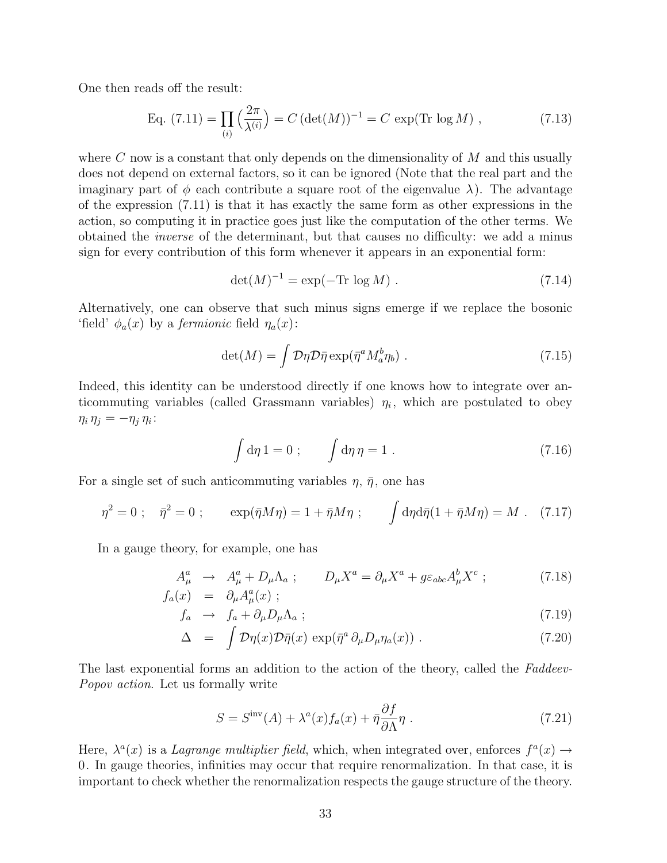One then reads off the result:

Eq. (7.11) = 
$$
\prod_{(i)} \left(\frac{2\pi}{\lambda^{(i)}}\right) = C \left(\det(M)\right)^{-1} = C \exp(\text{Tr}\log M)
$$
, (7.13)

where  $C$  now is a constant that only depends on the dimensionality of  $M$  and this usually does not depend on external factors, so it can be ignored (Note that the real part and the imaginary part of  $\phi$  each contribute a square root of the eigenvalue  $\lambda$ ). The advantage of the expression (7.11) is that it has exactly the same form as other expressions in the action, so computing it in practice goes just like the computation of the other terms. We obtained the inverse of the determinant, but that causes no difficulty: we add a minus sign for every contribution of this form whenever it appears in an exponential form:

$$
\det(M)^{-1} = \exp(-\text{Tr}\,\log M) \tag{7.14}
$$

Alternatively, one can observe that such minus signs emerge if we replace the bosonic 'field'  $\phi_a(x)$  by a *fermionic* field  $\eta_a(x)$ :

$$
\det(M) = \int \mathcal{D}\eta \mathcal{D}\bar{\eta} \exp(\bar{\eta}^a M_a^b \eta_b) \ . \tag{7.15}
$$

Indeed, this identity can be understood directly if one knows how to integrate over anticommuting variables (called Grassmann variables)  $\eta_i$ , which are postulated to obey  $\eta_i \eta_j = -\eta_j \eta_i$ :

$$
\int d\eta 1 = 0 ; \qquad \int d\eta \, \eta = 1 . \tag{7.16}
$$

For a single set of such anticommuting variables  $\eta$ ,  $\bar{\eta}$ , one has

$$
\eta^2 = 0 \; ; \quad \bar{\eta}^2 = 0 \; ; \qquad \exp(\bar{\eta}M\eta) = 1 + \bar{\eta}M\eta \; ; \qquad \int d\eta d\bar{\eta} (1 + \bar{\eta}M\eta) = M \; . \tag{7.17}
$$

In a gauge theory, for example, one has

$$
A_{\mu}^{a} \rightarrow A_{\mu}^{a} + D_{\mu} \Lambda_{a} ; \qquad D_{\mu} X^{a} = \partial_{\mu} X^{a} + g \varepsilon_{abc} A_{\mu}^{b} X^{c} ; \qquad (7.18)
$$
  

$$
f_{a}(x) = \partial_{\mu} A_{\mu}^{a}(x) ;
$$

$$
f_a \rightarrow f_a + \partial_\mu D_\mu \Lambda_a ; \qquad (7.19)
$$

$$
\Delta = \int \mathcal{D}\eta(x)\mathcal{D}\bar{\eta}(x) \exp(\bar{\eta}^a \partial_\mu D_\mu \eta_a(x)) . \qquad (7.20)
$$

The last exponential forms an addition to the action of the theory, called the Faddeev-Popov action. Let us formally write

$$
S = Sinv(A) + \lambdaa(x)fa(x) + \bar{\eta}\frac{\partial f}{\partial \Lambda}\eta.
$$
 (7.21)

Here,  $\lambda^a(x)$  is a *Lagrange multiplier field*, which, when integrated over, enforces  $f^a(x) \rightarrow$ 0. In gauge theories, infinities may occur that require renormalization. In that case, it is important to check whether the renormalization respects the gauge structure of the theory.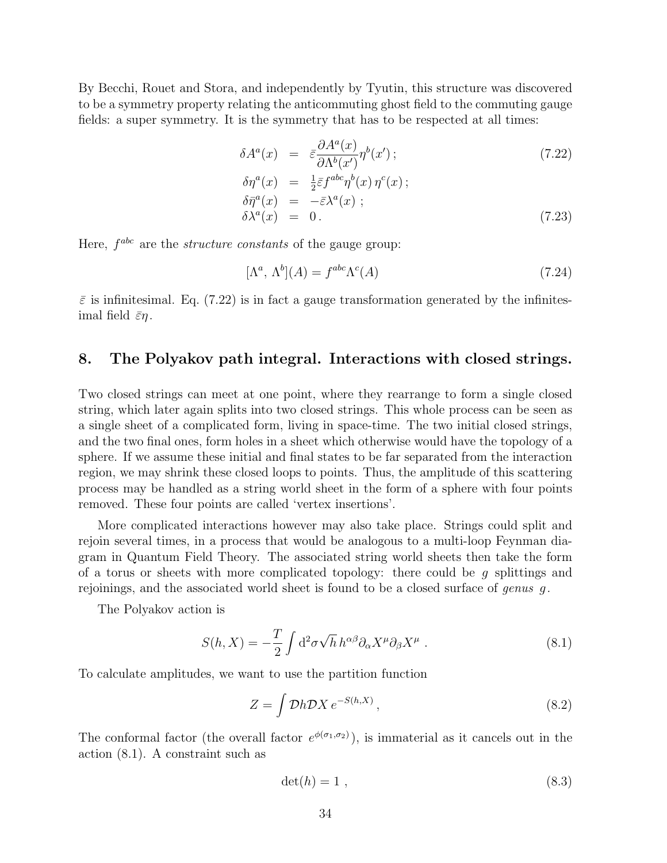By Becchi, Rouet and Stora, and independently by Tyutin, this structure was discovered to be a symmetry property relating the anticommuting ghost field to the commuting gauge fields: a super symmetry. It is the symmetry that has to be respected at all times:

$$
\delta A^{a}(x) = \bar{\varepsilon} \frac{\partial A^{a}(x)}{\partial \Lambda^{b}(x')} \eta^{b}(x') ; \qquad (7.22)
$$

$$
\delta \eta^{a}(x) = \frac{1}{2} \bar{\varepsilon} f^{abc} \eta^{b}(x) \eta^{c}(x) ;
$$
  
\n
$$
\delta \bar{\eta}^{a}(x) = -\bar{\varepsilon} \lambda^{a}(x) ;
$$
  
\n
$$
\delta \lambda^{a}(x) = 0.
$$
\n(7.23)

Here,  $f^{abc}$  are the *structure constants* of the gauge group:

$$
[\Lambda^a, \Lambda^b](A) = f^{abc} \Lambda^c(A) \tag{7.24}
$$

 $\bar{\varepsilon}$  is infinitesimal. Eq. (7.22) is in fact a gauge transformation generated by the infinitesimal field  $\bar{\varepsilon}\eta$ .

# 8. The Polyakov path integral. Interactions with closed strings.

Two closed strings can meet at one point, where they rearrange to form a single closed string, which later again splits into two closed strings. This whole process can be seen as a single sheet of a complicated form, living in space-time. The two initial closed strings, and the two final ones, form holes in a sheet which otherwise would have the topology of a sphere. If we assume these initial and final states to be far separated from the interaction region, we may shrink these closed loops to points. Thus, the amplitude of this scattering process may be handled as a string world sheet in the form of a sphere with four points removed. These four points are called 'vertex insertions'.

More complicated interactions however may also take place. Strings could split and rejoin several times, in a process that would be analogous to a multi-loop Feynman diagram in Quantum Field Theory. The associated string world sheets then take the form of a torus or sheets with more complicated topology: there could be  $g$  splittings and rejoinings, and the associated world sheet is found to be a closed surface of *genus*  $g$ .

The Polyakov action is

$$
S(h, X) = -\frac{T}{2} \int d^2 \sigma \sqrt{h} \, h^{\alpha \beta} \partial_\alpha X^\mu \partial_\beta X^\mu \,. \tag{8.1}
$$

To calculate amplitudes, we want to use the partition function

$$
Z = \int \mathcal{D}h \mathcal{D}X \, e^{-S(h,X)} \,, \tag{8.2}
$$

The conformal factor (the overall factor  $e^{\phi(\sigma_1,\sigma_2)}$ ), is immaterial as it cancels out in the action (8.1). A constraint such as

$$
\det(h) = 1 \tag{8.3}
$$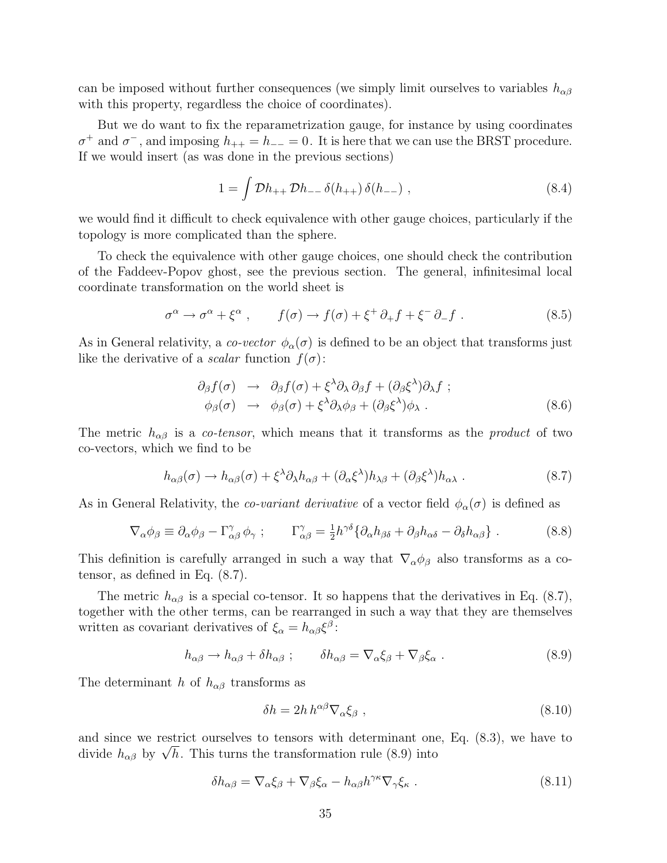can be imposed without further consequences (we simply limit ourselves to variables  $h_{\alpha\beta}$ with this property, regardless the choice of coordinates).

But we do want to fix the reparametrization gauge, for instance by using coordinates  $\sigma^+$  and  $\sigma^-$ , and imposing  $h_{++} = h_{--} = 0$ . It is here that we can use the BRST procedure. If we would insert (as was done in the previous sections)

$$
1 = \int \mathcal{D}h_{++} \mathcal{D}h_{--} \delta(h_{++}) \delta(h_{--}), \qquad (8.4)
$$

we would find it difficult to check equivalence with other gauge choices, particularly if the topology is more complicated than the sphere.

To check the equivalence with other gauge choices, one should check the contribution of the Faddeev-Popov ghost, see the previous section. The general, infinitesimal local coordinate transformation on the world sheet is

$$
\sigma^{\alpha} \to \sigma^{\alpha} + \xi^{\alpha} , \qquad f(\sigma) \to f(\sigma) + \xi^{+} \partial_{+} f + \xi^{-} \partial_{-} f . \qquad (8.5)
$$

As in General relativity, a co-vector  $\phi_{\alpha}(\sigma)$  is defined to be an object that transforms just like the derivative of a *scalar* function  $f(\sigma)$ :

$$
\partial_{\beta} f(\sigma) \rightarrow \partial_{\beta} f(\sigma) + \xi^{\lambda} \partial_{\lambda} \partial_{\beta} f + (\partial_{\beta} \xi^{\lambda}) \partial_{\lambda} f ; \n\phi_{\beta}(\sigma) \rightarrow \phi_{\beta}(\sigma) + \xi^{\lambda} \partial_{\lambda} \phi_{\beta} + (\partial_{\beta} \xi^{\lambda}) \phi_{\lambda} .
$$
\n(8.6)

The metric  $h_{\alpha\beta}$  is a *co-tensor*, which means that it transforms as the *product* of two co-vectors, which we find to be

$$
h_{\alpha\beta}(\sigma) \to h_{\alpha\beta}(\sigma) + \xi^{\lambda}\partial_{\lambda}h_{\alpha\beta} + (\partial_{\alpha}\xi^{\lambda})h_{\lambda\beta} + (\partial_{\beta}\xi^{\lambda})h_{\alpha\lambda} . \tag{8.7}
$$

As in General Relativity, the *co-variant derivative* of a vector field  $\phi_{\alpha}(\sigma)$  is defined as

$$
\nabla_{\alpha}\phi_{\beta} \equiv \partial_{\alpha}\phi_{\beta} - \Gamma^{\gamma}_{\alpha\beta}\phi_{\gamma} ; \qquad \Gamma^{\gamma}_{\alpha\beta} = \frac{1}{2}h^{\gamma\delta}\{\partial_{\alpha}h_{\beta\delta} + \partial_{\beta}h_{\alpha\delta} - \partial_{\delta}h_{\alpha\beta}\} . \tag{8.8}
$$

This definition is carefully arranged in such a way that  $\nabla_{\alpha}\phi_{\beta}$  also transforms as a cotensor, as defined in Eq. (8.7).

The metric  $h_{\alpha\beta}$  is a special co-tensor. It so happens that the derivatives in Eq. (8.7), together with the other terms, can be rearranged in such a way that they are themselves written as covariant derivatives of  $\xi_{\alpha} = h_{\alpha\beta} \xi^{\beta}$ :

$$
h_{\alpha\beta} \to h_{\alpha\beta} + \delta h_{\alpha\beta} \; ; \qquad \delta h_{\alpha\beta} = \nabla_{\alpha} \xi_{\beta} + \nabla_{\beta} \xi_{\alpha} \; . \tag{8.9}
$$

The determinant h of  $h_{\alpha\beta}$  transforms as

$$
\delta h = 2h h^{\alpha\beta} \nabla_{\alpha} \xi_{\beta} , \qquad (8.10)
$$

and since we restrict ourselves to tensors with determinant one, Eq. (8.3), we have to and since we restrict ourselves to tensors with determinant one divide  $h_{\alpha\beta}$  by  $\sqrt{h}$ . This turns the transformation rule (8.9) into

$$
\delta h_{\alpha\beta} = \nabla_{\alpha}\xi_{\beta} + \nabla_{\beta}\xi_{\alpha} - h_{\alpha\beta}h^{\gamma\kappa}\nabla_{\gamma}\xi_{\kappa} . \tag{8.11}
$$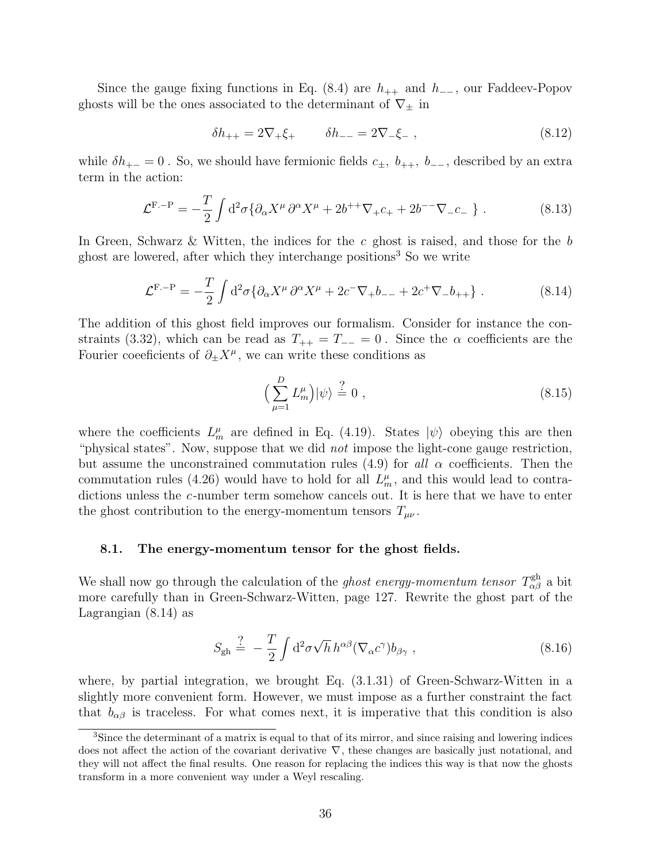Since the gauge fixing functions in Eq. (8.4) are  $h_{++}$  and  $h_{--}$ , our Faddeev-Popov ghosts will be the ones associated to the determinant of  $\nabla_{\pm}$  in

$$
\delta h_{++} = 2\nabla_+ \xi_+ \qquad \delta h_{--} = 2\nabla_- \xi_- \,, \tag{8.12}
$$

while  $\delta h_{+-} = 0$ . So, we should have fermionic fields  $c_{\pm}$ ,  $b_{++}$ ,  $b_{--}$ , described by an extra term in the action:

$$
\mathcal{L}^{\mathcal{F}, -\mathcal{P}} = -\frac{T}{2} \int d^2 \sigma \{ \partial_\alpha X^\mu \, \partial^\alpha X^\mu + 2b^{++} \nabla_+ c_+ + 2b^{--} \nabla_- c_- \} \; . \tag{8.13}
$$

In Green, Schwarz & Witten, the indices for the c ghost is raised, and those for the b ghost are lowered, after which they interchange positions<sup>3</sup> So we write

$$
\mathcal{L}^{\mathcal{F}, -\mathcal{P}} = -\frac{T}{2} \int d^2 \sigma \{ \partial_\alpha X^\mu \, \partial^\alpha X^\mu + 2c^- \nabla_+ b_{--} + 2c^+ \nabla_- b_{++} \} \ . \tag{8.14}
$$

The addition of this ghost field improves our formalism. Consider for instance the constraints (3.32), which can be read as  $T_{++} = T_{--} = 0$ . Since the  $\alpha$  coefficients are the Fourier coefficients of  $\partial_{\pm} X^{\mu}$ , we can write these conditions as

$$
\left(\sum_{\mu=1}^{D} L_m^{\mu}\right) |\psi\rangle \stackrel{?}{=} 0 ,\qquad (8.15)
$$

where the coefficients  $L_m^{\mu}$  are defined in Eq. (4.19). States  $|\psi\rangle$  obeying this are then "physical states". Now, suppose that we did *not* impose the light-cone gauge restriction, but assume the unconstrained commutation rules (4.9) for all  $\alpha$  coefficients. Then the commutation rules (4.26) would have to hold for all  $L_m^{\mu}$ , and this would lead to contradictions unless the c-number term somehow cancels out. It is here that we have to enter the ghost contribution to the energy-momentum tensors  $T_{\mu\nu}$ .

#### 8.1. The energy-momentum tensor for the ghost fields.

We shall now go through the calculation of the *ghost energy-momentum tensor*  $T_{\alpha\beta}^{\text{gh}}$  a bit more carefully than in Green-Schwarz-Witten, page 127. Rewrite the ghost part of the Lagrangian (8.14) as

$$
S_{\text{gh}} \stackrel{?}{=} -\frac{T}{2} \int d^2 \sigma \sqrt{h} \, h^{\alpha \beta} (\nabla_\alpha c^\gamma) b_{\beta \gamma} \,, \tag{8.16}
$$

where, by partial integration, we brought Eq. (3.1.31) of Green-Schwarz-Witten in a slightly more convenient form. However, we must impose as a further constraint the fact that  $b_{\alpha\beta}$  is traceless. For what comes next, it is imperative that this condition is also

<sup>&</sup>lt;sup>3</sup>Since the determinant of a matrix is equal to that of its mirror, and since raising and lowering indices does not affect the action of the covariant derivative  $\nabla$ , these changes are basically just notational, and they will not affect the final results. One reason for replacing the indices this way is that now the ghosts transform in a more convenient way under a Weyl rescaling.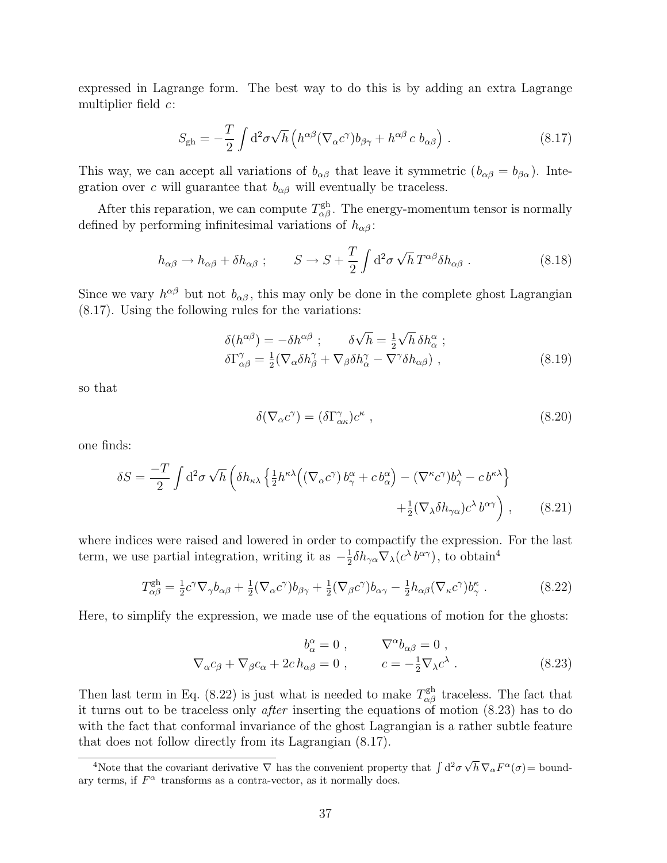expressed in Lagrange form. The best way to do this is by adding an extra Lagrange multiplier field  $c$ :

$$
S_{\rm gh} = -\frac{T}{2} \int d^2 \sigma \sqrt{h} \left( h^{\alpha \beta} (\nabla_{\alpha} c^{\gamma}) b_{\beta \gamma} + h^{\alpha \beta} c b_{\alpha \beta} \right) . \tag{8.17}
$$

This way, we can accept all variations of  $b_{\alpha\beta}$  that leave it symmetric  $(b_{\alpha\beta} = b_{\beta\alpha})$ . Integration over c will guarantee that  $b_{\alpha\beta}$  will eventually be traceless.

After this reparation, we can compute  $T^{\text{gh}}_{\alpha\beta}$ . The energy-momentum tensor is normally defined by performing infinitesimal variations of  $h_{\alpha\beta}$ :

$$
h_{\alpha\beta} \to h_{\alpha\beta} + \delta h_{\alpha\beta} \; ; \qquad S \to S + \frac{T}{2} \int d^2 \sigma \sqrt{h} \, T^{\alpha\beta} \delta h_{\alpha\beta} \; . \tag{8.18}
$$

Since we vary  $h^{\alpha\beta}$  but not  $b_{\alpha\beta}$ , this may only be done in the complete ghost Lagrangian (8.17). Using the following rules for the variations:

$$
\delta(h^{\alpha\beta}) = -\delta h^{\alpha\beta} \; ; \qquad \delta\sqrt{h} = \frac{1}{2}\sqrt{h} \, \delta h^{\alpha}_{\alpha} \; ; \n\delta\Gamma^{\gamma}_{\alpha\beta} = \frac{1}{2} (\nabla_{\alpha}\delta h^{\gamma}_{\beta} + \nabla_{\beta}\delta h^{\gamma}_{\alpha} - \nabla^{\gamma}\delta h_{\alpha\beta}) \; ,
$$
\n(8.19)

so that

$$
\delta(\nabla_{\alpha}c^{\gamma}) = (\delta\Gamma^{\gamma}_{\alpha\kappa})c^{\kappa} , \qquad (8.20)
$$

one finds:

$$
\delta S = \frac{-T}{2} \int d^2 \sigma \sqrt{h} \left( \delta h_{\kappa \lambda} \left\{ \frac{1}{2} h^{\kappa \lambda} \left( (\nabla_\alpha c^\gamma) b_\gamma^\alpha + c b_\alpha^\alpha \right) - (\nabla^\kappa c^\gamma) b_\gamma^\lambda - c b^{\kappa \lambda} \right\} + \frac{1}{2} (\nabla_\lambda \delta h_{\gamma \alpha}) c^\lambda b^{\alpha \gamma} \right), \qquad (8.21)
$$

where indices were raised and lowered in order to compactify the expression. For the last term, we use partial integration, writing it as  $-\frac{1}{2}$  $\frac{1}{2} \delta h_{\gamma \alpha} \nabla_{\lambda} (c^{\lambda} b^{\alpha \gamma})$ , to obtain<sup>4</sup>

$$
T_{\alpha\beta}^{\text{gh}} = \frac{1}{2}c^{\gamma}\nabla_{\gamma}b_{\alpha\beta} + \frac{1}{2}(\nabla_{\alpha}c^{\gamma})b_{\beta\gamma} + \frac{1}{2}(\nabla_{\beta}c^{\gamma})b_{\alpha\gamma} - \frac{1}{2}h_{\alpha\beta}(\nabla_{\kappa}c^{\gamma})b_{\gamma}^{\kappa}.
$$
 (8.22)

Here, to simplify the expression, we made use of the equations of motion for the ghosts:

$$
b_{\alpha}^{\alpha} = 0 , \qquad \nabla^{\alpha} b_{\alpha\beta} = 0 ,
$$
  

$$
\nabla_{\alpha} c_{\beta} + \nabla_{\beta} c_{\alpha} + 2c h_{\alpha\beta} = 0 , \qquad c = -\frac{1}{2} \nabla_{\lambda} c^{\lambda} .
$$
 (8.23)

Then last term in Eq. (8.22) is just what is needed to make  $T_{\alpha\beta}^{\text{gh}}$  traceless. The fact that it turns out to be traceless only after inserting the equations of motion (8.23) has to do with the fact that conformal invariance of the ghost Lagrangian is a rather subtle feature that does not follow directly from its Lagrangian (8.17).

<sup>&</sup>lt;sup>4</sup>Note that the covariant derivative  $\nabla$  has the convenient property that  $\int d^2\sigma \sqrt{\frac{d^2\sigma^2}{dt^2}}$  $\overline{h} \, \nabla_{\alpha} F^{\alpha}(\sigma) = \text{bound}$ ary terms, if  $F^{\alpha}$  transforms as a contra-vector, as it normally does.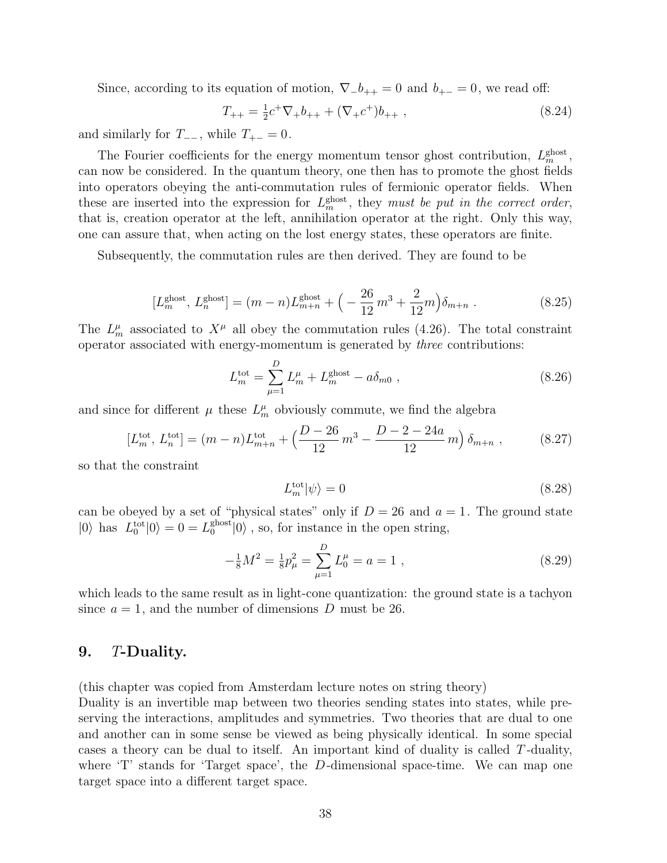Since, according to its equation of motion,  $\nabla_{-}b_{++}=0$  and  $b_{+-}=0$ , we read off:

$$
T_{++} = \frac{1}{2}c^+\nabla_+b_{++} + (\nabla_+c^+)b_{++} , \qquad (8.24)
$$

and similarly for  $T_{-+}$ , while  $T_{+-} = 0$ .

The Fourier coefficients for the energy momentum tensor ghost contribution,  $L_m^{\text{ghost}}$ , can now be considered. In the quantum theory, one then has to promote the ghost fields into operators obeying the anti-commutation rules of fermionic operator fields. When these are inserted into the expression for  $L_m^{\text{ghost}}$ , they must be put in the correct order, that is, creation operator at the left, annihilation operator at the right. Only this way, one can assure that, when acting on the lost energy states, these operators are finite.

Subsequently, the commutation rules are then derived. They are found to be

$$
[L_m^{\text{ghost}}, L_n^{\text{ghost}}] = (m - n)L_{m+n}^{\text{ghost}} + \left(-\frac{26}{12}m^3 + \frac{2}{12}m\right)\delta_{m+n} \tag{8.25}
$$

The  $L_m^{\mu}$  associated to  $X^{\mu}$  all obey the commutation rules (4.26). The total constraint operator associated with energy-momentum is generated by three contributions:

$$
L_m^{\text{tot}} = \sum_{\mu=1}^{D} L_m^{\mu} + L_m^{\text{ghost}} - a\delta_{m0} , \qquad (8.26)
$$

and since for different  $\mu$  these  $L_m^{\mu}$  obviously commute, we find the algebra

$$
[L_m^{\text{tot}}, L_n^{\text{tot}}] = (m - n)L_{m+n}^{\text{tot}} + \left(\frac{D - 26}{12}m^3 - \frac{D - 2 - 24a}{12}m\right)\delta_{m+n} ,\qquad (8.27)
$$

so that the constraint

$$
L_m^{\text{tot}}|\psi\rangle = 0\tag{8.28}
$$

can be obeyed by a set of "physical states" only if  $D = 26$  and  $a = 1$ . The ground state  $|0\rangle$  has  $L_0^{\text{tot}}|0\rangle = 0 = L_0^{\text{ghost}}$  $_0^{\text{ghost}}|0\rangle$ , so, for instance in the open string,

$$
-\frac{1}{8}M^2 = \frac{1}{8}p_\mu^2 = \sum_{\mu=1}^D L_0^\mu = a = 1,
$$
\n(8.29)

which leads to the same result as in light-cone quantization: the ground state is a tachyon since  $a = 1$ , and the number of dimensions D must be 26.

# 9. T-Duality.

(this chapter was copied from Amsterdam lecture notes on string theory)

Duality is an invertible map between two theories sending states into states, while preserving the interactions, amplitudes and symmetries. Two theories that are dual to one and another can in some sense be viewed as being physically identical. In some special cases a theory can be dual to itself. An important kind of duality is called T -duality, where  $T'$  stands for 'Target space', the D-dimensional space-time. We can map one target space into a different target space.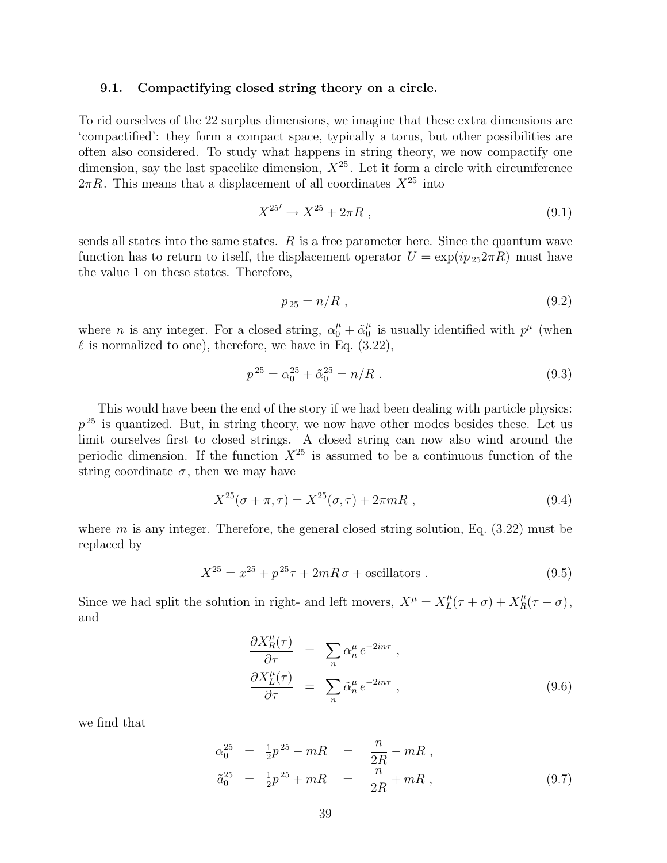#### 9.1. Compactifying closed string theory on a circle.

To rid ourselves of the 22 surplus dimensions, we imagine that these extra dimensions are 'compactified': they form a compact space, typically a torus, but other possibilities are often also considered. To study what happens in string theory, we now compactify one dimension, say the last spacelike dimension,  $X^{25}$ . Let it form a circle with circumference  $2\pi R$ . This means that a displacement of all coordinates  $X^{25}$  into

$$
X^{25'} \to X^{25} + 2\pi R \t{,} \t(9.1)
$$

sends all states into the same states.  $R$  is a free parameter here. Since the quantum wave function has to return to itself, the displacement operator  $U = \exp(ip_{25}2\pi R)$  must have the value 1 on these states. Therefore,

$$
p_{25} = n/R \t{.} \t(9.2)
$$

where *n* is any integer. For a closed string,  $\alpha_0^{\mu} + \tilde{\alpha}_0^{\mu}$  $\mu$ <sup>0</sup> is usually identified with  $p^{\mu}$  (when  $\ell$  is normalized to one), therefore, we have in Eq. (3.22),

$$
p^{25} = \alpha_0^{25} + \tilde{\alpha}_0^{25} = n/R \tag{9.3}
$$

This would have been the end of the story if we had been dealing with particle physics:  $p^{25}$  is quantized. But, in string theory, we now have other modes besides these. Let us limit ourselves first to closed strings. A closed string can now also wind around the periodic dimension. If the function  $X^{25}$  is assumed to be a continuous function of the string coordinate  $\sigma$ , then we may have

$$
X^{25}(\sigma + \pi, \tau) = X^{25}(\sigma, \tau) + 2\pi mR , \qquad (9.4)
$$

where  $m$  is any integer. Therefore, the general closed string solution, Eq.  $(3.22)$  must be replaced by

$$
X^{25} = x^{25} + p^{25}\tau + 2mR\sigma + \text{oscillators} \tag{9.5}
$$

Since we had split the solution in right- and left movers,  $X^{\mu} = X^{\mu}_{L}$  $L^{\mu}(\tau + \sigma) + X_R^{\mu}(\tau - \sigma),$ and

$$
\frac{\partial X_R^{\mu}(\tau)}{\partial \tau} = \sum_n \alpha_n^{\mu} e^{-2in\tau},
$$
\n
$$
\frac{\partial X_L^{\mu}(\tau)}{\partial \tau} = \sum_n \tilde{\alpha}_n^{\mu} e^{-2in\tau},
$$
\n(9.6)

we find that

$$
\alpha_0^{25} = \frac{1}{2}p^{25} - mR = \frac{n}{2R} - mR ,
$$
  
\n
$$
\tilde{a}_0^{25} = \frac{1}{2}p^{25} + mR = \frac{n}{2R} + mR ,
$$
\n(9.7)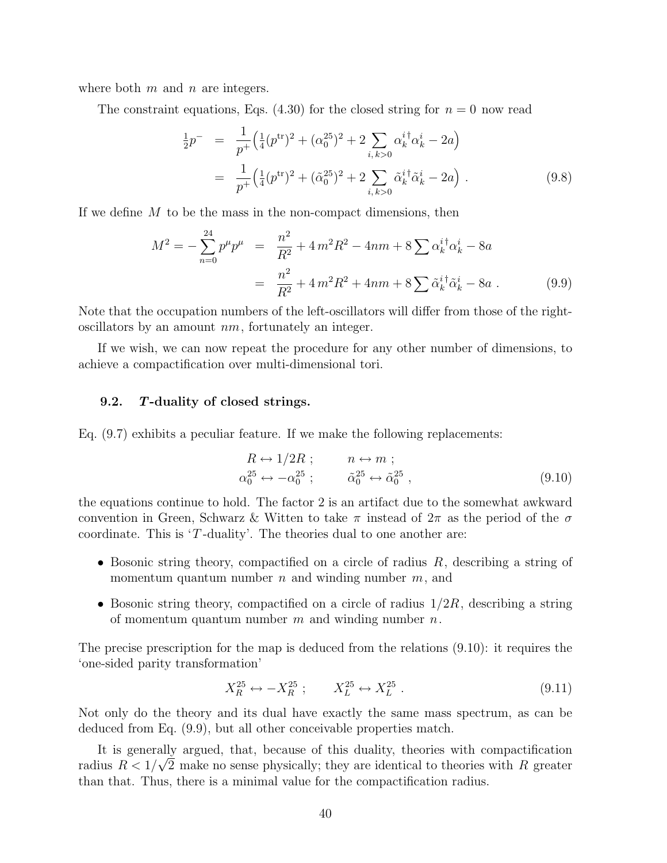where both  $m$  and  $n$  are integers.

The constraint equations, Eqs. (4.30) for the closed string for  $n = 0$  now read

$$
\frac{1}{2}p^{-} = \frac{1}{p^{+}} \left( \frac{1}{4} (p^{\text{tr}})^{2} + (\alpha_{0}^{25})^{2} + 2 \sum_{i,k>0} \alpha_{k}^{i \dagger} \alpha_{k}^{i} - 2a \right)
$$
\n
$$
= \frac{1}{p^{+}} \left( \frac{1}{4} (p^{\text{tr}})^{2} + (\tilde{\alpha}_{0}^{25})^{2} + 2 \sum_{i,k>0} \tilde{\alpha}_{k}^{i \dagger} \tilde{\alpha}_{k}^{i} - 2a \right). \tag{9.8}
$$

If we define  $M$  to be the mass in the non-compact dimensions, then

$$
M^{2} = -\sum_{n=0}^{24} p^{\mu} p^{\mu} = \frac{n^{2}}{R^{2}} + 4m^{2}R^{2} - 4nm + 8\sum \alpha_{k}^{i\dagger} \alpha_{k}^{i} - 8a
$$

$$
= \frac{n^{2}}{R^{2}} + 4m^{2}R^{2} + 4nm + 8\sum \tilde{\alpha}_{k}^{i\dagger} \tilde{\alpha}_{k}^{i} - 8a . \qquad (9.9)
$$

Note that the occupation numbers of the left-oscillators will differ from those of the rightoscillators by an amount  $nm$ , fortunately an integer.

If we wish, we can now repeat the procedure for any other number of dimensions, to achieve a compactification over multi-dimensional tori.

# 9.2. T-duality of closed strings.

Eq. (9.7) exhibits a peculiar feature. If we make the following replacements:

$$
R \leftrightarrow 1/2R ; \qquad n \leftrightarrow m ;
$$
  
\n
$$
\alpha_0^{25} \leftrightarrow -\alpha_0^{25} ; \qquad \tilde{\alpha}_0^{25} \leftrightarrow \tilde{\alpha}_0^{25} , \qquad (9.10)
$$

the equations continue to hold. The factor 2 is an artifact due to the somewhat awkward convention in Green, Schwarz & Witten to take  $\pi$  instead of  $2\pi$  as the period of the  $\sigma$ coordinate. This is  $T$ -duality'. The theories dual to one another are:

- Bosonic string theory, compactified on a circle of radius  $R$ , describing a string of momentum quantum number  $n$  and winding number  $m$ , and
- Bosonic string theory, compactified on a circle of radius  $1/2R$ , describing a string of momentum quantum number  $m$  and winding number  $n$ .

The precise prescription for the map is deduced from the relations (9.10): it requires the 'one-sided parity transformation'

$$
X_R^{25} \leftrightarrow -X_R^{25} \; ; \qquad X_L^{25} \leftrightarrow X_L^{25} \; . \tag{9.11}
$$

Not only do the theory and its dual have exactly the same mass spectrum, as can be deduced from Eq. (9.9), but all other conceivable properties match.

It is generally argued, that, because of this duality, theories with compactification radius  $R < 1/\sqrt{2}$  make no sense physically; they are identical to theories with R greater than that. Thus, there is a minimal value for the compactification radius.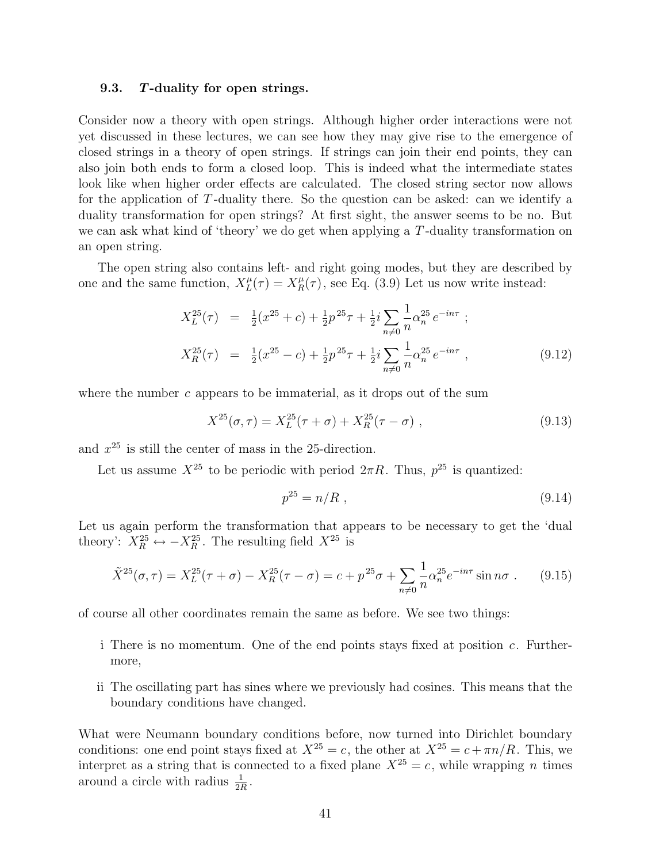#### 9.3. T-duality for open strings.

Consider now a theory with open strings. Although higher order interactions were not yet discussed in these lectures, we can see how they may give rise to the emergence of closed strings in a theory of open strings. If strings can join their end points, they can also join both ends to form a closed loop. This is indeed what the intermediate states look like when higher order effects are calculated. The closed string sector now allows for the application of T -duality there. So the question can be asked: can we identify a duality transformation for open strings? At first sight, the answer seems to be no. But we can ask what kind of 'theory' we do get when applying a  $T$ -duality transformation on an open string.

The open string also contains left- and right going modes, but they are described by one and the same function,  $X_L^{\mu}$  $L_{L}^{\mu}(\tau) = X_{R}^{\mu}(\tau)$ , see Eq. (3.9) Let us now write instead:

$$
X_L^{25}(\tau) = \frac{1}{2}(x^{25} + c) + \frac{1}{2}p^{25}\tau + \frac{1}{2}i\sum_{n \neq 0} \frac{1}{n} \alpha_n^{25} e^{-in\tau} ;
$$
  
\n
$$
X_R^{25}(\tau) = \frac{1}{2}(x^{25} - c) + \frac{1}{2}p^{25}\tau + \frac{1}{2}i\sum_{n \neq 0} \frac{1}{n} \alpha_n^{25} e^{-in\tau} ,
$$
\n(9.12)

where the number c appears to be immaterial, as it drops out of the sum

$$
X^{25}(\sigma,\tau) = X_L^{25}(\tau+\sigma) + X_R^{25}(\tau-\sigma) , \qquad (9.13)
$$

and  $x^{25}$  is still the center of mass in the 25-direction.

Let us assume  $X^{25}$  to be periodic with period  $2\pi R$ . Thus,  $p^{25}$  is quantized:

$$
p^{25} = n/R \t{,} \t(9.14)
$$

Let us again perform the transformation that appears to be necessary to get the 'dual theory':  $X_R^{25} \leftrightarrow -X_R^{25}$ . The resulting field  $X^{25}$  is

$$
\tilde{X}^{25}(\sigma,\tau) = X_L^{25}(\tau+\sigma) - X_R^{25}(\tau-\sigma) = c + p^{25}\sigma + \sum_{n \neq 0} \frac{1}{n} \alpha_n^{25} e^{-in\tau} \sin n\sigma \,. \tag{9.15}
$$

of course all other coordinates remain the same as before. We see two things:

- i There is no momentum. One of the end points stays fixed at position  $c$ . Furthermore,
- ii The oscillating part has sines where we previously had cosines. This means that the boundary conditions have changed.

What were Neumann boundary conditions before, now turned into Dirichlet boundary conditions: one end point stays fixed at  $X^{25} = c$ , the other at  $X^{25} = c + \pi n/R$ . This, we interpret as a string that is connected to a fixed plane  $X^{25} = c$ , while wrapping n times around a circle with radius  $\frac{1}{2R}$ .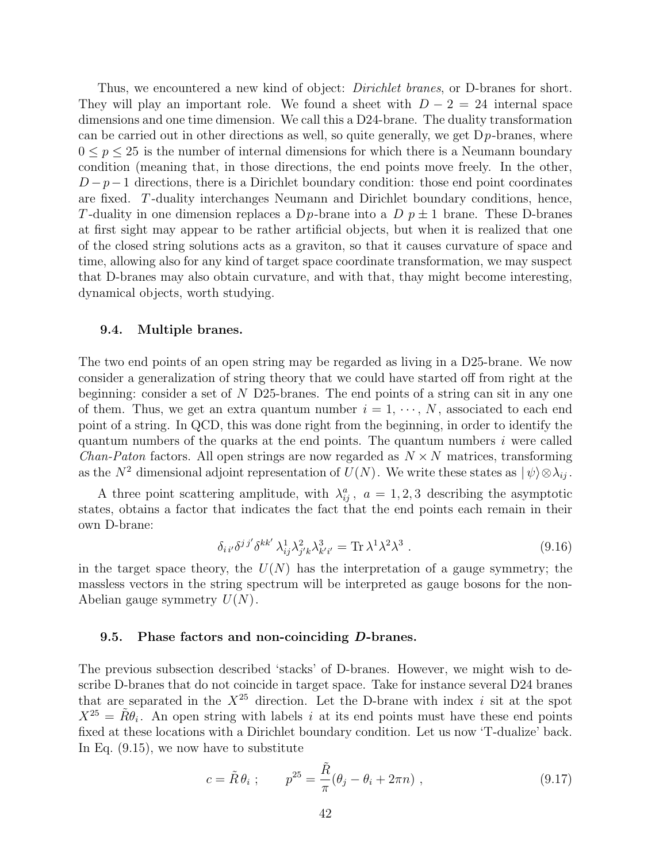Thus, we encountered a new kind of object: *Dirichlet branes*, or D-branes for short. They will play an important role. We found a sheet with  $D-2=24$  internal space dimensions and one time dimension. We call this a D24-brane. The duality transformation can be carried out in other directions as well, so quite generally, we get  $D_p$ -branes, where  $0 \leq p \leq 25$  is the number of internal dimensions for which there is a Neumann boundary condition (meaning that, in those directions, the end points move freely. In the other,  $D-p-1$  directions, there is a Dirichlet boundary condition: those end point coordinates are fixed. T -duality interchanges Neumann and Dirichlet boundary conditions, hence, T-duality in one dimension replaces a D<sub>p</sub>-brane into a D<sub>p</sub> $\pm$  1 brane. These D-branes at first sight may appear to be rather artificial objects, but when it is realized that one of the closed string solutions acts as a graviton, so that it causes curvature of space and time, allowing also for any kind of target space coordinate transformation, we may suspect that D-branes may also obtain curvature, and with that, thay might become interesting, dynamical objects, worth studying.

#### 9.4. Multiple branes.

The two end points of an open string may be regarded as living in a D25-brane. We now consider a generalization of string theory that we could have started off from right at the beginning: consider a set of N D25-branes. The end points of a string can sit in any one of them. Thus, we get an extra quantum number  $i = 1, \dots, N$ , associated to each end point of a string. In QCD, this was done right from the beginning, in order to identify the quantum numbers of the quarks at the end points. The quantum numbers  $i$  were called *Chan-Paton* factors. All open strings are now regarded as  $N \times N$  matrices, transforming as the  $N^2$  dimensional adjoint representation of  $U(N)$ . We write these states as  $|\psi\rangle \otimes \lambda_{ij}$ .

A three point scattering amplitude, with  $\lambda_{ij}^a$ ,  $a = 1, 2, 3$  describing the asymptotic states, obtains a factor that indicates the fact that the end points each remain in their own D-brane:

$$
\delta_{ii'}\delta^{jj'}\delta^{kk'}\lambda_{ij}^1\lambda_{j'k}^2\lambda_{k'i'}^3 = \text{Tr}\,\lambda^1\lambda^2\lambda^3\,. \tag{9.16}
$$

in the target space theory, the  $U(N)$  has the interpretation of a gauge symmetry; the massless vectors in the string spectrum will be interpreted as gauge bosons for the non-Abelian gauge symmetry  $U(N)$ .

#### 9.5. Phase factors and non-coinciding D-branes.

The previous subsection described 'stacks' of D-branes. However, we might wish to describe D-branes that do not coincide in target space. Take for instance several D24 branes that are separated in the  $X^{25}$  direction. Let the D-brane with index i sit at the spot  $X^{25} = \tilde{R}\theta_i$ . An open string with labels i at its end points must have these end points fixed at these locations with a Dirichlet boundary condition. Let us now 'T-dualize' back. In Eq. (9.15), we now have to substitute

$$
c = \tilde{R}\theta_i ;
$$
  $p^{25} = \frac{\tilde{R}}{\pi}(\theta_j - \theta_i + 2\pi n) ,$  (9.17)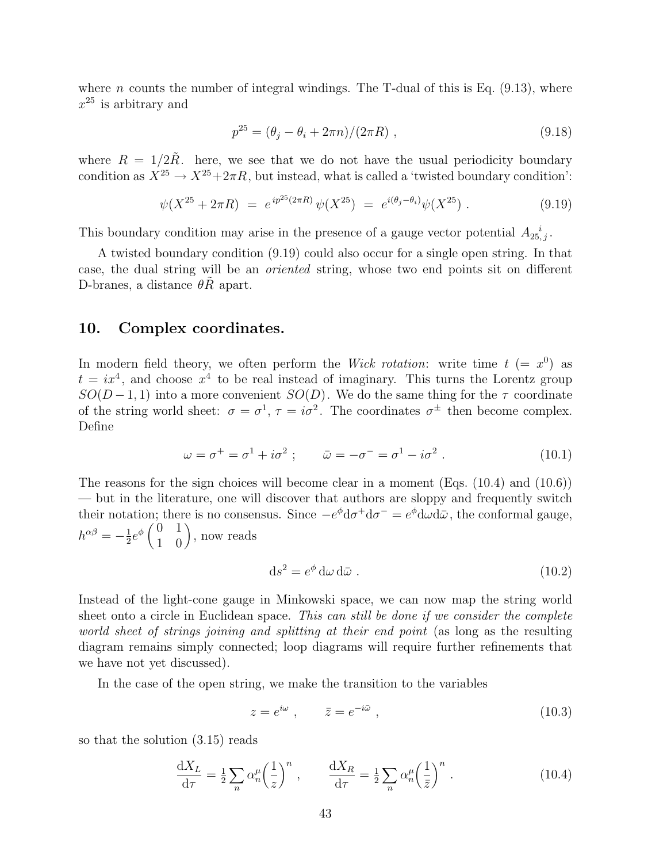where *n* counts the number of integral windings. The T-dual of this is Eq.  $(9.13)$ , where  $x^{25}$  is arbitrary and

$$
p^{25} = (\theta_j - \theta_i + 2\pi n)/(2\pi R) , \qquad (9.18)
$$

where  $R = 1/2R$ . here, we see that we do not have the usual periodicity boundary condition as  $X^{25} \to X^{25}+2\pi R$ , but instead, what is called a 'twisted boundary condition':

$$
\psi(X^{25} + 2\pi R) = e^{ip^{25}(2\pi R)} \psi(X^{25}) = e^{i(\theta_j - \theta_i)} \psi(X^{25}) . \tag{9.19}
$$

This boundary condition may arise in the presence of a gauge vector potential  $A_{25,j}^{\phantom{2}i}$ .

A twisted boundary condition (9.19) could also occur for a single open string. In that case, the dual string will be an oriented string, whose two end points sit on different D-branes, a distance  $\theta R$  apart.

# 10. Complex coordinates.

In modern field theory, we often perform the *Wick rotation*: write time  $t (= x^0)$  as  $t = ix<sup>4</sup>$ , and choose  $x<sup>4</sup>$  to be real instead of imaginary. This turns the Lorentz group  $SO(D-1,1)$  into a more convenient  $SO(D)$ . We do the same thing for the  $\tau$  coordinate of the string world sheet:  $\sigma = \sigma^1$ ,  $\tau = i\sigma^2$ . The coordinates  $\sigma^{\pm}$  then become complex. Define

$$
\omega = \sigma^+ = \sigma^1 + i\sigma^2 \; ; \qquad \bar{\omega} = -\sigma^- = \sigma^1 - i\sigma^2 \; . \tag{10.1}
$$

The reasons for the sign choices will become clear in a moment (Eqs. (10.4) and (10.6)) — but in the literature, one will discover that authors are sloppy and frequently switch their notation; there is no consensus. Since  $-e^{\phi}d\sigma^+d\sigma^- = e^{\phi}d\omega d\bar{\omega}$ , the conformal gauge,  $h^{\alpha\beta}=-\frac{1}{2}$ ation, there is no conser<br>  $\frac{1}{2}e^{\phi}\begin{pmatrix} 0 & 1 \\ 1 & 0 \end{pmatrix}$ , now reads

$$
ds^2 = e^{\phi} d\omega d\bar{\omega} . \qquad (10.2)
$$

Instead of the light-cone gauge in Minkowski space, we can now map the string world sheet onto a circle in Euclidean space. This can still be done if we consider the complete world sheet of strings joining and splitting at their end point (as long as the resulting diagram remains simply connected; loop diagrams will require further refinements that we have not yet discussed).

In the case of the open string, we make the transition to the variables

$$
z = e^{i\omega} , \qquad \bar{z} = e^{-i\bar{\omega}} , \qquad (10.3)
$$

so that the solution (3.15) reads

$$
\frac{\mathrm{d}X_L}{\mathrm{d}\tau} = \frac{1}{2} \sum_n \alpha_n^{\mu} \left(\frac{1}{z}\right)^n , \qquad \frac{\mathrm{d}X_R}{\mathrm{d}\tau} = \frac{1}{2} \sum_n \alpha_n^{\mu} \left(\frac{1}{\bar{z}}\right)^n . \tag{10.4}
$$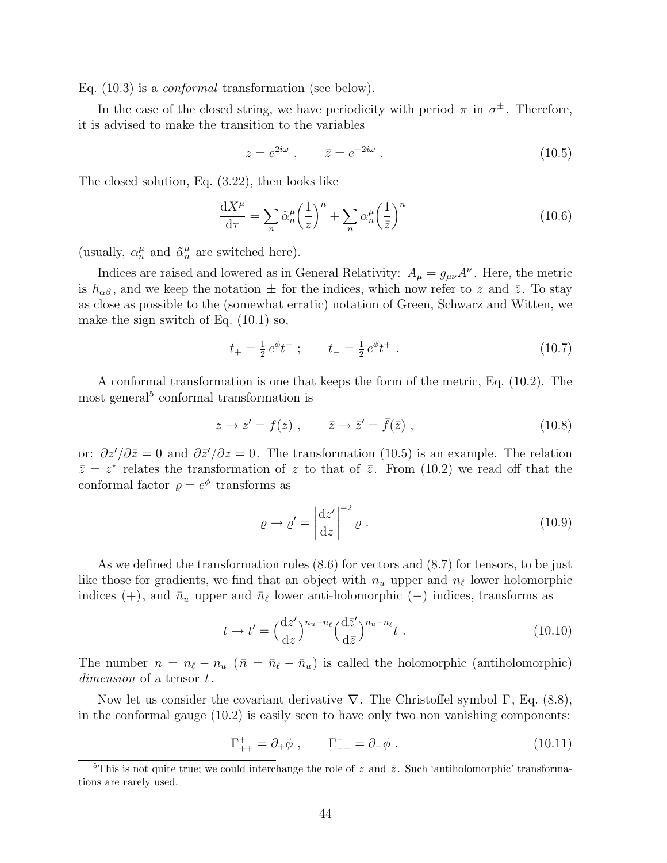Eq. (10.3) is a conformal transformation (see below).

In the case of the closed string, we have periodicity with period  $\pi$  in  $\sigma^{\pm}$ . Therefore, it is advised to make the transition to the variables

$$
z = e^{2i\omega} , \qquad \bar{z} = e^{-2i\bar{\omega}} . \tag{10.5}
$$

The closed solution, Eq. (3.22), then looks like

$$
\frac{\mathrm{d}X^{\mu}}{\mathrm{d}\tau} = \sum_{n} \tilde{\alpha}_{n}^{\mu} \left(\frac{1}{z}\right)^{n} + \sum_{n} \alpha_{n}^{\mu} \left(\frac{1}{\bar{z}}\right)^{n} \tag{10.6}
$$

(usually,  $\alpha_n^{\mu}$  and  $\tilde{\alpha}_n^{\mu}$  are switched here).

Indices are raised and lowered as in General Relativity:  $A_{\mu} = g_{\mu\nu}A^{\nu}$ . Here, the metric is  $h_{\alpha\beta}$ , and we keep the notation  $\pm$  for the indices, which now refer to z and  $\bar{z}$ . To stay as close as possible to the (somewhat erratic) notation of Green, Schwarz and Witten, we make the sign switch of Eq. (10.1) so,

$$
t_{+} = \frac{1}{2} e^{\phi} t^{-} ; \qquad t_{-} = \frac{1}{2} e^{\phi} t^{+} . \qquad (10.7)
$$

A conformal transformation is one that keeps the form of the metric, Eq. (10.2). The most general<sup>5</sup> conformal transformation is

$$
z \to z' = f(z) , \qquad \bar{z} \to \bar{z}' = \bar{f}(\bar{z}) , \qquad (10.8)
$$

or:  $\partial z'/\partial \bar{z} = 0$  and  $\partial \bar{z}/\partial z = 0$ . The transformation (10.5) is an example. The relation  $\bar{z}=z^*$  relates the transformation of z to that of  $\bar{z}$ . From (10.2) we read off that the conformal factor  $\rho = e^{\phi}$  transforms as

$$
\varrho \to \varrho' = \left| \frac{\mathrm{d}z'}{\mathrm{d}z} \right|^{-2} \varrho \,. \tag{10.9}
$$

As we defined the transformation rules (8.6) for vectors and (8.7) for tensors, to be just like those for gradients, we find that an object with  $n_u$  upper and  $n_\ell$  lower holomorphic indices (+), and  $\bar{n}_u$  upper and  $\bar{n}_\ell$  lower anti-holomorphic (−) indices, transforms as

$$
t \to t' = \left(\frac{\mathrm{d}z'}{\mathrm{d}z}\right)^{n_u - n_\ell} \left(\frac{\mathrm{d}\bar{z}'}{\mathrm{d}\bar{z}}\right)^{\bar{n}_u - \bar{n}_\ell} t \tag{10.10}
$$

The number  $n = n_{\ell} - n_{u}$  ( $\bar{n} = \bar{n}_{\ell} - \bar{n}_{u}$ ) is called the holomorphic (antiholomorphic) dimension of a tensor t.

Now let us consider the covariant derivative  $\nabla$ . The Christoffel symbol  $\Gamma$ , Eq. (8.8), in the conformal gauge (10.2) is easily seen to have only two non vanishing components:

$$
\Gamma_{++}^{+} = \partial_{+} \phi , \qquad \Gamma_{--}^{-} = \partial_{-} \phi . \qquad (10.11)
$$

<sup>&</sup>lt;sup>5</sup>This is not quite true; we could interchange the role of z and  $\bar{z}$ . Such 'antiholomorphic' transformations are rarely used.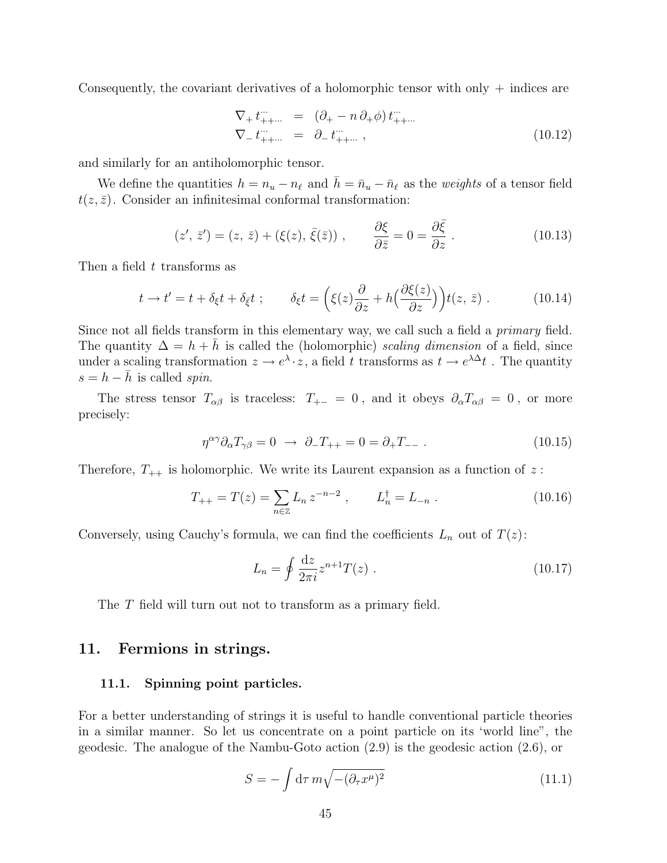Consequently, the covariant derivatives of a holomorphic tensor with only  $+$  indices are

$$
\nabla_{+} t_{++\cdots}^{\cdots} = (\partial_{+} - n \partial_{+} \phi) t_{++\cdots}^{\cdots} \n\nabla_{-} t_{++\cdots}^{\cdots} = \partial_{-} t_{++\cdots}^{\cdots},
$$
\n(10.12)

and similarly for an antiholomorphic tensor.

We define the quantities  $h = n_u - n_\ell$  and  $\bar{h} = \bar{n}_u - \bar{n}_\ell$  as the weights of a tensor field  $t(z, \bar{z})$ . Consider an infinitesimal conformal transformation:

$$
(z', \bar{z}') = (z, \bar{z}) + (\xi(z), \bar{\xi}(\bar{z})) , \qquad \frac{\partial \xi}{\partial \bar{z}} = 0 = \frac{\partial \bar{\xi}}{\partial z} .
$$
 (10.13)

Then a field t transforms as

$$
t \to t' = t + \delta_{\xi} t + \delta_{\bar{\xi}} t ; \qquad \delta_{\xi} t = \left( \xi(z) \frac{\partial}{\partial z} + h \Big( \frac{\partial \xi(z)}{\partial z} \Big) \right) t(z, \bar{z}) . \tag{10.14}
$$

Since not all fields transform in this elementary way, we call such a field a *primary* field. The quantity  $\Delta = h + \bar{h}$  is called the (holomorphic) scaling dimension of a field, since under a scaling transformation  $z \to e^{\lambda} \cdot z$ , a field t transforms as  $t \to e^{\lambda \Delta} t$ . The quantity  $s = h - \bar{h}$  is called spin.

The stress tensor  $T_{\alpha\beta}$  is traceless:  $T_{+-} = 0$ , and it obeys  $\partial_{\alpha} T_{\alpha\beta} = 0$ , or more precisely:

$$
\eta^{\alpha\gamma}\partial_{\alpha}T_{\gamma\beta} = 0 \ \to \ \partial_{-}T_{++} = 0 = \partial_{+}T_{--} \ . \tag{10.15}
$$

Therefore,  $T_{++}$  is holomorphic. We write its Laurent expansion as a function of z:

$$
T_{++} = T(z) = \sum_{n \in \mathbb{Z}} L_n z^{-n-2} , \qquad L_n^{\dagger} = L_{-n} . \qquad (10.16)
$$

Conversely, using Cauchy's formula, we can find the coefficients  $L_n$  out of  $T(z)$ :

$$
L_n = \oint \frac{dz}{2\pi i} z^{n+1} T(z) \ . \tag{10.17}
$$

The T field will turn out not to transform as a primary field.

## 11. Fermions in strings.

#### 11.1. Spinning point particles.

For a better understanding of strings it is useful to handle conventional particle theories in a similar manner. So let us concentrate on a point particle on its 'world line", the geodesic. The analogue of the Nambu-Goto action (2.9) is the geodesic action (2.6), or

$$
S = -\int d\tau \, m \sqrt{- (\partial_\tau x^\mu)^2} \tag{11.1}
$$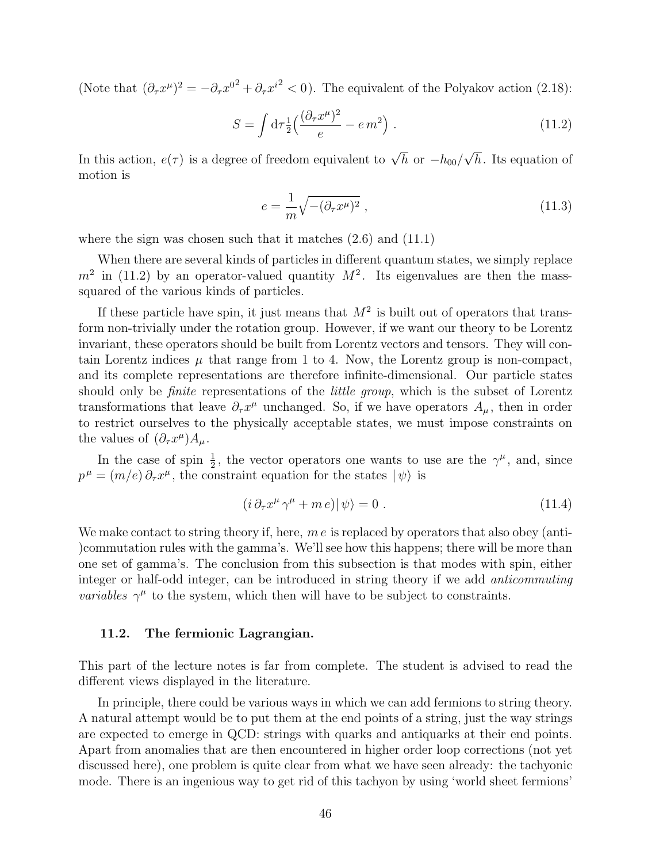(Note that  $(\partial_\tau x^\mu)^2 = -\partial_\tau x^{0^2} + \partial_\tau x^{i^2} < 0$ ). The equivalent of the Polyakov action (2.18):

$$
S = \int d\tau \frac{1}{2} \left( \frac{(\partial_\tau x^\mu)^2}{e} - e m^2 \right) \,. \tag{11.2}
$$

In this action,  $e(\tau)$  is a degree of freedom equivalent to  $\sqrt{h}$  or  $-h_{00}/$ √ h. Its equation of motion is

$$
e = \frac{1}{m}\sqrt{-(\partial_\tau x^\mu)^2} \tag{11.3}
$$

where the sign was chosen such that it matches  $(2.6)$  and  $(11.1)$ 

When there are several kinds of particles in different quantum states, we simply replace  $m^2$  in (11.2) by an operator-valued quantity  $M^2$ . Its eigenvalues are then the masssquared of the various kinds of particles.

If these particle have spin, it just means that  $M^2$  is built out of operators that transform non-trivially under the rotation group. However, if we want our theory to be Lorentz invariant, these operators should be built from Lorentz vectors and tensors. They will contain Lorentz indices  $\mu$  that range from 1 to 4. Now, the Lorentz group is non-compact, and its complete representations are therefore infinite-dimensional. Our particle states should only be *finite* representations of the *little group*, which is the subset of Lorentz transformations that leave  $\partial_\tau x^\mu$  unchanged. So, if we have operators  $A_\mu$ , then in order to restrict ourselves to the physically acceptable states, we must impose constraints on the values of  $(\partial_\tau x^\mu) A_\mu$ .

In the case of spin  $\frac{1}{2}$ , the vector operators one wants to use are the  $\gamma^{\mu}$ , and, since  $p^{\mu} = (m/e) \partial_{\tau} x^{\mu}$ , the constraint equation for the states  $|\psi\rangle$  is

$$
(i \,\partial_{\tau} x^{\mu} \,\gamma^{\mu} + m \,e)|\,\psi\rangle = 0\;.\tag{11.4}
$$

We make contact to string theory if, here,  $m e$  is replaced by operators that also obey (anti-)commutation rules with the gamma's. We'll see how this happens; there will be more than one set of gamma's. The conclusion from this subsection is that modes with spin, either integer or half-odd integer, can be introduced in string theory if we add anticommuting *variables*  $\gamma^{\mu}$  to the system, which then will have to be subject to constraints.

#### 11.2. The fermionic Lagrangian.

This part of the lecture notes is far from complete. The student is advised to read the different views displayed in the literature.

In principle, there could be various ways in which we can add fermions to string theory. A natural attempt would be to put them at the end points of a string, just the way strings are expected to emerge in QCD: strings with quarks and antiquarks at their end points. Apart from anomalies that are then encountered in higher order loop corrections (not yet discussed here), one problem is quite clear from what we have seen already: the tachyonic mode. There is an ingenious way to get rid of this tachyon by using 'world sheet fermions'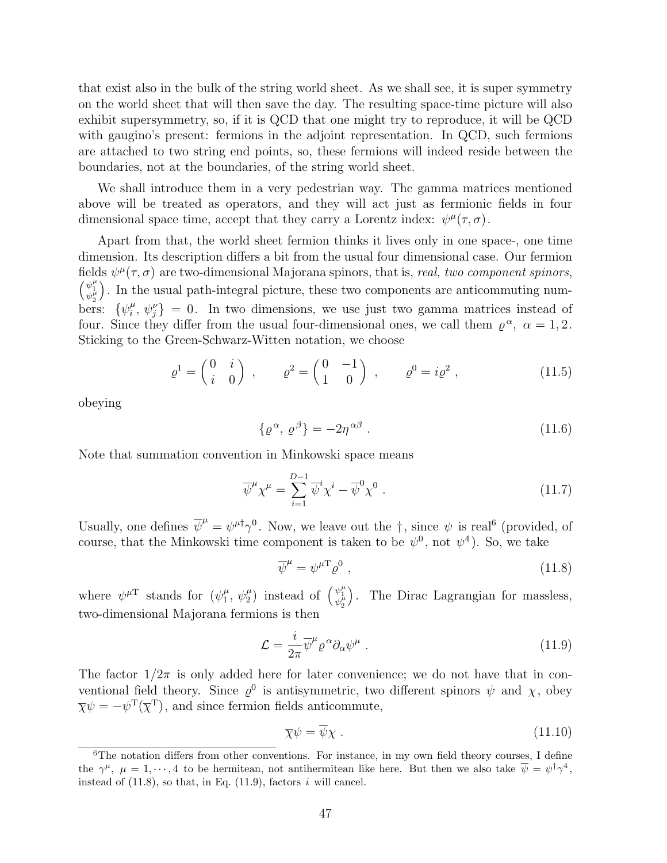that exist also in the bulk of the string world sheet. As we shall see, it is super symmetry on the world sheet that will then save the day. The resulting space-time picture will also exhibit supersymmetry, so, if it is QCD that one might try to reproduce, it will be QCD with gaugino's present: fermions in the adjoint representation. In QCD, such fermions are attached to two string end points, so, these fermions will indeed reside between the boundaries, not at the boundaries, of the string world sheet.

We shall introduce them in a very pedestrian way. The gamma matrices mentioned above will be treated as operators, and they will act just as fermionic fields in four dimensional space time, accept that they carry a Lorentz index:  $\psi^{\mu}(\tau,\sigma)$ .

Apart from that, the world sheet fermion thinks it lives only in one space-, one time dimension. Its description differs a bit from the usual four dimensional case. Our fermion fields  $\psi^{\mu}(\tau,\sigma)$  are two-dimensional Majorana spinors, that is, real, two component spinors,  $\psi_1^{\mu}$ ). In the usual path-integral picture, these two components are anticommuting numbers:  $\{\psi_i^{\mu}\}$  $\psi_i^{\mu}, \psi_j^{\nu}$  = 0. In two dimensions, we use just two gamma matrices instead of four. Since they differ from the usual four-dimensional ones, we call them  $\rho^{\alpha}$ ,  $\alpha = 1, 2$ . Sticking to the Green-Schwarz-Witten notation, we choose

$$
\varrho^1 = \begin{pmatrix} 0 & i \\ i & 0 \end{pmatrix} , \qquad \varrho^2 = \begin{pmatrix} 0 & -1 \\ 1 & 0 \end{pmatrix} , \qquad \varrho^0 = i\varrho^2 , \qquad (11.5)
$$

obeying

$$
\{\varrho^{\alpha},\,\varrho^{\beta}\} = -2\eta^{\alpha\beta} \ . \tag{11.6}
$$

Note that summation convention in Minkowski space means

$$
\overline{\psi}^{\mu} \chi^{\mu} = \sum_{i=1}^{D-1} \overline{\psi}^i \chi^i - \overline{\psi}^0 \chi^0 . \qquad (11.7)
$$

Usually, one defines  $\overline{\psi}^{\mu} = \psi^{\mu \dagger} \gamma^{0}$ . Now, we leave out the  $\dagger$ , since  $\psi$  is real<sup>6</sup> (provided, of course, that the Minkowski time component is taken to be  $\psi^0$ , not  $\psi^4$ ). So, we take

$$
\overline{\psi}^{\mu} = \psi^{\mu} \Omega_{\rho}^0 \,, \tag{11.8}
$$

where  $\psi^{\mu T}$  stands for  $(\psi_1^{\mu})$  $\mu_1^{\mu}, \psi_2^{\mu}$  instead of  $\begin{pmatrix} \psi_1^{\mu} \\ \psi_2^{\mu} \end{pmatrix}$ ´ . The Dirac Lagrangian for massless, two-dimensional Majorana fermions is then

$$
\mathcal{L} = \frac{i}{2\pi} \overline{\psi}^{\mu} \varrho^{\alpha} \partial_{\alpha} \psi^{\mu} . \qquad (11.9)
$$

The factor  $1/2\pi$  is only added here for later convenience; we do not have that in conventional field theory. Since  $\varrho^0$  is antisymmetric, two different spinors  $\psi$  and  $\chi$ , obey  $\overline{\chi}\psi = -\psi^{\mathrm{T}}(\overline{\chi}^{\mathrm{T}})$ , and since fermion fields anticommute,

$$
\overline{\chi}\psi = \overline{\psi}\chi \tag{11.10}
$$

<sup>&</sup>lt;sup>6</sup>The notation differs from other conventions. For instance, in my own field theory courses, I define the  $\gamma^{\mu}$ ,  $\mu = 1, \dots, 4$  to be hermitean, not antihermitean like here. But then we also take  $\overline{\psi} = \psi^{\dagger} \gamma^4$ , instead of  $(11.8)$ , so that, in Eq.  $(11.9)$ , factors i will cancel.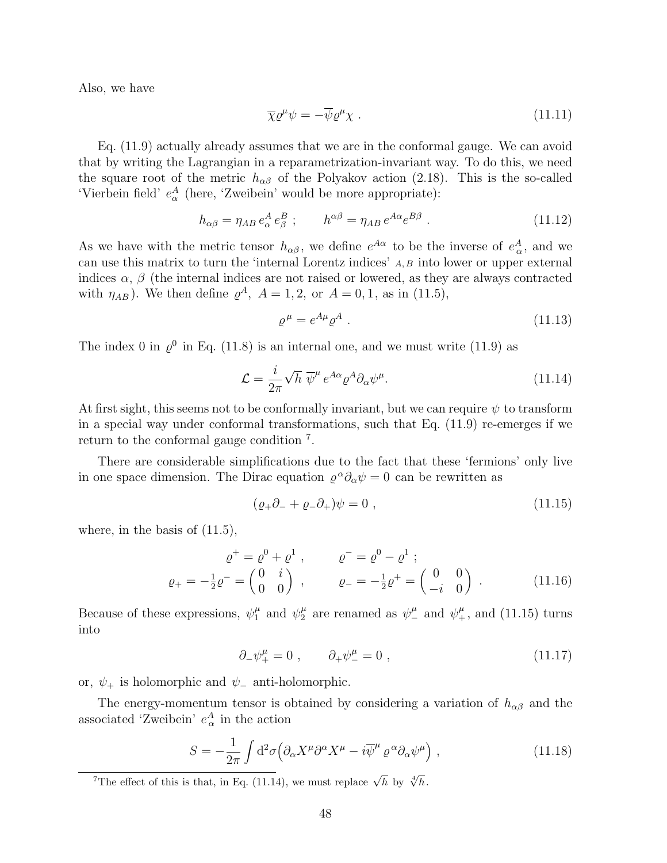Also, we have

$$
\overline{\chi}\varrho^{\mu}\psi = -\overline{\psi}\varrho^{\mu}\chi . \qquad (11.11)
$$

Eq. (11.9) actually already assumes that we are in the conformal gauge. We can avoid that by writing the Lagrangian in a reparametrization-invariant way. To do this, we need the square root of the metric  $h_{\alpha\beta}$  of the Polyakov action (2.18). This is the so-called 'Vierbein field'  $e^A_\alpha$  (here, 'Zweibein' would be more appropriate):

$$
h_{\alpha\beta} = \eta_{AB} e^A_{\alpha} e^B_{\beta} ; \qquad h^{\alpha\beta} = \eta_{AB} e^{A\alpha} e^{B\beta} . \qquad (11.12)
$$

As we have with the metric tensor  $h_{\alpha\beta}$ , we define  $e^{A\alpha}$  to be the inverse of  $e^A_{\alpha}$ , and we can use this matrix to turn the 'internal Lorentz indices' A, B into lower or upper external indices  $\alpha$ ,  $\beta$  (the internal indices are not raised or lowered, as they are always contracted with  $\eta_{AB}$ ). We then define  $\varrho^A$ ,  $A = 1, 2$ , or  $A = 0, 1$ , as in (11.5),

$$
\varrho^{\mu} = e^{A\mu} \varrho^{A} \tag{11.13}
$$

The index 0 in  $\varrho^0$  in Eq. (11.8) is an internal one, and we must write (11.9) as

$$
\mathcal{L} = \frac{i}{2\pi} \sqrt{h} \, \overline{\psi}^{\mu} \, e^{A\alpha} \varrho^{A} \partial_{\alpha} \psi^{\mu}.
$$
 (11.14)

At first sight, this seems not to be conformally invariant, but we can require  $\psi$  to transform in a special way under conformal transformations, such that Eq. (11.9) re-emerges if we return to the conformal gauge condition <sup>7</sup> .

There are considerable simplifications due to the fact that these 'fermions' only live in one space dimension. The Dirac equation  $\varrho^{\alpha}\partial_{\alpha}\psi = 0$  can be rewritten as

$$
(\varrho_{+}\partial_{-}+\varrho_{-}\partial_{+})\psi=0\;, \qquad (11.15)
$$

where, in the basis of  $(11.5)$ ,

$$
\varrho^{+} = \varrho^{0} + \varrho^{1} , \qquad \varrho^{-} = \varrho^{0} - \varrho^{1} ;
$$
  

$$
\varrho_{+} = -\frac{1}{2}\varrho^{-} = \begin{pmatrix} 0 & i \\ 0 & 0 \end{pmatrix} , \qquad \varrho_{-} = -\frac{1}{2}\varrho^{+} = \begin{pmatrix} 0 & 0 \\ -i & 0 \end{pmatrix} .
$$
 (11.16)

Because of these expressions,  $\psi_1^{\mu}$  and  $\psi_2^{\mu}$  are renamed as  $\psi_-^{\mu}$  and  $\psi_+^{\mu}$ , and (11.15) turns into

$$
\partial_{-}\psi_{+}^{\mu} = 0 \;, \qquad \partial_{+}\psi_{-}^{\mu} = 0 \;, \tag{11.17}
$$

or,  $\psi_+$  is holomorphic and  $\psi_-$  anti-holomorphic.

The energy-momentum tensor is obtained by considering a variation of  $h_{\alpha\beta}$  and the associated 'Zweibein'  $e_{\alpha}^{A}$  in the action

$$
S = -\frac{1}{2\pi} \int d^2\sigma \left( \partial_\alpha X^\mu \partial^\alpha X^\mu - i \overline{\psi}^\mu \varrho^\alpha \partial_\alpha \psi^\mu \right) , \qquad (11.18)
$$

<sup>&</sup>lt;sup>7</sup>The effect of this is that, in Eq. (11.14), we must replace  $\sqrt{h}$  by  $\sqrt[4]{h}$ .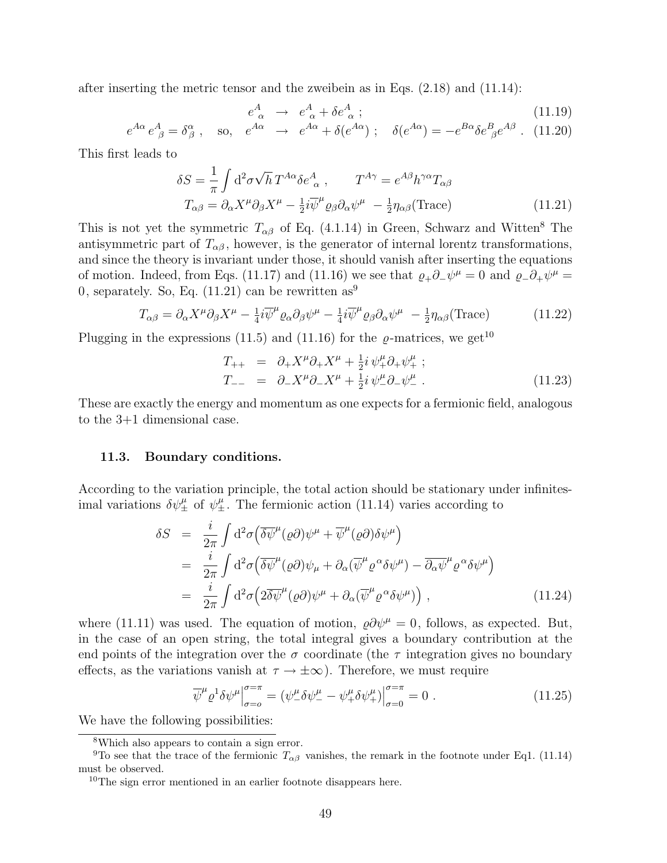after inserting the metric tensor and the zweibein as in Eqs. (2.18) and (11.14):

$$
e^A_{\alpha} \rightarrow e^A_{\alpha} + \delta e^A_{\alpha} ; \tag{11.19}
$$

$$
e^{A\alpha} e^A_{\ \beta} = \delta^\alpha_\beta
$$
, so,  $e^{A\alpha} \rightarrow e^{A\alpha} + \delta(e^{A\alpha})$ ;  $\delta(e^{A\alpha}) = -e^{B\alpha} \delta e^B_{\ \beta} e^{A\beta}$ . (11.20)

This first leads to

$$
\delta S = \frac{1}{\pi} \int d^2 \sigma \sqrt{h} \, T^{A\alpha} \delta e^A_{\ \alpha} \,, \qquad T^{A\gamma} = e^{A\beta} h^{\gamma \alpha} T_{\alpha \beta} \nT_{\alpha \beta} = \partial_{\alpha} X^{\mu} \partial_{\beta} X^{\mu} - \frac{1}{2} i \overline{\psi}^{\mu} \varrho_{\beta} \partial_{\alpha} \psi^{\mu} - \frac{1}{2} \eta_{\alpha \beta} (\text{Trace})
$$
\n(11.21)

This is not yet the symmetric  $T_{\alpha\beta}$  of Eq. (4.1.14) in Green, Schwarz and Witten<sup>8</sup> The antisymmetric part of  $T_{\alpha\beta}$ , however, is the generator of internal lorentz transformations, and since the theory is invariant under those, it should vanish after inserting the equations of motion. Indeed, from Eqs. (11.17) and (11.16) we see that  $\varrho_+\partial_-\psi^\mu=0$  and  $\varrho_-\partial_+\psi^\mu=0$ 0, separately. So, Eq.  $(11.21)$  can be rewritten as<sup>9</sup>

$$
T_{\alpha\beta} = \partial_{\alpha} X^{\mu} \partial_{\beta} X^{\mu} - \frac{1}{4} i \overline{\psi}^{\mu} \varrho_{\alpha} \partial_{\beta} \psi^{\mu} - \frac{1}{4} i \overline{\psi}^{\mu} \varrho_{\beta} \partial_{\alpha} \psi^{\mu} - \frac{1}{2} \eta_{\alpha\beta} (\text{Trace})
$$
 (11.22)

Plugging in the expressions (11.5) and (11.16) for the  $\rho$ -matrices, we get<sup>10</sup>

$$
T_{++} = \partial_{+} X^{\mu} \partial_{+} X^{\mu} + \frac{1}{2} i \psi_{+}^{\mu} \partial_{+} \psi_{+}^{\mu} ;
$$
  
\n
$$
T_{--} = \partial_{-} X^{\mu} \partial_{-} X^{\mu} + \frac{1}{2} i \psi_{-}^{\mu} \partial_{-} \psi_{-}^{\mu} .
$$
\n(11.23)

These are exactly the energy and momentum as one expects for a fermionic field, analogous to the 3+1 dimensional case.

### 11.3. Boundary conditions.

According to the variation principle, the total action should be stationary under infinitesimal variations  $\delta\psi_{\pm}^{\mu}$  of  $\psi_{\pm}^{\mu}$ . The fermionic action (11.14) varies according to

$$
\delta S = \frac{i}{2\pi} \int d^2 \sigma \left( \overline{\delta \psi}^{\mu} (\varrho \partial) \psi^{\mu} + \overline{\psi}^{\mu} (\varrho \partial) \delta \psi^{\mu} \right)
$$
  
\n
$$
= \frac{i}{2\pi} \int d^2 \sigma \left( \overline{\delta \psi}^{\mu} (\varrho \partial) \psi_{\mu} + \partial_{\alpha} (\overline{\psi}^{\mu} \varrho^{\alpha} \delta \psi^{\mu}) - \overline{\partial_{\alpha} \psi}^{\mu} \varrho^{\alpha} \delta \psi^{\mu} \right)
$$
  
\n
$$
= \frac{i}{2\pi} \int d^2 \sigma \left( 2 \overline{\delta \psi}^{\mu} (\varrho \partial) \psi^{\mu} + \partial_{\alpha} (\overline{\psi}^{\mu} \varrho^{\alpha} \delta \psi^{\mu}) \right), \qquad (11.24)
$$

where (11.11) was used. The equation of motion,  $\rho \partial \psi^{\mu} = 0$ , follows, as expected. But, in the case of an open string, the total integral gives a boundary contribution at the end points of the integration over the  $\sigma$  coordinate (the  $\tau$  integration gives no boundary effects, as the variations vanish at  $\tau \to \pm \infty$ ). Therefore, we must require

$$
\overline{\psi}^{\mu} \varrho^{1} \delta \psi^{\mu} \Big|_{\sigma=0}^{\sigma=\pi} = \left( \psi^{\mu}_{-} \delta \psi^{\mu}_{-} - \psi^{\mu}_{+} \delta \psi^{\mu}_{+} \right) \Big|_{\sigma=0}^{\sigma=\pi} = 0 . \tag{11.25}
$$

We have the following possibilities:

<sup>8</sup>Which also appears to contain a sign error.

<sup>&</sup>lt;sup>9</sup>To see that the trace of the fermionic  $T_{\alpha\beta}$  vanishes, the remark in the footnote under Eq1. (11.14) must be observed.

<sup>10</sup>The sign error mentioned in an earlier footnote disappears here.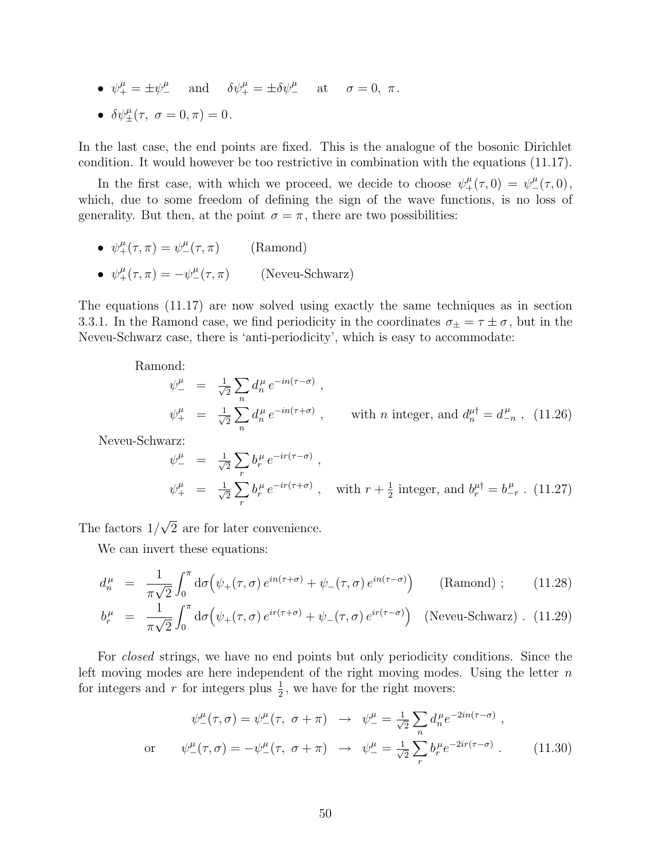- $\psi_+^\mu = \pm \psi_-^\mu$  and  $\delta \psi_+^\mu = \pm \delta \psi_-^\mu$  at  $\sigma = 0, \pi$ .
- $\delta \psi_{\pm}^{\mu}(\tau, \ \sigma = 0, \pi) = 0.$

In the last case, the end points are fixed. This is the analogue of the bosonic Dirichlet condition. It would however be too restrictive in combination with the equations (11.17).

In the first case, with which we proceed, we decide to choose  $\psi^{\mu}_{+}(\tau,0) = \psi^{\mu}_{-}(\tau,0)$ , which, due to some freedom of defining the sign of the wave functions, is no loss of generality. But then, at the point  $\sigma = \pi$ , there are two possibilities:

- $\psi^{\mu}_{+}(\tau,\pi) = \psi^{\mu}_{-}(\tau,\pi)$  (Ramond)
- $\psi^{\mu}_{+}(\tau,\pi) = -\psi^{\mu}_{-}(\tau,\pi)$  (Neveu-Schwarz)

The equations (11.17) are now solved using exactly the same techniques as in section 3.3.1. In the Ramond case, we find periodicity in the coordinates  $\sigma_{\pm} = \tau \pm \sigma$ , but in the Neveu-Schwarz case, there is 'anti-periodicity', which is easy to accommodate:

Ramond:

$$
\psi_{-}^{\mu} = \frac{1}{\sqrt{2}} \sum_{n} d_{n}^{\mu} e^{-in(\tau - \sigma)},
$$
  
\n
$$
\psi_{+}^{\mu} = \frac{1}{\sqrt{2}} \sum_{n} d_{n}^{\mu} e^{-in(\tau + \sigma)}, \qquad \text{with } n \text{ integer, and } d_{n}^{\mu \dagger} = d_{-n}^{\mu}, \quad (11.26)
$$

Neveu-Schwarz:

$$
\psi_{-}^{\mu} = \frac{1}{\sqrt{2}} \sum_{r} b_{r}^{\mu} e^{-ir(\tau - \sigma)},
$$
  
\n
$$
\psi_{+}^{\mu} = \frac{1}{\sqrt{2}} \sum_{r} b_{r}^{\mu} e^{-ir(\tau + \sigma)}, \text{ with } r + \frac{1}{2} \text{ integer, and } b_{r}^{\mu\dagger} = b_{-r}^{\mu}. \text{ (11.27)}
$$

The factors 1/ √ 2 are for later convenience.

We can invert these equations:

$$
d_n^{\mu} = \frac{1}{\pi \sqrt{2}} \int_0^{\pi} d\sigma \left( \psi_+(\tau, \sigma) e^{in(\tau + \sigma)} + \psi_-(\tau, \sigma) e^{in(\tau - \sigma)} \right) \qquad \text{(Ramond)} \; ; \tag{11.28}
$$

$$
b_r^{\mu} = \frac{1}{\pi\sqrt{2}} \int_0^{\pi} d\sigma \left( \psi_+(\tau,\sigma) e^{ir(\tau+\sigma)} + \psi_-(\tau,\sigma) e^{ir(\tau-\sigma)} \right) \quad \text{(Newu-Schwarz)} \quad (11.29)
$$

For closed strings, we have no end points but only periodicity conditions. Since the left moving modes are here independent of the right moving modes. Using the letter  $n$ for integers and r for integers plus  $\frac{1}{2}$ , we have for the right movers:

$$
\psi_{-}^{\mu}(\tau,\sigma) = \psi_{-}^{\mu}(\tau,\ \sigma + \pi) \rightarrow \psi_{-}^{\mu} = \frac{1}{\sqrt{2}} \sum_{n} d_{n}^{\mu} e^{-2in(\tau-\sigma)},
$$
\nor\n
$$
\psi_{-}^{\mu}(\tau,\sigma) = -\psi_{-}^{\mu}(\tau,\ \sigma + \pi) \rightarrow \psi_{-}^{\mu} = \frac{1}{\sqrt{2}} \sum_{r} b_{r}^{\mu} e^{-2ir(\tau-\sigma)}.
$$
\n(11.30)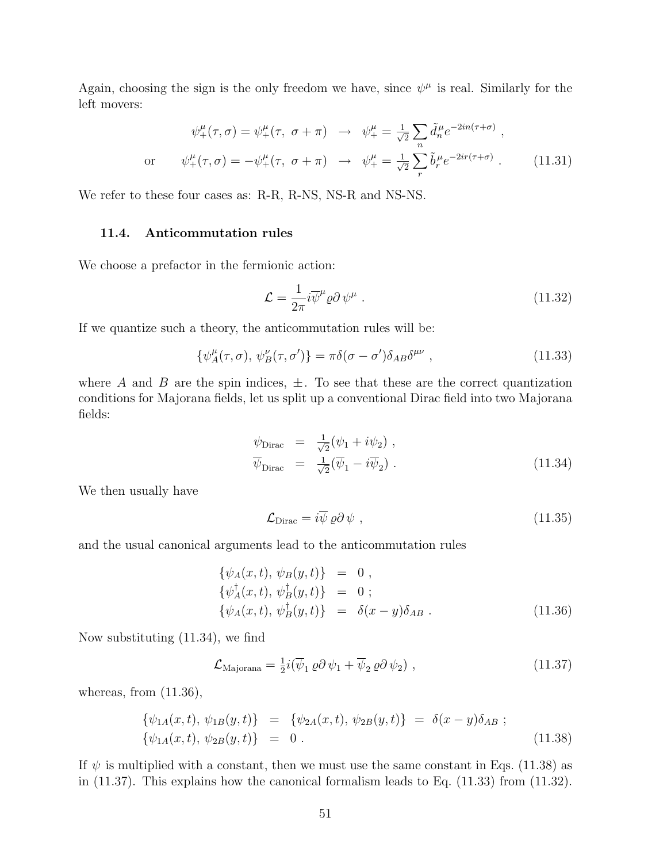Again, choosing the sign is the only freedom we have, since  $\psi^{\mu}$  is real. Similarly for the left movers:

$$
\psi_{+}^{\mu}(\tau,\sigma) = \psi_{+}^{\mu}(\tau,\ \sigma + \pi) \rightarrow \psi_{+}^{\mu} = \frac{1}{\sqrt{2}} \sum_{n} \tilde{d}_{n}^{\mu} e^{-2in(\tau + \sigma)},
$$
  
or 
$$
\psi_{+}^{\mu}(\tau,\sigma) = -\psi_{+}^{\mu}(\tau,\ \sigma + \pi) \rightarrow \psi_{+}^{\mu} = \frac{1}{\sqrt{2}} \sum_{r} \tilde{b}_{r}^{\mu} e^{-2ir(\tau + \sigma)}.
$$
 (11.31)

We refer to these four cases as: R-R, R-NS, NS-R and NS-NS.

## 11.4. Anticommutation rules

We choose a prefactor in the fermionic action:

$$
\mathcal{L} = \frac{1}{2\pi} i \overline{\psi}^{\mu} \varrho \partial \psi^{\mu} . \qquad (11.32)
$$

If we quantize such a theory, the anticommutation rules will be:

$$
\{\psi_A^{\mu}(\tau,\sigma),\,\psi_B^{\nu}(\tau,\sigma')\} = \pi\delta(\sigma-\sigma')\delta_{AB}\delta^{\mu\nu} \,,\tag{11.33}
$$

where A and B are the spin indices,  $\pm$ . To see that these are the correct quantization conditions for Majorana fields, let us split up a conventional Dirac field into two Majorana fields:

$$
\psi_{\text{Dirac}} = \frac{1}{\sqrt{2}} (\psi_1 + i\psi_2) ,
$$
  
\n
$$
\overline{\psi}_{\text{Dirac}} = \frac{1}{\sqrt{2}} (\overline{\psi}_1 - i\overline{\psi}_2) .
$$
\n(11.34)

We then usually have

$$
\mathcal{L}_{\text{Dirac}} = i\overline{\psi} \varrho \partial \psi , \qquad (11.35)
$$

and the usual canonical arguments lead to the anticommutation rules

$$
\begin{aligned}\n\{\psi_A(x,t), \psi_B(y,t)\} &= 0, \\
\{\psi_A^{\dagger}(x,t), \psi_B^{\dagger}(y,t)\} &= 0; \\
\{\psi_A(x,t), \psi_B^{\dagger}(y,t)\} &= \delta(x-y)\delta_{AB}.\n\end{aligned} \tag{11.36}
$$

Now substituting (11.34), we find

$$
\mathcal{L}_{\text{Majorana}} = \frac{1}{2} i (\overline{\psi}_1 \, \varrho \partial \, \psi_1 + \overline{\psi}_2 \, \varrho \partial \, \psi_2) \;, \tag{11.37}
$$

whereas, from  $(11.36)$ ,

$$
\{\psi_{1A}(x,t), \psi_{1B}(y,t)\} = \{\psi_{2A}(x,t), \psi_{2B}(y,t)\} = \delta(x-y)\delta_{AB};
$$
  

$$
\{\psi_{1A}(x,t), \psi_{2B}(y,t)\} = 0.
$$
 (11.38)

If  $\psi$  is multiplied with a constant, then we must use the same constant in Eqs. (11.38) as in (11.37). This explains how the canonical formalism leads to Eq. (11.33) from (11.32).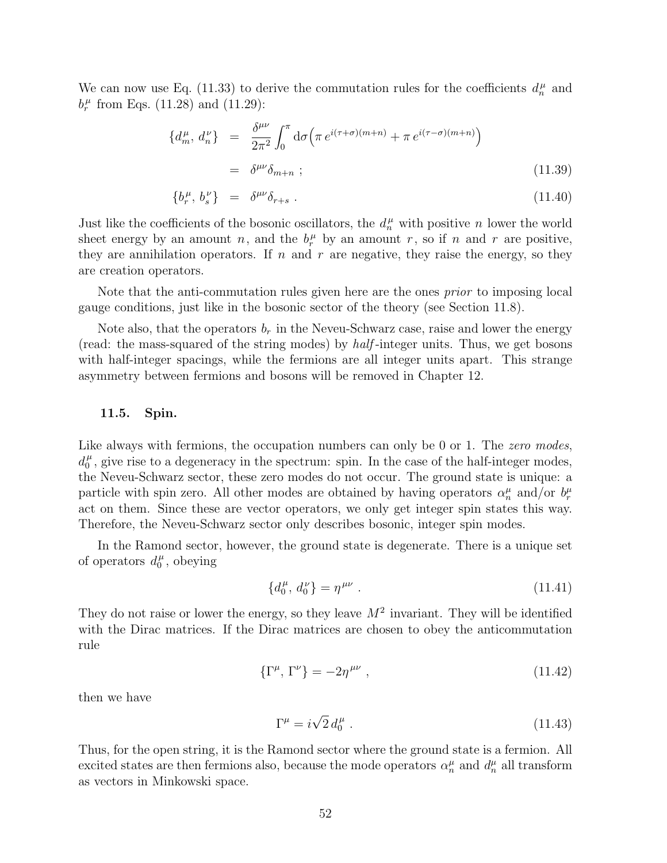We can now use Eq. (11.33) to derive the commutation rules for the coefficients  $d_n^{\mu}$  and  $b_r^{\mu}$  from Eqs. (11.28) and (11.29):

$$
\{d_m^{\mu}, d_n^{\nu}\} = \frac{\delta^{\mu\nu}}{2\pi^2} \int_0^{\pi} d\sigma \left(\pi e^{i(\tau+\sigma)(m+n)} + \pi e^{i(\tau-\sigma)(m+n)}\right)
$$
  

$$
= \delta^{\mu\nu} \delta_{m+n} ; \qquad (11.39)
$$

$$
\{b_r^{\mu},\,b_s^{\nu}\} \quad = \quad \delta^{\mu\nu}\delta_{r+s} \tag{11.40}
$$

Just like the coefficients of the bosonic oscillators, the  $d_n^{\mu}$  with positive n lower the world sheet energy by an amount n, and the  $b_r^{\mu}$  by an amount r, so if n and r are positive, they are annihilation operators. If n and r are negative, they raise the energy, so they are creation operators.

Note that the anti-commutation rules given here are the ones *prior* to imposing local gauge conditions, just like in the bosonic sector of the theory (see Section 11.8).

Note also, that the operators  $b_r$  in the Neveu-Schwarz case, raise and lower the energy (read: the mass-squared of the string modes) by half -integer units. Thus, we get bosons with half-integer spacings, while the fermions are all integer units apart. This strange asymmetry between fermions and bosons will be removed in Chapter 12.

### 11.5. Spin.

Like always with fermions, the occupation numbers can only be 0 or 1. The zero modes,  $d_0^{\mu}$  $\mu$ , give rise to a degeneracy in the spectrum: spin. In the case of the half-integer modes, the Neveu-Schwarz sector, these zero modes do not occur. The ground state is unique: a particle with spin zero. All other modes are obtained by having operators  $\alpha_n^{\mu}$  and/or  $b_r^{\mu}$ act on them. Since these are vector operators, we only get integer spin states this way. Therefore, the Neveu-Schwarz sector only describes bosonic, integer spin modes.

In the Ramond sector, however, the ground state is degenerate. There is a unique set of operators  $d_0^{\mu}$  $\int_0^\mu$ , obeying

$$
\{d_0^{\mu}, d_0^{\nu}\} = \eta^{\mu\nu} \tag{11.41}
$$

They do not raise or lower the energy, so they leave  $M^2$  invariant. They will be identified with the Dirac matrices. If the Dirac matrices are chosen to obey the anticommutation rule

$$
\{\Gamma^{\mu},\,\Gamma^{\nu}\} = -2\eta^{\mu\nu} \tag{11.42}
$$

then we have

$$
\Gamma^{\mu} = i\sqrt{2} d_0^{\mu} \tag{11.43}
$$

Thus, for the open string, it is the Ramond sector where the ground state is a fermion. All excited states are then fermions also, because the mode operators  $\alpha_n^{\mu}$  and  $d_n^{\mu}$  all transform as vectors in Minkowski space.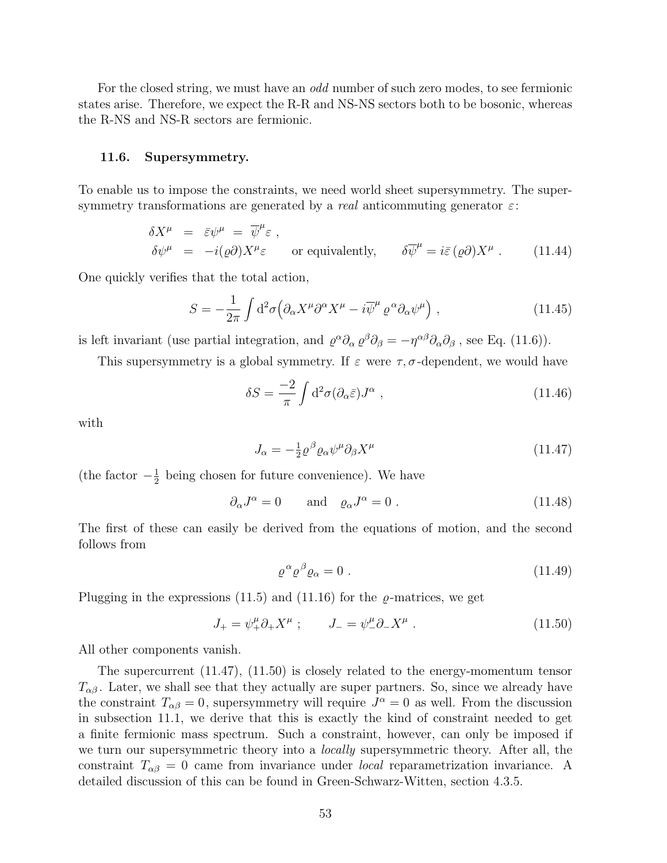For the closed string, we must have an *odd* number of such zero modes, to see fermionic states arise. Therefore, we expect the R-R and NS-NS sectors both to be bosonic, whereas the R-NS and NS-R sectors are fermionic.

#### 11.6. Supersymmetry.

To enable us to impose the constraints, we need world sheet supersymmetry. The supersymmetry transformations are generated by a *real* anticommuting generator  $\varepsilon$ :

$$
\delta X^{\mu} = \bar{\varepsilon} \psi^{\mu} = \overline{\psi}^{\mu} \varepsilon ,
$$
  
\n
$$
\delta \psi^{\mu} = -i(\varrho \partial) X^{\mu} \varepsilon \quad \text{or equivalently,} \quad \delta \overline{\psi}^{\mu} = i \overline{\varepsilon} (\varrho \partial) X^{\mu} .
$$
 (11.44)

One quickly verifies that the total action,

$$
S = -\frac{1}{2\pi} \int d^2\sigma \left( \partial_\alpha X^\mu \partial^\alpha X^\mu - i \overline{\psi}^\mu \varrho^\alpha \partial_\alpha \psi^\mu \right) , \qquad (11.45)
$$

is left invariant (use partial integration, and  $\varrho^{\alpha}\partial_{\alpha}\varrho^{\beta}\partial_{\beta} = -\eta^{\alpha\beta}\partial_{\alpha}\partial_{\beta}$ , see Eq. (11.6)).

This supersymmetry is a global symmetry. If  $\varepsilon$  were  $\tau$ ,  $\sigma$ -dependent, we would have

$$
\delta S = \frac{-2}{\pi} \int d^2 \sigma (\partial_\alpha \bar{\varepsilon}) J^\alpha \;, \tag{11.46}
$$

with

$$
J_{\alpha} = -\frac{1}{2} \varrho^{\beta} \varrho_{\alpha} \psi^{\mu} \partial_{\beta} X^{\mu} \tag{11.47}
$$

(the factor  $-\frac{1}{2}$ )  $\frac{1}{2}$  being chosen for future convenience). We have

$$
\partial_{\alpha}J^{\alpha} = 0 \quad \text{and} \quad \varrho_{\alpha}J^{\alpha} = 0 \tag{11.48}
$$

The first of these can easily be derived from the equations of motion, and the second follows from

$$
\varrho^{\alpha} \varrho^{\beta} \varrho_{\alpha} = 0 \tag{11.49}
$$

Plugging in the expressions (11.5) and (11.16) for the  $\rho$ -matrices, we get

$$
J_{+} = \psi_{+}^{\mu} \partial_{+} X^{\mu} \; ; \qquad J_{-} = \psi_{-}^{\mu} \partial_{-} X^{\mu} \; . \tag{11.50}
$$

All other components vanish.

The supercurrent (11.47), (11.50) is closely related to the energy-momentum tensor  $T_{\alpha\beta}$ . Later, we shall see that they actually are super partners. So, since we already have the constraint  $T_{\alpha\beta} = 0$ , supersymmetry will require  $J^{\alpha} = 0$  as well. From the discussion in subsection 11.1, we derive that this is exactly the kind of constraint needed to get a finite fermionic mass spectrum. Such a constraint, however, can only be imposed if we turn our supersymmetric theory into a *locally* supersymmetric theory. After all, the constraint  $T_{\alpha\beta} = 0$  came from invariance under *local* reparametrization invariance. A detailed discussion of this can be found in Green-Schwarz-Witten, section 4.3.5.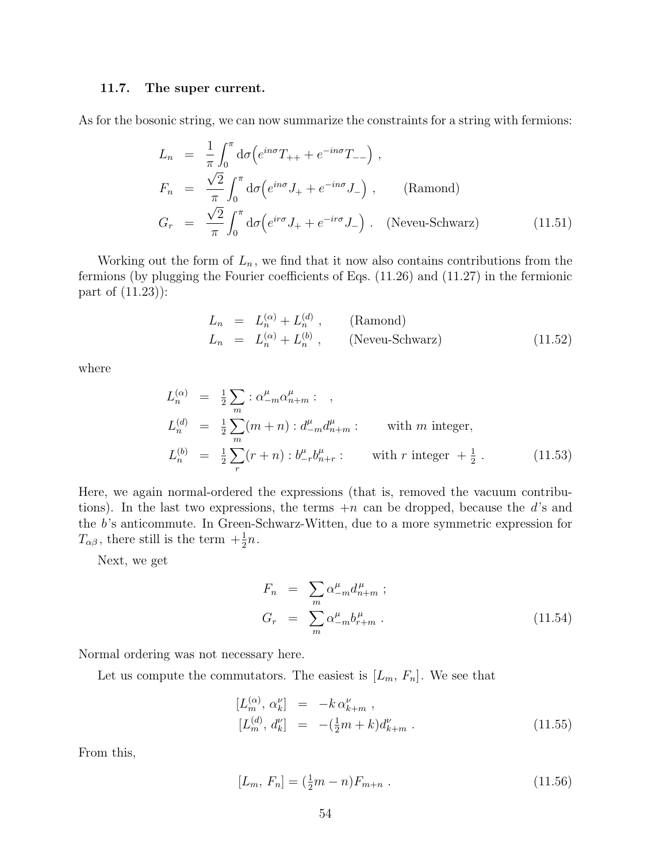#### 11.7. The super current.

As for the bosonic string, we can now summarize the constraints for a string with fermions:

$$
L_n = \frac{1}{\pi} \int_0^{\pi} d\sigma \left( e^{in\sigma} T_{++} + e^{-in\sigma} T_{--} \right) ,
$$
  
\n
$$
F_n = \frac{\sqrt{2}}{\pi} \int_0^{\pi} d\sigma \left( e^{in\sigma} J_+ + e^{-in\sigma} J_- \right) ,
$$
 (Ramond)  
\n
$$
G_r = \frac{\sqrt{2}}{\pi} \int_0^{\pi} d\sigma \left( e^{in\sigma} J_+ + e^{-in\sigma} J_- \right) .
$$
 (Neveu-Schwarz) (11.51)

Working out the form of  $L_n$ , we find that it now also contains contributions from the fermions (by plugging the Fourier coefficients of Eqs. (11.26) and (11.27) in the fermionic part of (11.23)):

$$
L_n = L_n^{(\alpha)} + L_n^{(d)}, \qquad \text{(Ramond)}
$$
  
\n
$$
L_n = L_n^{(\alpha)} + L_n^{(b)}, \qquad \text{(Neveu-Schwarz)}
$$
\n(11.52)

where

$$
L_n^{(\alpha)} = \frac{1}{2} \sum_m : \alpha_{-m}^{\mu} \alpha_{n+m}^{\mu} : ,
$$
  
\n
$$
L_n^{(d)} = \frac{1}{2} \sum_m (m+n) : d_{-m}^{\mu} d_{n+m}^{\mu} : \text{ with } m \text{ integer,}
$$
  
\n
$$
L_n^{(b)} = \frac{1}{2} \sum_r (r+n) : b_{-r}^{\mu} b_{n+r}^{\mu} : \text{ with } r \text{ integer } + \frac{1}{2} .
$$
 (11.53)

Here, we again normal-ordered the expressions (that is, removed the vacuum contributions). In the last two expressions, the terms  $+n$  can be dropped, because the d's and the b's anticommute. In Green-Schwarz-Witten, due to a more symmetric expression for  $T_{\alpha\beta}$ , there still is the term  $+\frac{1}{2}n$ .

Next, we get

$$
F_n = \sum_m \alpha_{-m}^{\mu} d_{n+m}^{\mu} ;
$$
  
\n
$$
G_r = \sum_m \alpha_{-m}^{\mu} b_{r+m}^{\mu} .
$$
\n(11.54)

Normal ordering was not necessary here.

Let us compute the commutators. The easiest is  $[L_m, F_n]$ . We see that

$$
[L_m^{(\alpha)}, \alpha_k^{\nu}] = -k \alpha_{k+m}^{\nu} ,
$$
  
\n
$$
[L_m^{(d)}, d_k^{\nu}] = -(\frac{1}{2}m + k) d_{k+m}^{\nu} .
$$
\n(11.55)

From this,

$$
[L_m, F_n] = (\frac{1}{2}m - n)F_{m+n} . \qquad (11.56)
$$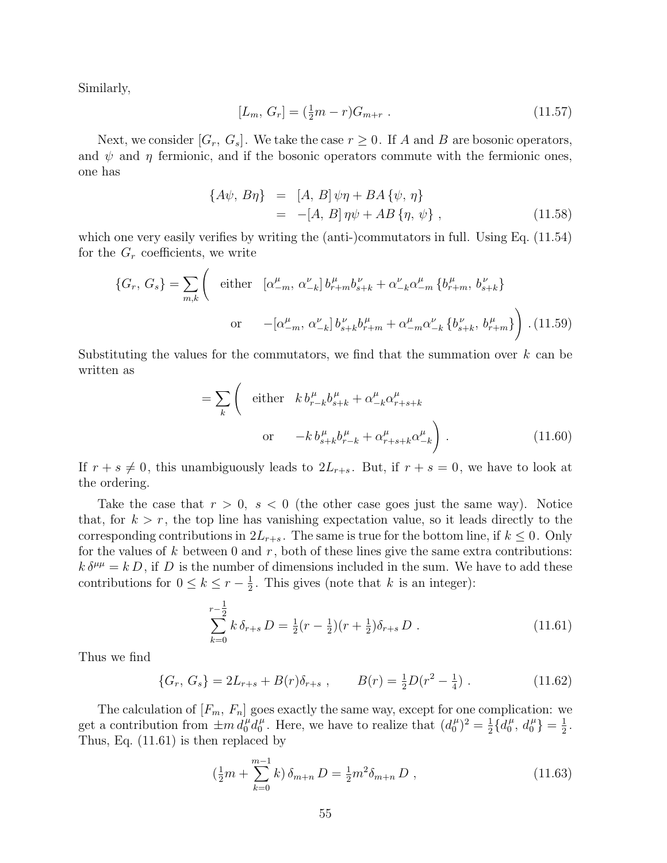Similarly,

$$
[L_m, G_r] = \left(\frac{1}{2}m - r\right)G_{m+r} \tag{11.57}
$$

Next, we consider  $[G_r, G_s]$ . We take the case  $r \geq 0$ . If A and B are bosonic operators, and  $\psi$  and  $\eta$  fermionic, and if the bosonic operators commute with the fermionic ones, one has

$$
\{A\psi, B\eta\} = [A, B]\psi\eta + BA\{\psi, \eta\}= -[A, B]\eta\psi + AB\{\eta, \psi\}, \qquad (11.58)
$$

which one very easily verifies by writing the (anti-)commutators in full. Using Eq.  $(11.54)$ for the  $G_r$  coefficients, we write  $\overline{a}$ 

$$
\{G_r, G_s\} = \sum_{m,k} \left( \begin{array}{cc} \text{either} & [\alpha_{-m}^\mu, \, \alpha_{-k}^\nu] \, b_{r+m}^\mu b_{s+k}^\nu + \alpha_{-k}^\nu \alpha_{-m}^\mu \, \{b_{r+m}^\mu, \, b_{s+k}^\nu\} \\ & \text{or} \quad -[\alpha_{-m}^\mu, \, \alpha_{-k}^\nu] \, b_{s+k}^\nu b_{r+m}^\mu + \alpha_{-m}^\mu \alpha_{-k}^\nu \, \{b_{s+k}^\nu, \, b_{r+m}^\mu\} \end{array} \right) \tag{11.59}
$$

Substituting the values for the commutators, we find that the summation over  $k$  can be written as

$$
= \sum_{k} \left( \begin{array}{cc} \text{either} & k \, b_{r-k}^{\mu} b_{s+k}^{\mu} + \alpha_{-k}^{\mu} \alpha_{r+s+k}^{\mu} \\ & \\ \text{or} & -k \, b_{s+k}^{\mu} b_{r-k}^{\mu} + \alpha_{r+s+k}^{\mu} \alpha_{-k}^{\mu} \end{array} \right). \tag{11.60}
$$

If  $r + s \neq 0$ , this unambiguously leads to  $2L_{r+s}$ . But, if  $r + s = 0$ , we have to look at the ordering.

Take the case that  $r > 0$ ,  $s < 0$  (the other case goes just the same way). Notice that, for  $k > r$ , the top line has vanishing expectation value, so it leads directly to the corresponding contributions in  $2L_{r+s}$ . The same is true for the bottom line, if  $k \leq 0$ . Only for the values of k between 0 and  $r$ , both of these lines give the same extra contributions:  $k \delta^{\mu\mu} = k D$ , if D is the number of dimensions included in the sum. We have to add these contributions for  $0 \leq k \leq r - \frac{1}{2}$  $\frac{1}{2}$ . This gives (note that k is an integer):

$$
\sum_{k=0}^{r-\frac{1}{2}} k \,\delta_{r+s} \, D = \frac{1}{2} (r - \frac{1}{2}) (r + \frac{1}{2}) \delta_{r+s} \, D \,. \tag{11.61}
$$

Thus we find

$$
\{G_r, G_s\} = 2L_{r+s} + B(r)\delta_{r+s} , \qquad B(r) = \frac{1}{2}D(r^2 - \frac{1}{4}) . \qquad (11.62)
$$

The calculation of  $[F_m, F_n]$  goes exactly the same way, except for one complication: we get a contribution from  $\pm m \, d_0^{\mu} d_0^{\mu}$  $\mu_0^{\mu}$ . Here, we have to realize that  $(d_0^{\mu})$  $\binom{\mu}{0}^2 = \frac{1}{2}$  $\frac{1}{2} \{ d_0^{\mu}$  $\begin{array}{c} \binom{\mu}{0}, d_0^{\mu} \end{array} = \frac{1}{2}$  $\frac{1}{2}$  . Thus, Eq. (11.61) is then replaced by

$$
\left(\frac{1}{2}m + \sum_{k=0}^{m-1} k\right)\delta_{m+n} D = \frac{1}{2}m^2 \delta_{m+n} D , \qquad (11.63)
$$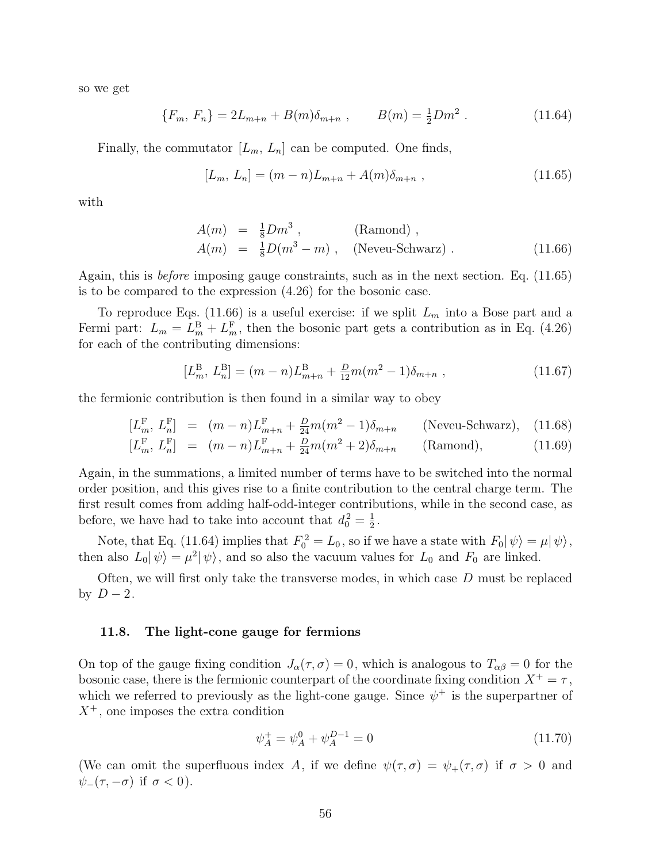so we get

$$
\{F_m, F_n\} = 2L_{m+n} + B(m)\delta_{m+n} , \qquad B(m) = \frac{1}{2}Dm^2 . \qquad (11.64)
$$

Finally, the commutator  $[L_m, L_n]$  can be computed. One finds,

$$
[L_m, L_n] = (m - n)L_{m+n} + A(m)\delta_{m+n} , \qquad (11.65)
$$

with

$$
A(m) = \frac{1}{8} Dm^3 , \qquad \text{(Ramond) },
$$
  
\n
$$
A(m) = \frac{1}{8} D(m^3 - m) , \qquad \text{(Newu-Schwarz)} . \qquad (11.66)
$$

Again, this is before imposing gauge constraints, such as in the next section. Eq. (11.65) is to be compared to the expression (4.26) for the bosonic case.

To reproduce Eqs. (11.66) is a useful exercise: if we split  $L_m$  into a Bose part and a Fermi part:  $L_m = L_m^B + L_m^F$ , then the bosonic part gets a contribution as in Eq. (4.26) for each of the contributing dimensions:

$$
[L_m^B, L_n^B] = (m - n)L_{m+n}^B + \frac{D}{12}m(m^2 - 1)\delta_{m+n} ,
$$
\n(11.67)

the fermionic contribution is then found in a similar way to obey

$$
[L_m^F, L_n^F] = (m - n)L_{m+n}^F + \frac{D}{24}m(m^2 - 1)\delta_{m+n}
$$
 (Neveu-Schwarz), (11.68)

$$
[L_m^{\mathcal{F}}, L_n^{\mathcal{F}}] = (m - n)L_{m+n}^{\mathcal{F}} + \frac{D}{24}m(m^2 + 2)\delta_{m+n} \qquad \text{(Ramond)}, \tag{11.69}
$$

Again, in the summations, a limited number of terms have to be switched into the normal order position, and this gives rise to a finite contribution to the central charge term. The first result comes from adding half-odd-integer contributions, while in the second case, as before, we have had to take into account that  $d_0^2 = \frac{1}{2}$  $\frac{1}{2}$  .

Note, that Eq. (11.64) implies that  $F_0^2 = L_0$ , so if we have a state with  $F_0|\psi\rangle = \mu|\psi\rangle$ , then also  $L_0|\psi\rangle = \mu^2|\psi\rangle$ , and so also the vacuum values for  $L_0$  and  $F_0$  are linked.

Often, we will first only take the transverse modes, in which case D must be replaced by  $D-2$ .

#### 11.8. The light-cone gauge for fermions

On top of the gauge fixing condition  $J_{\alpha}(\tau, \sigma) = 0$ , which is analogous to  $T_{\alpha\beta} = 0$  for the bosonic case, there is the fermionic counterpart of the coordinate fixing condition  $X^+ = \tau$ , which we referred to previously as the light-cone gauge. Since  $\psi^+$  is the superpartner of  $X^+$ , one imposes the extra condition

$$
\psi_A^+ = \psi_A^0 + \psi_A^{D-1} = 0 \tag{11.70}
$$

(We can omit the superfluous index A, if we define  $\psi(\tau,\sigma) = \psi_+(\tau,\sigma)$  if  $\sigma > 0$  and  $\psi_-(\tau, -\sigma)$  if  $\sigma < 0$ ).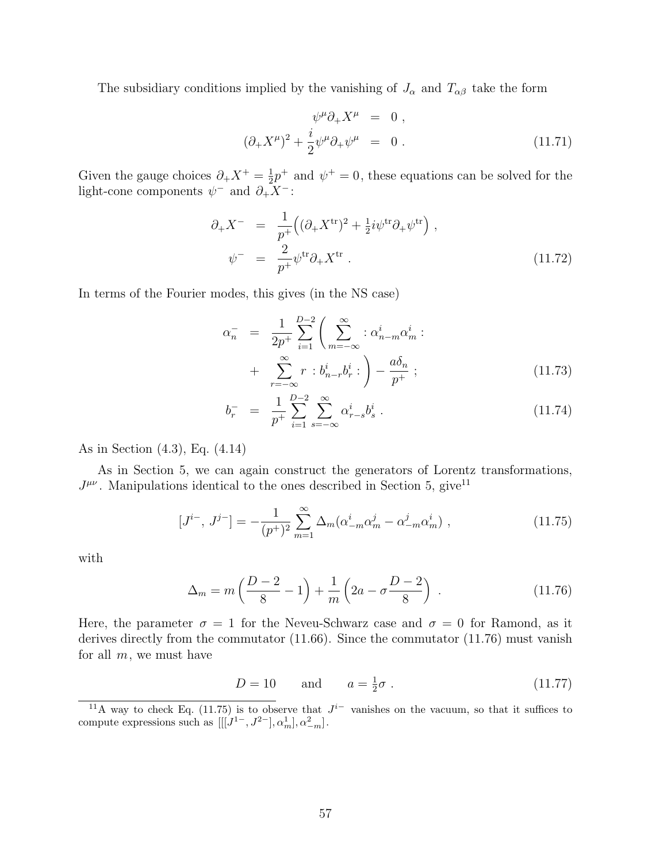The subsidiary conditions implied by the vanishing of  $J_{\alpha}$  and  $T_{\alpha\beta}$  take the form

$$
\psi^{\mu}\partial_{+}X^{\mu} = 0 ,
$$
  

$$
(\partial_{+}X^{\mu})^{2} + \frac{i}{2}\psi^{\mu}\partial_{+}\psi^{\mu} = 0 .
$$
 (11.71)

Given the gauge choices  $\partial_+ X^+ = \frac{1}{2}$  $\frac{1}{2}p^+$  and  $\psi^+ = 0$ , these equations can be solved for the light-cone components  $\psi^-$  and  $\partial_+ X^-$ :

$$
\partial_{+}X^{-} = \frac{1}{p^{+}} \left( (\partial_{+}X^{\mathrm{tr}})^{2} + \frac{1}{2}i\psi^{\mathrm{tr}}\partial_{+}\psi^{\mathrm{tr}} \right) ,
$$
  
\n
$$
\psi^{-} = \frac{2}{p^{+}}\psi^{\mathrm{tr}}\partial_{+}X^{\mathrm{tr}} .
$$
\n(11.72)

In terms of the Fourier modes, this gives (in the NS case)

$$
\alpha_n^- = \frac{1}{2p^+} \sum_{i=1}^{D-2} \left( \sum_{m=-\infty}^{\infty} : \alpha_{n-m}^i \alpha_m^i : + \sum_{r=-\infty}^{\infty} r : b_{n-r}^i b_r^i : \right) - \frac{a \delta_n}{p^+};
$$
\n(11.73)

$$
b_r^- = \frac{1}{p^+} \sum_{i=1}^{D-2} \sum_{s=-\infty}^{\infty} \alpha_{r-s}^i b_s^i . \qquad (11.74)
$$

As in Section (4.3), Eq. (4.14)

As in Section 5, we can again construct the generators of Lorentz transformations,  $J^{\mu\nu}$ . Manipulations identical to the ones described in Section 5, give<sup>11</sup>

$$
[J^{i-}, J^{j-}] = -\frac{1}{(p^+)^2} \sum_{m=1}^{\infty} \Delta_m (\alpha_{-m}^i \alpha_m^j - \alpha_{-m}^j \alpha_m^i) , \qquad (11.75)
$$

with

$$
\Delta_m = m \left( \frac{D-2}{8} - 1 \right) + \frac{1}{m} \left( 2a - \sigma \frac{D-2}{8} \right) . \tag{11.76}
$$

Here, the parameter  $\sigma = 1$  for the Neveu-Schwarz case and  $\sigma = 0$  for Ramond, as it derives directly from the commutator (11.66). Since the commutator (11.76) must vanish for all  $m$ , we must have

$$
D = 10 \qquad \text{and} \qquad a = \frac{1}{2}\sigma \; . \tag{11.77}
$$

<sup>&</sup>lt;sup>11</sup>A way to check Eq. (11.75) is to observe that  $J^{i-}$  vanishes on the vacuum, so that it suffices to compute expressions such as  $[[[J<sup>1-</sup>, J<sup>2-</sup>], \alpha<sub>m</sub><sup>1</sup>], \alpha<sup>2</sup><sub>-m</sub>].$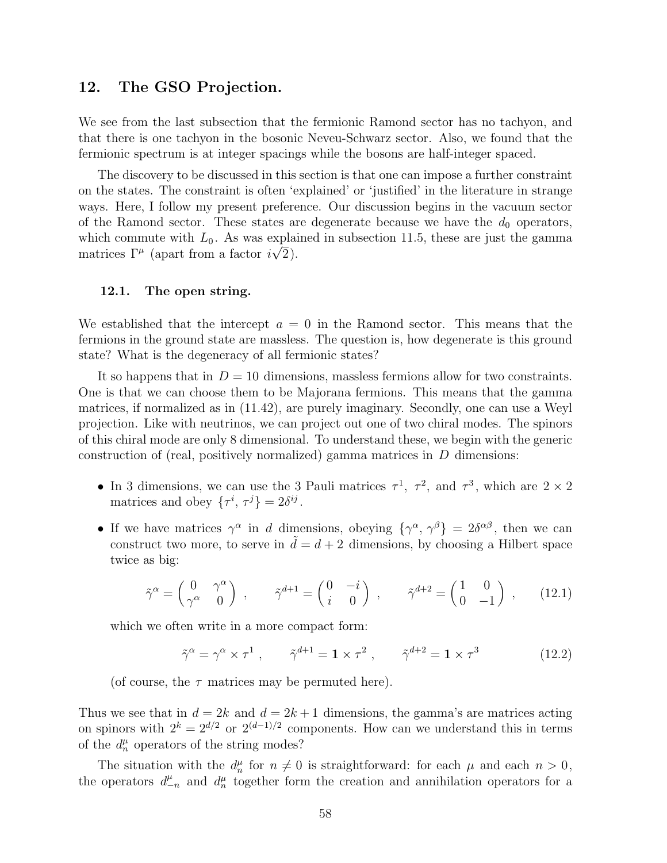# 12. The GSO Projection.

We see from the last subsection that the fermionic Ramond sector has no tachyon, and that there is one tachyon in the bosonic Neveu-Schwarz sector. Also, we found that the fermionic spectrum is at integer spacings while the bosons are half-integer spaced.

The discovery to be discussed in this section is that one can impose a further constraint on the states. The constraint is often 'explained' or 'justified' in the literature in strange ways. Here, I follow my present preference. Our discussion begins in the vacuum sector of the Ramond sector. These states are degenerate because we have the  $d_0$  operators, which commute with  $L_0$ . As was explained in subsection 11.5, these are just the gamma matrices  $\Gamma^{\mu}$  (apart from a factor  $i\sqrt{2}$ ).

#### 12.1. The open string.

We established that the intercept  $a = 0$  in the Ramond sector. This means that the fermions in the ground state are massless. The question is, how degenerate is this ground state? What is the degeneracy of all fermionic states?

It so happens that in  $D = 10$  dimensions, massless fermions allow for two constraints. One is that we can choose them to be Majorana fermions. This means that the gamma matrices, if normalized as in (11.42), are purely imaginary. Secondly, one can use a Weyl projection. Like with neutrinos, we can project out one of two chiral modes. The spinors of this chiral mode are only 8 dimensional. To understand these, we begin with the generic construction of (real, positively normalized) gamma matrices in  $D$  dimensions:

- In 3 dimensions, we can use the 3 Pauli matrices  $\tau^1$ ,  $\tau^2$ , and  $\tau^3$ , which are  $2 \times 2$ matrices and obey  $\{\tau^i, \tau^j\} = 2\delta^{ij}$ .
- If we have matrices  $\gamma^{\alpha}$  in d dimensions, obeying  $\{\gamma^{\alpha}, \gamma^{\beta}\} = 2\delta^{\alpha\beta}$ , then we can construct two more, to serve in  $d = d + 2$  dimensions, by choosing a Hilbert space twice as big:

$$
\tilde{\gamma}^{\alpha} = \begin{pmatrix} 0 & \gamma^{\alpha} \\ \gamma^{\alpha} & 0 \end{pmatrix} , \qquad \tilde{\gamma}^{d+1} = \begin{pmatrix} 0 & -i \\ i & 0 \end{pmatrix} , \qquad \tilde{\gamma}^{d+2} = \begin{pmatrix} 1 & 0 \\ 0 & -1 \end{pmatrix} , \qquad (12.1)
$$

which we often write in a more compact form:

$$
\tilde{\gamma}^{\alpha} = \gamma^{\alpha} \times \tau^{1} , \qquad \tilde{\gamma}^{d+1} = \mathbf{1} \times \tau^{2} , \qquad \tilde{\gamma}^{d+2} = \mathbf{1} \times \tau^{3} \tag{12.2}
$$

(of course, the  $\tau$  matrices may be permuted here).

Thus we see that in  $d = 2k$  and  $d = 2k + 1$  dimensions, the gamma's are matrices acting on spinors with  $2^k = 2^{d/2}$  or  $2^{(d-1)/2}$  components. How can we understand this in terms of the  $d_n^{\mu}$  operators of the string modes?

The situation with the  $d_n^{\mu}$  for  $n \neq 0$  is straightforward: for each  $\mu$  and each  $n > 0$ , the operators  $d_{-n}^{\mu}$  and  $d_n^{\mu}$  together form the creation and annihilation operators for a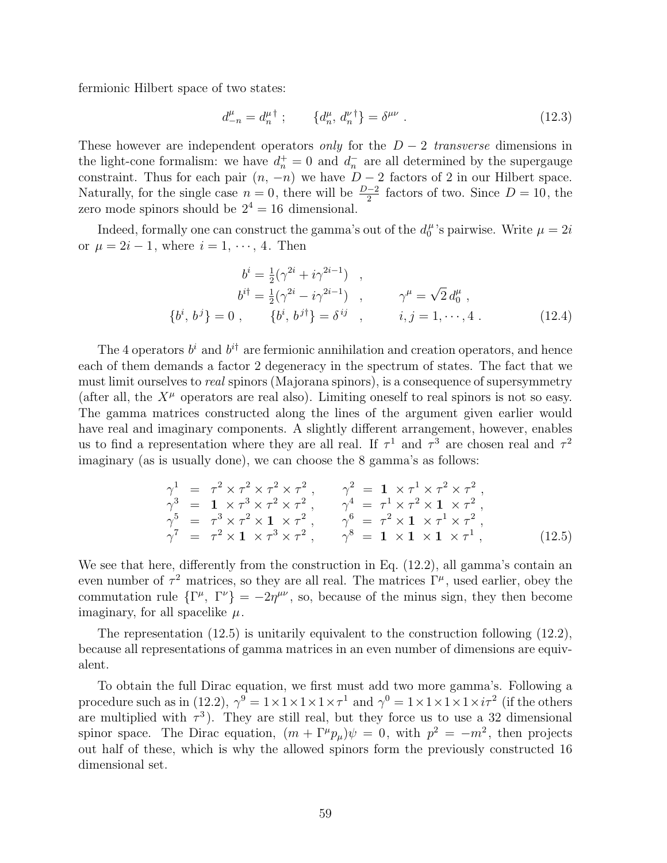fermionic Hilbert space of two states:

$$
d_{-n}^{\mu} = d_n^{\mu \dagger} ; \qquad \{d_n^{\mu}, d_n^{\nu \dagger}\} = \delta^{\mu \nu} . \qquad (12.3)
$$

These however are independent operators only for the  $D-2$  transverse dimensions in the light-cone formalism: we have  $d_n^+ = 0$  and  $d_n^-$  are all determined by the supergauge constraint. Thus for each pair  $(n, -n)$  we have  $D-2$  factors of 2 in our Hilbert space. Naturally, for the single case  $n = 0$ , there will be  $\frac{D-2}{2}$  factors of two. Since  $D = 10$ , the zero mode spinors should be  $2^4 = 16$  dimensional.

Indeed, formally one can construct the gamma's out of the  $d_0^{\mu}$  $\mu$ 's pairwise. Write  $\mu = 2i$ or  $\mu = 2i - 1$ , where  $i = 1, \dots, 4$ . Then

$$
b^{i} = \frac{1}{2}(\gamma^{2i} + i\gamma^{2i-1}) ,
$$
  
\n
$$
b^{i\dagger} = \frac{1}{2}(\gamma^{2i} - i\gamma^{2i-1}) , \qquad \gamma^{\mu} = \sqrt{2} d_0^{\mu} ,
$$
  
\n
$$
\{b^{i}, b^{j}\} = 0 , \qquad \{b^{i}, b^{j\dagger}\} = \delta^{ij} , \qquad i, j = 1, \cdots, 4 .
$$
 (12.4)

The 4 operators  $b^i$  and  $b^{i\dagger}$  are fermionic annihilation and creation operators, and hence each of them demands a factor 2 degeneracy in the spectrum of states. The fact that we must limit ourselves to real spinors (Majorana spinors), is a consequence of supersymmetry (after all, the  $X^{\mu}$  operators are real also). Limiting oneself to real spinors is not so easy. The gamma matrices constructed along the lines of the argument given earlier would have real and imaginary components. A slightly different arrangement, however, enables us to find a representation where they are all real. If  $\tau^1$  and  $\tau^3$  are chosen real and  $\tau^2$ imaginary (as is usually done), we can choose the 8 gamma's as follows:

$$
\gamma^{1} = \tau^{2} \times \tau^{2} \times \tau^{2} \times \tau^{2}, \qquad \gamma^{2} = 1 \times \tau^{1} \times \tau^{2} \times \tau^{2}, \n\gamma^{3} = 1 \times \tau^{3} \times \tau^{2} \times \tau^{2}, \qquad \gamma^{4} = \tau^{1} \times \tau^{2} \times 1 \times \tau^{2}, \n\gamma^{5} = \tau^{3} \times \tau^{2} \times 1 \times \tau^{2}, \qquad \gamma^{6} = \tau^{2} \times 1 \times \tau^{1} \times \tau^{2}, \n\gamma^{7} = \tau^{2} \times 1 \times \tau^{3} \times \tau^{2}, \qquad \gamma^{8} = 1 \times 1 \times 1 \times \tau^{1},
$$
\n(12.5)

We see that here, differently from the construction in Eq.  $(12.2)$ , all gamma's contain an even number of  $\tau^2$  matrices, so they are all real. The matrices  $\Gamma^{\mu}$ , used earlier, obey the commutation rule  $\{\Gamma^{\mu}, \Gamma^{\nu}\} = -2\eta^{\mu\nu}$ , so, because of the minus sign, they then become imaginary, for all spacelike  $\mu$ .

The representation (12.5) is unitarily equivalent to the construction following (12.2), because all representations of gamma matrices in an even number of dimensions are equivalent.

To obtain the full Dirac equation, we first must add two more gamma's. Following a procedure such as in (12.2),  $\gamma^9 = 1 \times 1 \times 1 \times 1 \times 1^1$  and  $\gamma^0 = 1 \times 1 \times 1 \times 1 \times 1^2$  (if the others are multiplied with  $\tau^3$ ). They are still real, but they force us to use a 32 dimensional spinor space. The Dirac equation,  $(m + \Gamma^{\mu} p_{\mu})\psi = 0$ , with  $p^2 = -m^2$ , then projects out half of these, which is why the allowed spinors form the previously constructed 16 dimensional set.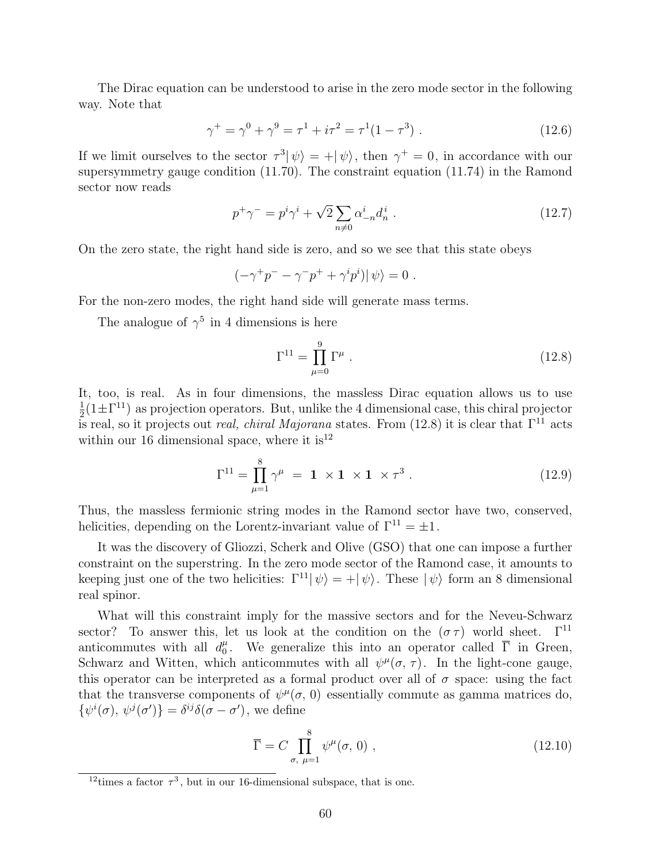The Dirac equation can be understood to arise in the zero mode sector in the following way. Note that

$$
\gamma^+ = \gamma^0 + \gamma^9 = \tau^1 + i\tau^2 = \tau^1(1 - \tau^3) \tag{12.6}
$$

If we limit ourselves to the sector  $\tau^3 |\psi\rangle = +|\psi\rangle$ , then  $\gamma^+ = 0$ , in accordance with our supersymmetry gauge condition (11.70). The constraint equation (11.74) in the Ramond sector now reads

$$
p^{+}\gamma^{-} = p^{i}\gamma^{i} + \sqrt{2} \sum_{n \neq 0} \alpha_{-n}^{i} d_{n}^{i} . \qquad (12.7)
$$

On the zero state, the right hand side is zero, and so we see that this state obeys

$$
(-\gamma^+p^- - \gamma^-p^+ + \gamma^ip^i)|\psi\rangle = 0.
$$

For the non-zero modes, the right hand side will generate mass terms.

The analogue of  $\gamma^5$  in 4 dimensions is here

$$
\Gamma^{11} = \prod_{\mu=0}^{9} \Gamma^{\mu} \ . \tag{12.8}
$$

It, too, is real. As in four dimensions, the massless Dirac equation allows us to use 1  $\frac{1}{2}(1\pm\Gamma^{11})$  as projection operators. But, unlike the 4 dimensional case, this chiral projector is real, so it projects out *real, chiral Majorana* states. From (12.8) it is clear that  $\Gamma^{11}$  acts within our 16 dimensional space, where it  $is^{12}$ 

$$
\Gamma^{11} = \prod_{\mu=1}^{8} \gamma^{\mu} = \mathbf{1} \times \mathbf{1} \times \mathbf{1} \times \tau^{3} . \tag{12.9}
$$

Thus, the massless fermionic string modes in the Ramond sector have two, conserved, helicities, depending on the Lorentz-invariant value of  $\Gamma^{11} = \pm 1$ .

It was the discovery of Gliozzi, Scherk and Olive (GSO) that one can impose a further constraint on the superstring. In the zero mode sector of the Ramond case, it amounts to keeping just one of the two helicities:  $\Gamma^{11}|\psi\rangle = +|\psi\rangle$ . These  $|\psi\rangle$  form an 8 dimensional real spinor.

What will this constraint imply for the massive sectors and for the Neveu-Schwarz sector? To answer this, let us look at the condition on the  $(\sigma \tau)$  world sheet.  $\Gamma^{11}$ anticommutes with all  $d_0^{\mu}$ <sup> $\mu$ </sup>. We generalize this into an operator called  $\overline{\Gamma}$  in Green, Schwarz and Witten, which anticommutes with all  $\psi^{\mu}(\sigma, \tau)$ . In the light-cone gauge, this operator can be interpreted as a formal product over all of  $\sigma$  space: using the fact that the transverse components of  $\psi^{\mu}(\sigma, 0)$  essentially commute as gamma matrices do,  $\{\psi^i(\sigma),\psi^j(\sigma')\}=\delta^{ij}\delta(\sigma-\sigma')$ , we define

$$
\overline{\Gamma} = C \prod_{\sigma, \mu=1}^{8} \psi^{\mu}(\sigma, 0) , \qquad (12.10)
$$

<sup>&</sup>lt;sup>12</sup> times a factor  $\tau^3$ , but in our 16-dimensional subspace, that is one.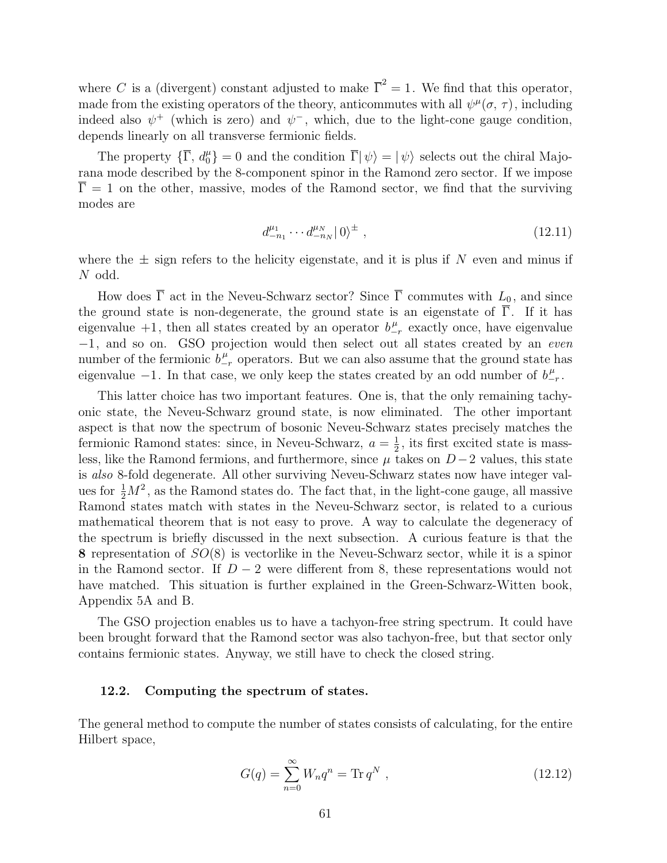where C is a (divergent) constant adjusted to make  $\overline{\Gamma}^2 = 1$ . We find that this operator, made from the existing operators of the theory, anticommutes with all  $\psi^{\mu}(\sigma, \tau)$ , including indeed also  $\psi^+$  (which is zero) and  $\psi^-$ , which, due to the light-cone gauge condition, depends linearly on all transverse fermionic fields.

The property  $\{\overline{\Gamma}, d_0^{\mu}\}=0$  and the condition  $\overline{\Gamma}|\psi\rangle=|\psi\rangle$  selects out the chiral Majorana mode described by the 8-component spinor in the Ramond zero sector. If we impose  $\overline{\Gamma} = 1$  on the other, massive, modes of the Ramond sector, we find that the surviving modes are

$$
d_{-n_1}^{\mu_1} \cdots d_{-n_N}^{\mu_N} |0\rangle^{\pm} , \qquad (12.11)
$$

where the  $\pm$  sign refers to the helicity eigenstate, and it is plus if N even and minus if N odd.

How does  $\overline{\Gamma}$  act in the Neveu-Schwarz sector? Since  $\overline{\Gamma}$  commutes with  $L_0$ , and since the ground state is non-degenerate, the ground state is an eigenstate of  $\overline{\Gamma}$ . If it has eigenvalue +1, then all states created by an operator  $b^{\mu}_{-r}$  exactly once, have eigenvalue −1, and so on. GSO projection would then select out all states created by an even number of the fermionic  $b_{-r}^{\mu}$  operators. But we can also assume that the ground state has eigenvalue  $-1$ . In that case, we only keep the states created by an odd number of  $b_{-r}^{\mu}$ .

This latter choice has two important features. One is, that the only remaining tachyonic state, the Neveu-Schwarz ground state, is now eliminated. The other important aspect is that now the spectrum of bosonic Neveu-Schwarz states precisely matches the fermionic Ramond states: since, in Neveu-Schwarz,  $a = \frac{1}{2}$  $\frac{1}{2}$ , its first excited state is massless, like the Ramond fermions, and furthermore, since  $\mu$  takes on  $D-2$  values, this state is also 8-fold degenerate. All other surviving Neveu-Schwarz states now have integer values for  $\frac{1}{2}M^2$ , as the Ramond states do. The fact that, in the light-cone gauge, all massive Ramond states match with states in the Neveu-Schwarz sector, is related to a curious mathematical theorem that is not easy to prove. A way to calculate the degeneracy of the spectrum is briefly discussed in the next subsection. A curious feature is that the 8 representation of  $SO(8)$  is vectorlike in the Neveu-Schwarz sector, while it is a spinor in the Ramond sector. If  $D-2$  were different from 8, these representations would not have matched. This situation is further explained in the Green-Schwarz-Witten book, Appendix 5A and B.

The GSO projection enables us to have a tachyon-free string spectrum. It could have been brought forward that the Ramond sector was also tachyon-free, but that sector only contains fermionic states. Anyway, we still have to check the closed string.

#### 12.2. Computing the spectrum of states.

The general method to compute the number of states consists of calculating, for the entire Hilbert space,

$$
G(q) = \sum_{n=0}^{\infty} W_n q^n = \text{Tr} \, q^N \,, \tag{12.12}
$$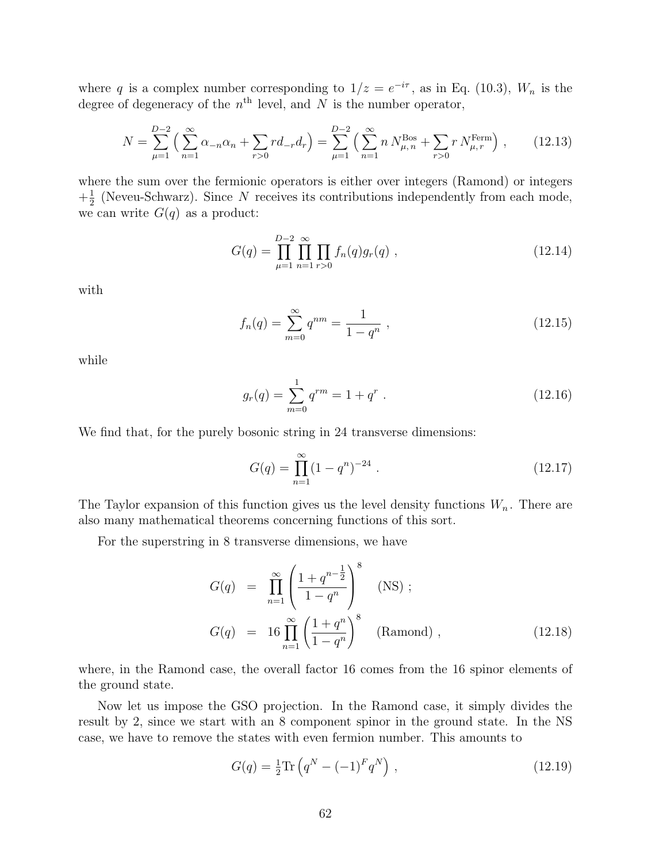where q is a complex number corresponding to  $1/z = e^{-i\tau}$ , as in Eq. (10.3),  $W_n$  is the degree of degeneracy of the  $n^{\text{th}}$  level, and N is the number operator,

$$
N = \sum_{\mu=1}^{D-2} \left( \sum_{n=1}^{\infty} \alpha_{-n} \alpha_n + \sum_{r>0} r d_{-r} d_r \right) = \sum_{\mu=1}^{D-2} \left( \sum_{n=1}^{\infty} n N_{\mu, n}^{\text{Bos}} + \sum_{r>0} r N_{\mu, r}^{\text{Ferm}} \right), \qquad (12.13)
$$

where the sum over the fermionic operators is either over integers (Ramond) or integers  $+\frac{1}{2}$  $\frac{1}{2}$  (Neveu-Schwarz). Since N receives its contributions independently from each mode, we can write  $G(q)$  as a product:

$$
G(q) = \prod_{\mu=1}^{D-2} \prod_{n=1}^{\infty} \prod_{r>0} f_n(q) g_r(q) , \qquad (12.14)
$$

with

$$
f_n(q) = \sum_{m=0}^{\infty} q^{nm} = \frac{1}{1 - q^n} \,, \tag{12.15}
$$

while

$$
g_r(q) = \sum_{m=0}^{1} q^{rm} = 1 + q^r . \qquad (12.16)
$$

We find that, for the purely bosonic string in 24 transverse dimensions:

$$
G(q) = \prod_{n=1}^{\infty} (1 - q^n)^{-24} . \tag{12.17}
$$

The Taylor expansion of this function gives us the level density functions  $W_n$ . There are also many mathematical theorems concerning functions of this sort.

For the superstring in 8 transverse dimensions, we have

$$
G(q) = \prod_{n=1}^{\infty} \left( \frac{1 + q^{n - \frac{1}{2}}}{1 - q^n} \right)^8 \quad \text{(NS)} ;
$$
  
\n
$$
G(q) = 16 \prod_{n=1}^{\infty} \left( \frac{1 + q^n}{1 - q^n} \right)^8 \quad \text{(Ramond)} ,
$$
\n(12.18)

where, in the Ramond case, the overall factor 16 comes from the 16 spinor elements of the ground state.

Now let us impose the GSO projection. In the Ramond case, it simply divides the result by 2, since we start with an 8 component spinor in the ground state. In the NS case, we have to remove the states with even fermion number. This amounts to

$$
G(q) = \frac{1}{2} \text{Tr} \left( q^N - (-1)^F q^N \right) , \qquad (12.19)
$$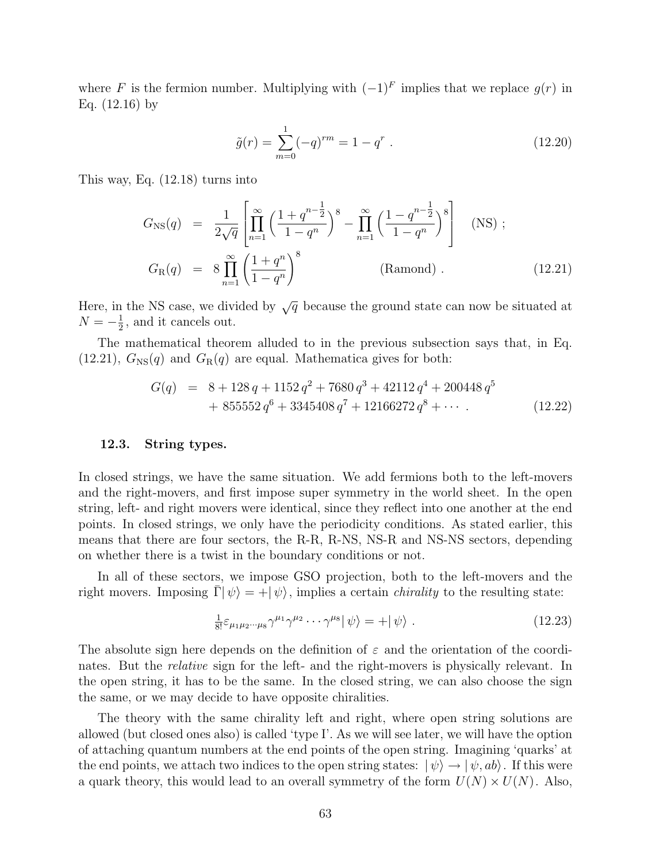where F is the fermion number. Multiplying with  $(-1)^F$  implies that we replace  $g(r)$  in Eq. (12.16) by

$$
\tilde{g}(r) = \sum_{m=0}^{1} (-q)^{rm} = 1 - q^r . \qquad (12.20)
$$

This way, Eq. (12.18) turns into

$$
G_{\rm NS}(q) = \frac{1}{2\sqrt{q}} \left[ \prod_{n=1}^{\infty} \left( \frac{1+q^{n-\frac{1}{2}}}{1-q^n} \right)^8 - \prod_{n=1}^{\infty} \left( \frac{1-q^{n-\frac{1}{2}}}{1-q^n} \right)^8 \right] \quad \text{(NS)};
$$
  
\n
$$
G_{\rm R}(q) = 8 \prod_{n=1}^{\infty} \left( \frac{1+q^n}{1-q^n} \right)^8 \quad \text{(Ramond)}.
$$
\n(12.21)

Here, in the NS case, we divided by  $\sqrt{q}$  because the ground state can now be situated at  $N=-\frac{1}{2}$  $\frac{1}{2}$ , and it cancels out.

The mathematical theorem alluded to in the previous subsection says that, in Eq.  $(12.21)$ ,  $G_{\text{NS}}(q)$  and  $G_{\text{R}}(q)$  are equal. Mathematica gives for both:

$$
G(q) = 8 + 128 q + 1152 q^2 + 7680 q^3 + 42112 q^4 + 200448 q^5
$$
  
+ 855552 q<sup>6</sup> + 3345408 q<sup>7</sup> + 12166272 q<sup>8</sup> + · · · (12.22)

### 12.3. String types.

In closed strings, we have the same situation. We add fermions both to the left-movers and the right-movers, and first impose super symmetry in the world sheet. In the open string, left- and right movers were identical, since they reflect into one another at the end points. In closed strings, we only have the periodicity conditions. As stated earlier, this means that there are four sectors, the R-R, R-NS, NS-R and NS-NS sectors, depending on whether there is a twist in the boundary conditions or not.

In all of these sectors, we impose GSO projection, both to the left-movers and the right movers. Imposing  $\bar{\Gamma}|\psi\rangle = +|\psi\rangle$ , implies a certain *chirality* to the resulting state:

$$
\frac{1}{8!} \varepsilon_{\mu_1 \mu_2 \cdots \mu_8} \gamma^{\mu_1} \gamma^{\mu_2} \cdots \gamma^{\mu_8} |\psi\rangle = +|\psi\rangle . \qquad (12.23)
$$

The absolute sign here depends on the definition of  $\varepsilon$  and the orientation of the coordinates. But the relative sign for the left- and the right-movers is physically relevant. In the open string, it has to be the same. In the closed string, we can also choose the sign the same, or we may decide to have opposite chiralities.

The theory with the same chirality left and right, where open string solutions are allowed (but closed ones also) is called 'type I'. As we will see later, we will have the option of attaching quantum numbers at the end points of the open string. Imagining 'quarks' at the end points, we attach two indices to the open string states:  $|\psi\rangle \rightarrow |\psi, ab\rangle$ . If this were a quark theory, this would lead to an overall symmetry of the form  $U(N) \times U(N)$ . Also,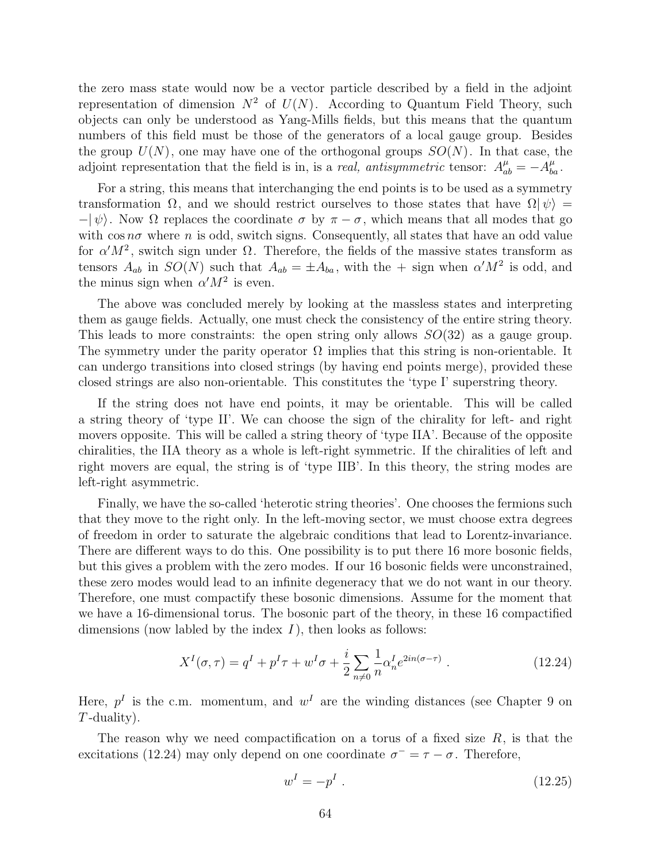the zero mass state would now be a vector particle described by a field in the adjoint representation of dimension  $N^2$  of  $U(N)$ . According to Quantum Field Theory, such objects can only be understood as Yang-Mills fields, but this means that the quantum numbers of this field must be those of the generators of a local gauge group. Besides the group  $U(N)$ , one may have one of the orthogonal groups  $SO(N)$ . In that case, the adjoint representation that the field is in, is a *real, antisymmetric* tensor:  $A_{ab}^{\mu} = -A_{ba}^{\mu}$ .

For a string, this means that interchanging the end points is to be used as a symmetry transformation  $\Omega$ , and we should restrict ourselves to those states that have  $\Omega|\psi\rangle =$  $-|\psi\rangle$ . Now  $\Omega$  replaces the coordinate  $\sigma$  by  $\pi - \sigma$ , which means that all modes that go with  $\cos n\sigma$  where n is odd, switch signs. Consequently, all states that have an odd value for  $\alpha' M^2$ , switch sign under  $\Omega$ . Therefore, the fields of the massive states transform as tensors  $A_{ab}$  in  $SO(N)$  such that  $A_{ab} = \pm A_{ba}$ , with the  $+$  sign when  $\alpha' M^2$  is odd, and the minus sign when  $\alpha' M^2$  is even.

The above was concluded merely by looking at the massless states and interpreting them as gauge fields. Actually, one must check the consistency of the entire string theory. This leads to more constraints: the open string only allows  $SO(32)$  as a gauge group. The symmetry under the parity operator  $\Omega$  implies that this string is non-orientable. It can undergo transitions into closed strings (by having end points merge), provided these closed strings are also non-orientable. This constitutes the 'type I' superstring theory.

If the string does not have end points, it may be orientable. This will be called a string theory of 'type II'. We can choose the sign of the chirality for left- and right movers opposite. This will be called a string theory of 'type IIA'. Because of the opposite chiralities, the IIA theory as a whole is left-right symmetric. If the chiralities of left and right movers are equal, the string is of 'type IIB'. In this theory, the string modes are left-right asymmetric.

Finally, we have the so-called 'heterotic string theories'. One chooses the fermions such that they move to the right only. In the left-moving sector, we must choose extra degrees of freedom in order to saturate the algebraic conditions that lead to Lorentz-invariance. There are different ways to do this. One possibility is to put there 16 more bosonic fields, but this gives a problem with the zero modes. If our 16 bosonic fields were unconstrained, these zero modes would lead to an infinite degeneracy that we do not want in our theory. Therefore, one must compactify these bosonic dimensions. Assume for the moment that we have a 16-dimensional torus. The bosonic part of the theory, in these 16 compactified dimensions (now labled by the index  $I$ ), then looks as follows:

$$
X^{I}(\sigma,\tau) = q^{I} + p^{I}\tau + w^{I}\sigma + \frac{i}{2} \sum_{n \neq 0} \frac{1}{n} \alpha_{n}^{I} e^{2in(\sigma - \tau)}.
$$
 (12.24)

Here,  $p<sup>I</sup>$  is the c.m. momentum, and  $w<sup>I</sup>$  are the winding distances (see Chapter 9 on  $T$ -duality).

The reason why we need compactification on a torus of a fixed size  $R$ , is that the excitations (12.24) may only depend on one coordinate  $\sigma^- = \tau - \sigma$ . Therefore,

$$
w^I = -p^I \tag{12.25}
$$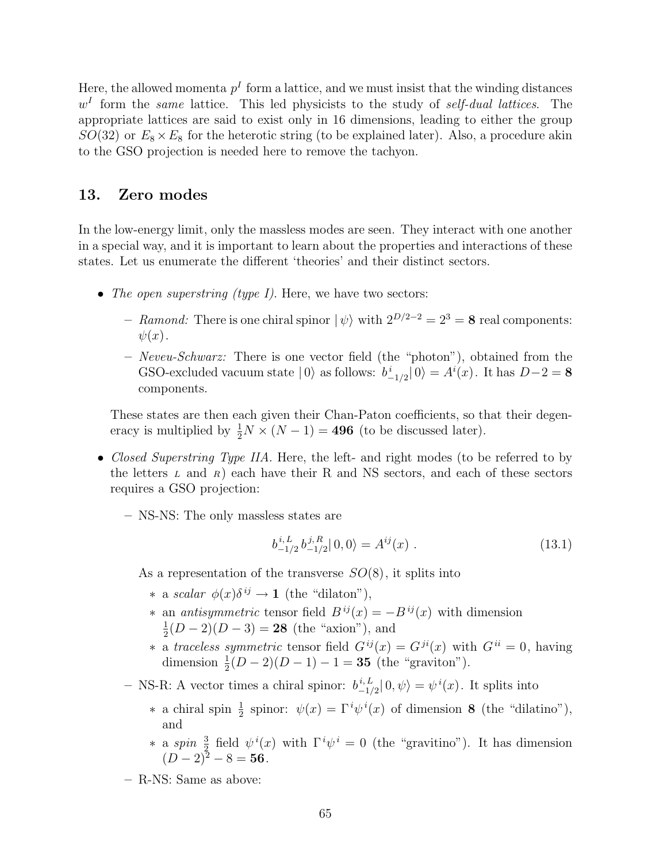Here, the allowed momenta  $p<sup>I</sup>$  form a lattice, and we must insist that the winding distances  $w<sup>I</sup>$  form the same lattice. This led physicists to the study of self-dual lattices. The appropriate lattices are said to exist only in 16 dimensions, leading to either the group  $SO(32)$  or  $E_8 \times E_8$  for the heterotic string (to be explained later). Also, a procedure akin to the GSO projection is needed here to remove the tachyon.

# 13. Zero modes

In the low-energy limit, only the massless modes are seen. They interact with one another in a special way, and it is important to learn about the properties and interactions of these states. Let us enumerate the different 'theories' and their distinct sectors.

- The open superstring (type I). Here, we have two sectors:
	- Ramond: There is one chiral spinor  $|\psi\rangle$  with  $2^{D/2-2} = 2^3 = 8$  real components:  $\psi(x)$ .
	- $-$  *Neveu-Schwarz:* There is one vector field (the "photon"), obtained from the GSO-excluded vacuum state  $|0\rangle$  as follows:  $b^i_{-1/2}|0\rangle = A^i(x)$ . It has  $D-2 = 8$ components.

These states are then each given their Chan-Paton coefficients, so that their degeneracy is multiplied by  $\frac{1}{2}N \times (N-1) = 496$  (to be discussed later).

- *Closed Superstring Type IIA*. Here, the left- and right modes (to be referred to by the letters  $L$  and  $R$ ) each have their R and NS sectors, and each of these sectors requires a GSO projection:
	- NS-NS: The only massless states are

$$
b_{-1/2}^{i,L} b_{-1/2}^{j,R} |0,0\rangle = A^{ij}(x) . \qquad (13.1)
$$

As a representation of the transverse  $SO(8)$ , it splits into

- \* a scalar  $\phi(x)\delta^{ij} \to \mathbf{1}$  (the "dilaton"),
- *∗* an *antisymmetric* tensor field  $B^{ij}(x) = -B^{ij}(x)$  with dimension 1  $\frac{1}{2}(D-2)(D-3) = 28$  (the "axion"), and
- ∗ a traceless symmetric tensor field  $G^{ij}(x) = G^{ji}(x)$  with  $G^{ii} = 0$ , having dimension  $\frac{1}{2}(D-2)(D-1) - 1 = 35$  (the "graviton").
- NS-R: A vector times a chiral spinor:  $b_{-1}^{i,L}$  $_{-1/2}^{i,L}|0,\psi\rangle = \psi^{i}(x)$ . It splits into
	- \* a chiral spin  $\frac{1}{2}$  spinor:  $\psi(x) = \Gamma^i \psi^i(x)$  of dimension 8 (the "dilatino"), and
	- \* a spin  $\frac{3}{2}$  field  $\psi^i(x)$  with  $\Gamma^i\psi^i = 0$  (the "gravitino"). It has dimension  $(D-2)^2 - 8 = 56$ .
- R-NS: Same as above: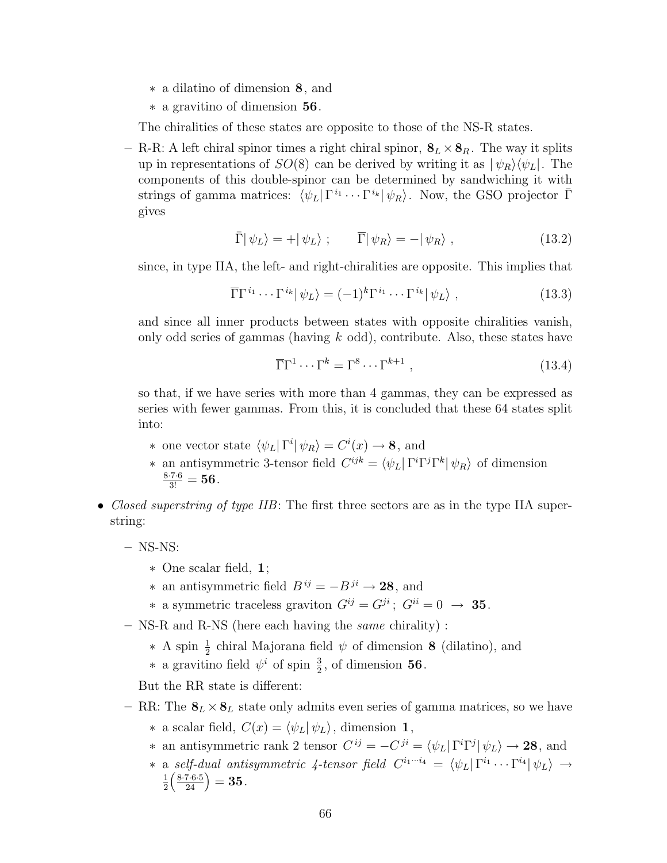- ∗ a dilatino of dimension 8, and
- ∗ a gravitino of dimension 56.

The chiralities of these states are opposite to those of the NS-R states.

– R-R: A left chiral spinor times a right chiral spinor,  $\mathbf{8}_L \times \mathbf{8}_R$ . The way it splits up in representations of  $SO(8)$  can be derived by writing it as  $|\psi_R\rangle\langle\psi_L|$ . The components of this double-spinor can be determined by sandwiching it with strings of gamma matrices:  $\langle \psi_L | \Gamma^{i_1} \cdots \Gamma^{i_k} | \psi_R \rangle$ . Now, the GSO projector  $\bar{\Gamma}$ gives

$$
\bar{\Gamma}|\,\psi_L\rangle = +|\,\psi_L\rangle \;;\qquad \bar{\Gamma}|\,\psi_R\rangle = -|\,\psi_R\rangle \;, \tag{13.2}
$$

since, in type IIA, the left- and right-chiralities are opposite. This implies that

$$
\overline{\Gamma}\Gamma^{i_1}\cdots\Gamma^{i_k}|\psi_L\rangle = (-1)^k\Gamma^{i_1}\cdots\Gamma^{i_k}|\psi_L\rangle ,\qquad (13.3)
$$

and since all inner products between states with opposite chiralities vanish, only odd series of gammas (having  $k$  odd), contribute. Also, these states have

$$
\overline{\Gamma}\Gamma^1 \cdots \Gamma^k = \Gamma^8 \cdots \Gamma^{k+1} \,, \tag{13.4}
$$

so that, if we have series with more than 4 gammas, they can be expressed as series with fewer gammas. From this, it is concluded that these 64 states split into:

- \* one vector state  $\langle \psi_L | \Gamma^i | \psi_R \rangle = C^i(x) \to \mathbf{8}$ , and
- \* an antisymmetric 3-tensor field  $C^{ijk} = \langle \psi_L | \Gamma^i \Gamma^j \Gamma^k | \psi_R \rangle$  of dimension  $\frac{8\cdot 7\cdot 6}{3!} = 56$  .
- Closed superstring of type IIB: The first three sectors are as in the type IIA superstring:
	- $-$  NS-NS:
		- ∗ One scalar field, 1;
		- ∗ an antisymmetric field  $B^{ij} = -B^{ji} \rightarrow 28$ , and
		- ∗ a symmetric traceless graviton  $G^{ij} = G^{ji}$ ;  $G^{ii} = 0 \rightarrow 35$ .
	- NS-R and R-NS (here each having the same chirality) :
		- ∗ A spin  $\frac{1}{2}$  chiral Majorana field  $ψ$  of dimension 8 (dilatino), and
		- ∗ a gravitino field  $\psi^i$  of spin  $\frac{3}{2}$ , of dimension 56.

But the RR state is different:

- RR: The  $\mathbf{8}_L \times \mathbf{8}_L$  state only admits even series of gamma matrices, so we have ∗ a scalar field,  $C(x) = \langle \psi_L | \psi_L \rangle$ , dimension 1,
	- \* an antisymmetric rank 2 tensor  $C^{ij} = -C^{ji} = \langle \psi_L | \Gamma^i \Gamma^j | \psi_L \rangle \rightarrow 28$ , and
	- \* a self-dual antisymmetric 4-tensor field  $C^{i_1\cdots i_4} = \langle \psi_L | \Gamma^{i_1} \cdots \Gamma^{i_4} | \psi_L \rangle \rightarrow$ 1 2 8·7·6·5  $\frac{7\cdot 6\cdot 5}{24}\Big) = 35$  .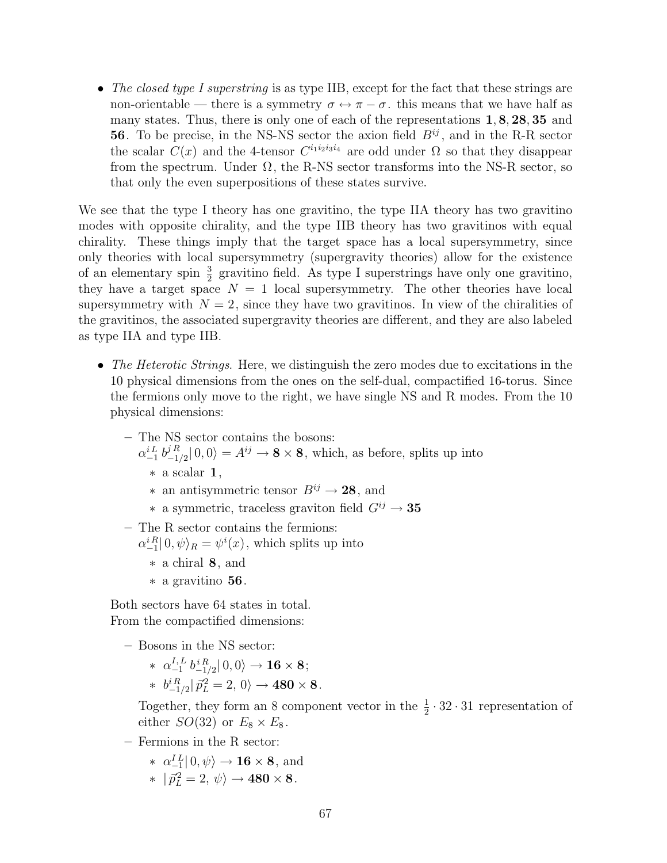• The closed type I superstring is as type IIB, except for the fact that these strings are non-orientable — there is a symmetry  $\sigma \leftrightarrow \pi - \sigma$ , this means that we have half as many states. Thus, there is only one of each of the representations 1, 8, 28, 35 and **56**. To be precise, in the NS-NS sector the axion field  $B^{ij}$ , and in the R-R sector the scalar  $C(x)$  and the 4-tensor  $C^{i_1 i_2 i_3 i_4}$  are odd under  $\Omega$  so that they disappear from the spectrum. Under  $\Omega$ , the R-NS sector transforms into the NS-R sector, so that only the even superpositions of these states survive.

We see that the type I theory has one gravitino, the type IIA theory has two gravitino modes with opposite chirality, and the type IIB theory has two gravitinos with equal chirality. These things imply that the target space has a local supersymmetry, since only theories with local supersymmetry (supergravity theories) allow for the existence of an elementary spin  $\frac{3}{2}$  gravitino field. As type I superstrings have only one gravitino, they have a target space  $N = 1$  local supersymmetry. The other theories have local supersymmetry with  $N = 2$ , since they have two gravitinos. In view of the chiralities of the gravitinos, the associated supergravity theories are different, and they are also labeled as type IIA and type IIB.

- The Heterotic Strings. Here, we distinguish the zero modes due to excitations in the 10 physical dimensions from the ones on the self-dual, compactified 16-torus. Since the fermions only move to the right, we have single NS and R modes. From the 10 physical dimensions:
	- The NS sector contains the bosons:  $\alpha^{i\,L}_{-1} \, b^{j\,R}_{-1}$  $j_{-1/2}^{jR} |0,0\rangle = A^{ij} \rightarrow 8 \times 8$ , which, as before, splits up into ∗ a scalar 1,  $∗$  an antisymmetric tensor  $B^{ij}$  → 28, and  $∗$  a symmetric, traceless graviton field  $G^{ij} \rightarrow 35$
	- The R sector contains the fermions:  $\alpha_{-1}^{iR} | 0, \psi \rangle_R = \psi^i(x)$ , which splits up into
		- ∗ a chiral 8, and
		- ∗ a gravitino 56.

Both sectors have 64 states in total. From the compactified dimensions:

- Bosons in the NS sector:
	- \*  $\alpha^{I,L}_{-1}$  $_{-1}^{I,\,L}$   $b_{-1/2}^{i\,R}|\,0,0\rangle\rightarrow {\bf 16}\times {\bf 8};$  $* \;\; b^{i\,R}_{-1/2} |\, \vec{p}^{\,2}_{L} = 2, \, 0 \rangle \rightarrow 480 \times 8 \, .$

Together, they form an 8 component vector in the  $\frac{1}{2} \cdot 32 \cdot 31$  representation of either  $SO(32)$  or  $E_8 \times E_8$ .

- Fermions in the R sector:
	- $*\;\; \alpha_{-1}^{IL}| \, 0, \psi \rangle \rightarrow {\bf 16} \times {\bf 8}, \textrm{ and}$  $*$   $|\vec{p}_L^2=2, \psi\rangle \rightarrow 480 \times 8.$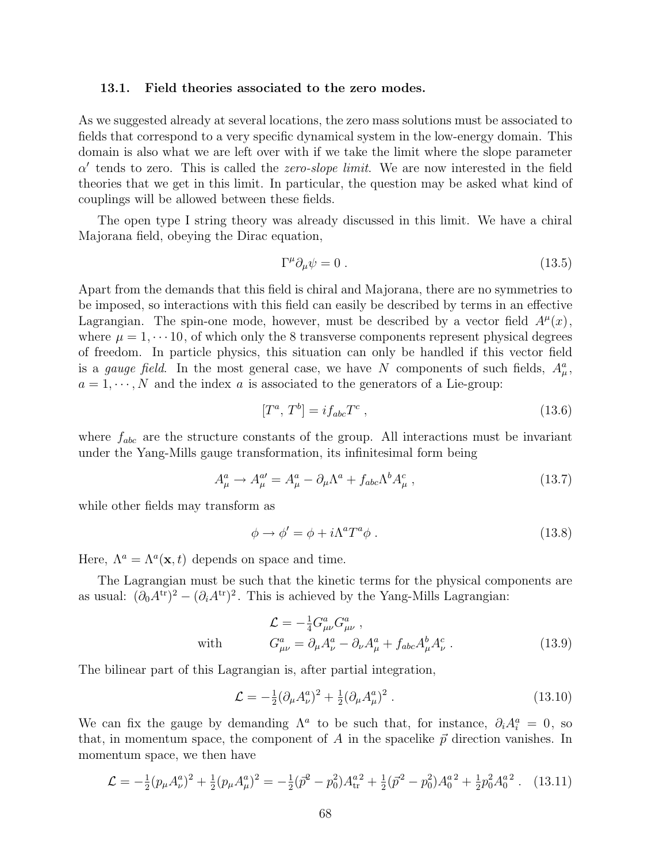#### 13.1. Field theories associated to the zero modes.

As we suggested already at several locations, the zero mass solutions must be associated to fields that correspond to a very specific dynamical system in the low-energy domain. This domain is also what we are left over with if we take the limit where the slope parameter  $\alpha'$  tends to zero. This is called the *zero-slope limit*. We are now interested in the field theories that we get in this limit. In particular, the question may be asked what kind of couplings will be allowed between these fields.

The open type I string theory was already discussed in this limit. We have a chiral Majorana field, obeying the Dirac equation,

$$
\Gamma^{\mu}\partial_{\mu}\psi = 0. \qquad (13.5)
$$

Apart from the demands that this field is chiral and Majorana, there are no symmetries to be imposed, so interactions with this field can easily be described by terms in an effective Lagrangian. The spin-one mode, however, must be described by a vector field  $A^{\mu}(x)$ , where  $\mu = 1, \dots 10$ , of which only the 8 transverse components represent physical degrees of freedom. In particle physics, this situation can only be handled if this vector field is a *gauge field*. In the most general case, we have N components of such fields,  $A^a_\mu$ ,  $a = 1, \dots, N$  and the index a is associated to the generators of a Lie-group:

$$
[T^a, T^b] = i f_{abc} T^c \,, \tag{13.6}
$$

where  $f_{abc}$  are the structure constants of the group. All interactions must be invariant under the Yang-Mills gauge transformation, its infinitesimal form being

$$
A^a_\mu \to A^{a\prime}_\mu = A^a_\mu - \partial_\mu \Lambda^a + f_{abc} \Lambda^b A^c_\mu \,, \tag{13.7}
$$

while other fields may transform as

$$
\phi \to \phi' = \phi + i\Lambda^a T^a \phi \,. \tag{13.8}
$$

Here,  $\Lambda^a = \Lambda^a(\mathbf{x}, t)$  depends on space and time.

The Lagrangian must be such that the kinetic terms for the physical components are as usual:  $(\partial_0 A^{tr})^2 - (\partial_i A^{tr})^2$ . This is achieved by the Yang-Mills Lagrangian:

$$
\mathcal{L} = -\frac{1}{4} G_{\mu\nu}^a G_{\mu\nu}^a ,
$$
  
with 
$$
G_{\mu\nu}^a = \partial_\mu A_\nu^a - \partial_\nu A_\mu^a + f_{abc} A_\mu^b A_\nu^c .
$$
 (13.9)

The bilinear part of this Lagrangian is, after partial integration,

$$
\mathcal{L} = -\frac{1}{2} (\partial_{\mu} A_{\nu}^{a})^{2} + \frac{1}{2} (\partial_{\mu} A_{\mu}^{a})^{2} . \qquad (13.10)
$$

We can fix the gauge by demanding  $\Lambda^a$  to be such that, for instance,  $\partial_i A_i^a = 0$ , so that, in momentum space, the component of A in the spacelike  $\vec{p}$  direction vanishes. In momentum space, we then have

$$
\mathcal{L} = -\frac{1}{2}(p_{\mu}A_{\nu}^{a})^{2} + \frac{1}{2}(p_{\mu}A_{\mu}^{a})^{2} = -\frac{1}{2}(\vec{p}^{2} - p_{0}^{2})A_{\text{tr}}^{a} + \frac{1}{2}(\vec{p}^{2} - p_{0}^{2})A_{0}^{a} + \frac{1}{2}p_{0}^{2}A_{0}^{a}.
$$
 (13.11)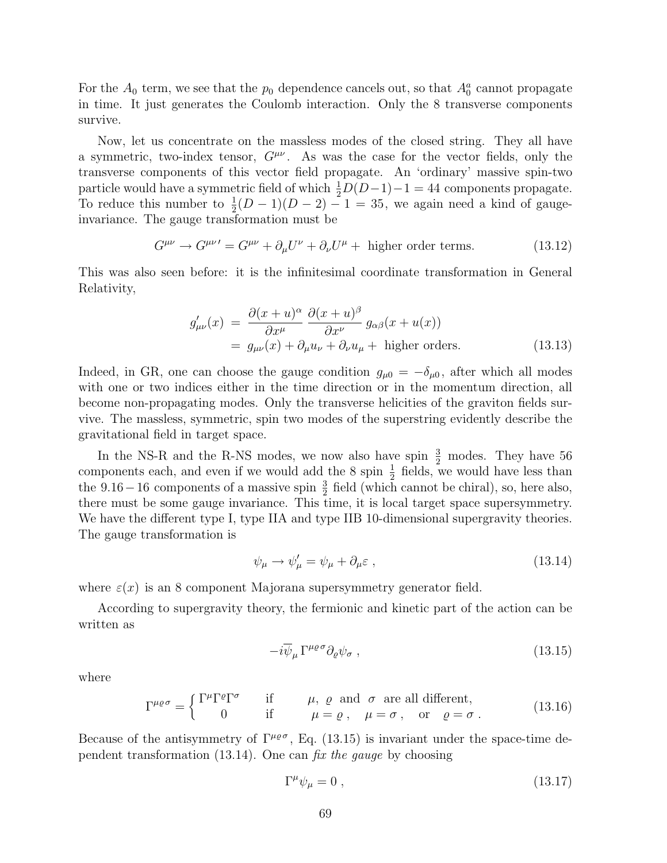For the  $A_0$  term, we see that the  $p_0$  dependence cancels out, so that  $A_0^a$  cannot propagate in time. It just generates the Coulomb interaction. Only the 8 transverse components survive.

Now, let us concentrate on the massless modes of the closed string. They all have a symmetric, two-index tensor,  $G^{\mu\nu}$ . As was the case for the vector fields, only the transverse components of this vector field propagate. An 'ordinary' massive spin-two particle would have a symmetric field of which  $\frac{1}{2}D(D-1)-1=44$  components propagate. To reduce this number to  $\frac{1}{2}(D-1)(D-2) - 1 = 35$ , we again need a kind of gaugeinvariance. The gauge transformation must be

$$
G^{\mu\nu} \to G^{\mu\nu\prime} = G^{\mu\nu} + \partial_{\mu}U^{\nu} + \partial_{\nu}U^{\mu} + \text{ higher order terms.} \tag{13.12}
$$

This was also seen before: it is the infinitesimal coordinate transformation in General Relativity,

$$
g'_{\mu\nu}(x) = \frac{\partial (x+u)^{\alpha}}{\partial x^{\mu}} \frac{\partial (x+u)^{\beta}}{\partial x^{\nu}} g_{\alpha\beta}(x+u(x))
$$
  
=  $g_{\mu\nu}(x) + \partial_{\mu}u_{\nu} + \partial_{\nu}u_{\mu} + \text{higher orders.}$  (13.13)

Indeed, in GR, one can choose the gauge condition  $g_{\mu 0} = -\delta_{\mu 0}$ , after which all modes with one or two indices either in the time direction or in the momentum direction, all become non-propagating modes. Only the transverse helicities of the graviton fields survive. The massless, symmetric, spin two modes of the superstring evidently describe the gravitational field in target space.

In the NS-R and the R-NS modes, we now also have spin  $\frac{3}{2}$  modes. They have 56 components each, and even if we would add the 8 spin  $\frac{1}{2}$  fields, we would have less than the  $9.16-16$  components of a massive spin  $\frac{3}{2}$  field (which cannot be chiral), so, here also, there must be some gauge invariance. This time, it is local target space supersymmetry. We have the different type I, type IIA and type IIB 10-dimensional supergravity theories. The gauge transformation is

$$
\psi_{\mu} \to \psi_{\mu}' = \psi_{\mu} + \partial_{\mu} \varepsilon , \qquad (13.14)
$$

where  $\varepsilon(x)$  is an 8 component Majorana supersymmetry generator field.

According to supergravity theory, the fermionic and kinetic part of the action can be written as

$$
-i\overline{\psi}_{\mu}\Gamma^{\mu\varrho\sigma}\partial_{\varrho}\psi_{\sigma}\,,\tag{13.15}
$$

where

$$
\Gamma^{\mu\rho\sigma} = \begin{cases} \Gamma^{\mu}\Gamma^{\rho}\Gamma^{\sigma} & \text{if} \qquad \mu, \varrho \text{ and } \sigma \text{ are all different,} \\ 0 & \text{if} \qquad \mu = \varrho, \quad \mu = \sigma, \quad \text{or} \quad \varrho = \sigma. \end{cases}
$$
 (13.16)

Because of the antisymmetry of  $\Gamma^{\mu\rho\sigma}$ , Eq. (13.15) is invariant under the space-time dependent transformation  $(13.14)$ . One can fix the gauge by choosing

$$
\Gamma^{\mu}\psi_{\mu} = 0 \tag{13.17}
$$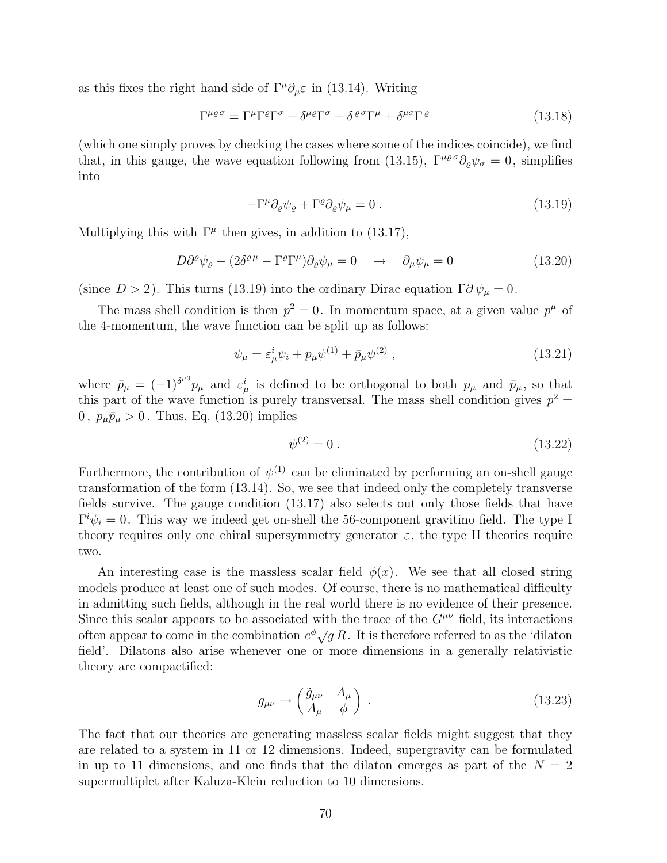as this fixes the right hand side of  $\Gamma^{\mu}\partial_{\mu}\varepsilon$  in (13.14). Writing

$$
\Gamma^{\mu\varrho\sigma} = \Gamma^{\mu}\Gamma^{\varrho}\Gamma^{\sigma} - \delta^{\mu\varrho}\Gamma^{\sigma} - \delta^{\varrho\sigma}\Gamma^{\mu} + \delta^{\mu\sigma}\Gamma^{\varrho}
$$
\n(13.18)

(which one simply proves by checking the cases where some of the indices coincide), we find that, in this gauge, the wave equation following from (13.15),  $\Gamma^{\mu\rho\sigma}\partial_{\rho}\psi_{\sigma} = 0$ , simplifies into

$$
-\Gamma^{\mu}\partial_{\varrho}\psi_{\varrho} + \Gamma^{\varrho}\partial_{\varrho}\psi_{\mu} = 0.
$$
 (13.19)

Multiplying this with  $\Gamma^{\mu}$  then gives, in addition to (13.17),

$$
D\partial^{\varrho}\psi_{\varrho} - (2\delta^{\varrho\mu} - \Gamma^{\varrho}\Gamma^{\mu})\partial_{\varrho}\psi_{\mu} = 0 \quad \to \quad \partial_{\mu}\psi_{\mu} = 0 \tag{13.20}
$$

(since  $D > 2$ ). This turns (13.19) into the ordinary Dirac equation  $\Gamma \partial \psi_{\mu} = 0$ .

The mass shell condition is then  $p^2 = 0$ . In momentum space, at a given value  $p^{\mu}$  of the 4-momentum, the wave function can be split up as follows:

$$
\psi_{\mu} = \varepsilon_{\mu}^{i} \psi_{i} + p_{\mu} \psi^{(1)} + \bar{p}_{\mu} \psi^{(2)} , \qquad (13.21)
$$

where  $\bar{p}_{\mu} = (-1)^{\delta^{\mu 0}} p_{\mu}$  and  $\varepsilon_{\mu}^{i}$  is defined to be orthogonal to both  $p_{\mu}$  and  $\bar{p}_{\mu}$ , so that this part of the wave function is purely transversal. The mass shell condition gives  $p^2 =$ 0,  $p_{\mu}\bar{p}_{\mu} > 0$ . Thus, Eq. (13.20) implies

$$
\psi^{(2)} = 0 \tag{13.22}
$$

Furthermore, the contribution of  $\psi^{(1)}$  can be eliminated by performing an on-shell gauge transformation of the form (13.14). So, we see that indeed only the completely transverse fields survive. The gauge condition (13.17) also selects out only those fields that have  $\Gamma^i \psi_i = 0$ . This way we indeed get on-shell the 56-component gravitino field. The type I theory requires only one chiral supersymmetry generator  $\varepsilon$ , the type II theories require two.

An interesting case is the massless scalar field  $\phi(x)$ . We see that all closed string models produce at least one of such modes. Of course, there is no mathematical difficulty in admitting such fields, although in the real world there is no evidence of their presence. Since this scalar appears to be associated with the trace of the  $G^{\mu\nu}$  field, its interactions often appear to come in the combination  $e^{\phi} \sqrt{g} R$ . It is therefore referred to as the 'dilaton field'. Dilatons also arise whenever one or more dimensions in a generally relativistic theory are compactified:

$$
g_{\mu\nu} \to \begin{pmatrix} \tilde{g}_{\mu\nu} & A_{\mu} \\ A_{\mu} & \phi \end{pmatrix} . \tag{13.23}
$$

The fact that our theories are generating massless scalar fields might suggest that they are related to a system in 11 or 12 dimensions. Indeed, supergravity can be formulated in up to 11 dimensions, and one finds that the dilaton emerges as part of the  $N = 2$ supermultiplet after Kaluza-Klein reduction to 10 dimensions.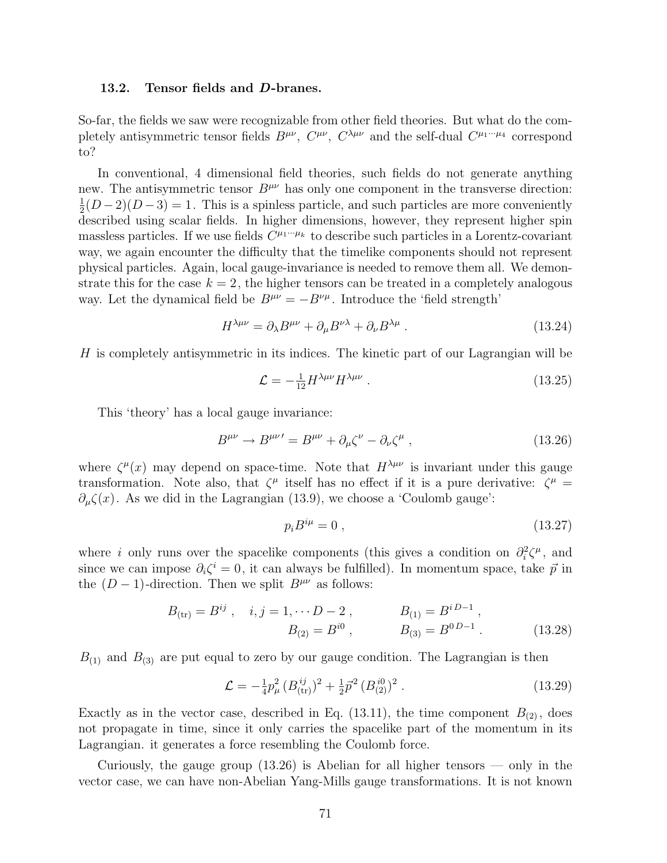#### 13.2. Tensor fields and D-branes.

So-far, the fields we saw were recognizable from other field theories. But what do the completely antisymmetric tensor fields  $B^{\mu\nu}$ ,  $C^{\mu\nu}$ ,  $C^{\lambda\mu\nu}$  and the self-dual  $C^{\mu_1\cdots\mu_4}$  correspond to?

In conventional, 4 dimensional field theories, such fields do not generate anything new. The antisymmetric tensor  $B^{\mu\nu}$  has only one component in the transverse direction: 1  $\frac{1}{2}(D-2)(D-3) = 1$ . This is a spinless particle, and such particles are more conveniently described using scalar fields. In higher dimensions, however, they represent higher spin massless particles. If we use fields  $C^{\mu_1\cdots\mu_k}$  to describe such particles in a Lorentz-covariant way, we again encounter the difficulty that the timelike components should not represent physical particles. Again, local gauge-invariance is needed to remove them all. We demonstrate this for the case  $k = 2$ , the higher tensors can be treated in a completely analogous way. Let the dynamical field be  $B^{\mu\nu} = -B^{\nu\mu}$ . Introduce the 'field strength'

$$
H^{\lambda\mu\nu} = \partial_{\lambda}B^{\mu\nu} + \partial_{\mu}B^{\nu\lambda} + \partial_{\nu}B^{\lambda\mu} \,. \tag{13.24}
$$

 $H$  is completely antisymmetric in its indices. The kinetic part of our Lagrangian will be

$$
\mathcal{L} = -\frac{1}{12} H^{\lambda \mu \nu} H^{\lambda \mu \nu} \tag{13.25}
$$

This 'theory' has a local gauge invariance:

$$
B^{\mu\nu} \to B^{\mu\nu\prime} = B^{\mu\nu} + \partial_{\mu}\zeta^{\nu} - \partial_{\nu}\zeta^{\mu} , \qquad (13.26)
$$

where  $\zeta^{\mu}(x)$  may depend on space-time. Note that  $H^{\lambda\mu\nu}$  is invariant under this gauge transformation. Note also, that  $\zeta^{\mu}$  itself has no effect if it is a pure derivative:  $\zeta^{\mu}$  =  $\partial_{\mu}\zeta(x)$ . As we did in the Lagrangian (13.9), we choose a 'Coulomb gauge':

$$
p_i B^{i\mu} = 0 \,, \tag{13.27}
$$

where i only runs over the spacelike components (this gives a condition on  $\partial_i^2 \zeta^\mu$ , and since we can impose  $\partial_i \zeta^i = 0$ , it can always be fulfilled). In momentum space, take  $\vec{p}$  in the  $(D-1)$ -direction. Then we split  $B^{\mu\nu}$  as follows:

$$
B_{\text{(tr)}} = B^{ij} , \quad i, j = 1, \cdots D - 2 , \qquad B_{(1)} = B^{iD-1} ,
$$
  

$$
B_{(2)} = B^{i0} , \qquad B_{(3)} = B^{0D-1} . \qquad (13.28)
$$

 $B_{(1)}$  and  $B_{(3)}$  are put equal to zero by our gauge condition. The Lagrangian is then

$$
\mathcal{L} = -\frac{1}{4}p_{\mu}^{2} \left( B_{\text{(tr)}}^{ij} \right)^{2} + \frac{1}{2}\vec{p}^{2} \left( B_{\text{(2)}}^{i0} \right)^{2} . \tag{13.29}
$$

Exactly as in the vector case, described in Eq. (13.11), the time component  $B_{(2)}$ , does not propagate in time, since it only carries the spacelike part of the momentum in its Lagrangian. it generates a force resembling the Coulomb force.

Curiously, the gauge group (13.26) is Abelian for all higher tensors — only in the vector case, we can have non-Abelian Yang-Mills gauge transformations. It is not known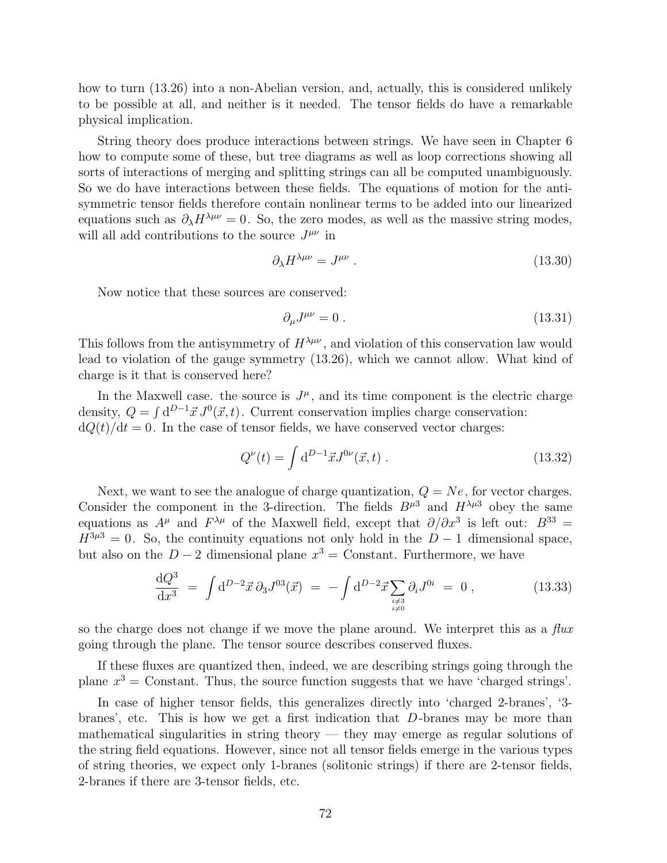how to turn (13.26) into a non-Abelian version, and, actually, this is considered unlikely to be possible at all, and neither is it needed. The tensor fields do have a remarkable physical implication.

String theory does produce interactions between strings. We have seen in Chapter 6 how to compute some of these, but tree diagrams as well as loop corrections showing all sorts of interactions of merging and splitting strings can all be computed unambiguously. So we do have interactions between these fields. The equations of motion for the antisymmetric tensor fields therefore contain nonlinear terms to be added into our linearized equations such as  $\partial_{\lambda}H^{\lambda\mu\nu}=0$ . So, the zero modes, as well as the massive string modes, will all add contributions to the source  $J^{\mu\nu}$  in

$$
\partial_{\lambda} H^{\lambda \mu \nu} = J^{\mu \nu} \ . \tag{13.30}
$$

Now notice that these sources are conserved:

$$
\partial_{\mu}J^{\mu\nu} = 0. \tag{13.31}
$$

This follows from the antisymmetry of  $H^{\lambda\mu\nu}$ , and violation of this conservation law would lead to violation of the gauge symmetry (13.26), which we cannot allow. What kind of charge is it that is conserved here?

In the Maxwell case, the source is  $J^{\mu}$ , and its time component is the electric charge density,  $Q = \int d^{D-1} \vec{x} J^0(\vec{x}, t)$ . Current conservation implies charge conservation:  $dQ(t)/dt = 0$ . In the case of tensor fields, we have conserved vector charges:

$$
Q^{\nu}(t) = \int d^{D-1}\vec{x}J^{0\nu}(\vec{x},t) \tag{13.32}
$$

Next, we want to see the analogue of charge quantization,  $Q = Ne$ , for vector charges. Consider the component in the 3-direction. The fields  $B^{\mu 3}$  and  $H^{\lambda\mu 3}$  obey the same equations as  $A^{\mu}$  and  $F^{\lambda\mu}$  of the Maxwell field, except that  $\partial/\partial x^3$  is left out:  $B^{33} =$  $H^{3\mu 3} = 0$ . So, the continuity equations not only hold in the  $D-1$  dimensional space, but also on the  $D-2$  dimensional plane  $x^3 =$  Constant. Furthermore, we have

$$
\frac{\mathrm{d}Q^3}{\mathrm{d}x^3} = \int \mathrm{d}^{D-2}\vec{x} \, \partial_3 J^{03}(\vec{x}) = -\int \mathrm{d}^{D-2}\vec{x} \sum_{\substack{i \neq 3 \\ i \neq 0}} \partial_i J^{0i} = 0 \,, \tag{13.33}
$$

so the charge does not change if we move the plane around. We interpret this as a  $flux$ going through the plane. The tensor source describes conserved fluxes.

If these fluxes are quantized then, indeed, we are describing strings going through the plane  $x^3$  = Constant. Thus, the source function suggests that we have 'charged strings'.

In case of higher tensor fields, this generalizes directly into 'charged 2-branes', '3 branes', etc. This is how we get a first indication that D-branes may be more than mathematical singularities in string theory  $-$  they may emerge as regular solutions of the string field equations. However, since not all tensor fields emerge in the various types of string theories, we expect only 1-branes (solitonic strings) if there are 2-tensor fields, 2-branes if there are 3-tensor fields, etc.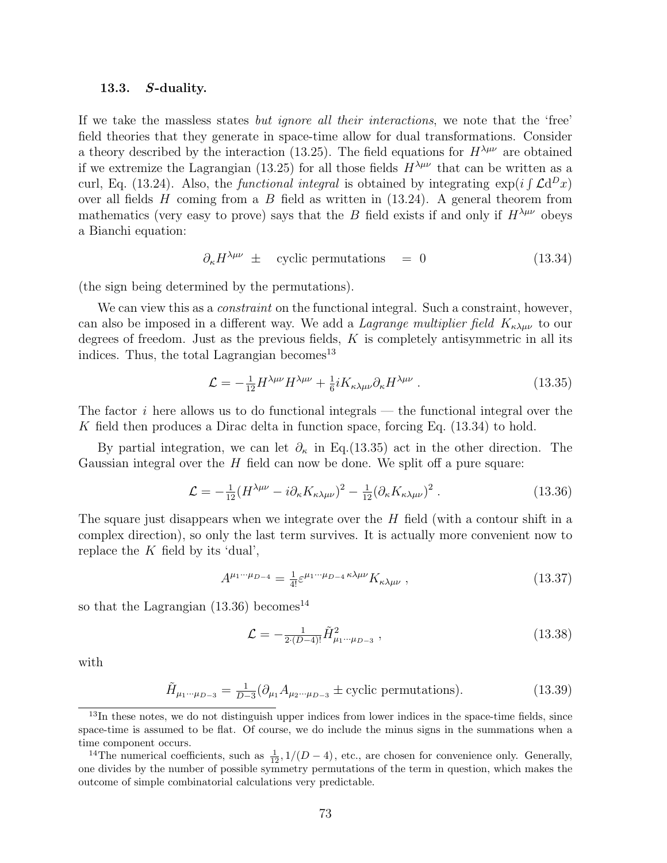## 13.3. S-duality.

If we take the massless states but ignore all their interactions, we note that the 'free' field theories that they generate in space-time allow for dual transformations. Consider a theory described by the interaction (13.25). The field equations for  $H^{\lambda\mu\nu}$  are obtained if we extremize the Lagrangian (13.25) for all those fields  $H^{\lambda\mu\nu}$  that can be written as a For the calculation of the functional integral is obtained by integrating  $\exp(i \int \mathcal{L} d^D x)$ over all fields  $H$  coming from a  $B$  field as written in (13.24). A general theorem from mathematics (very easy to prove) says that the B field exists if and only if  $H^{\lambda\mu\nu}$  obeys a Bianchi equation:

$$
\partial_{\kappa} H^{\lambda\mu\nu} \pm \text{ cyclic permutations} = 0 \tag{13.34}
$$

(the sign being determined by the permutations).

We can view this as a *constraint* on the functional integral. Such a constraint, however, can also be imposed in a different way. We add a *Lagrange multiplier field*  $K_{\kappa\lambda\mu\nu}$  to our degrees of freedom. Just as the previous fields,  $K$  is completely antisymmetric in all its indices. Thus, the total Lagrangian becomes  $13$ 

$$
\mathcal{L} = -\frac{1}{12} H^{\lambda\mu\nu} H^{\lambda\mu\nu} + \frac{1}{6} i K_{\kappa\lambda\mu\nu} \partial_{\kappa} H^{\lambda\mu\nu} \,. \tag{13.35}
$$

The factor  $i$  here allows us to do functional integrals — the functional integral over the K field then produces a Dirac delta in function space, forcing Eq.  $(13.34)$  to hold.

By partial integration, we can let  $\partial_{\kappa}$  in Eq.(13.35) act in the other direction. The Gaussian integral over the  $H$  field can now be done. We split off a pure square:

$$
\mathcal{L} = -\frac{1}{12} (H^{\lambda\mu\nu} - i \partial_{\kappa} K_{\kappa\lambda\mu\nu})^2 - \frac{1}{12} (\partial_{\kappa} K_{\kappa\lambda\mu\nu})^2. \tag{13.36}
$$

The square just disappears when we integrate over the  $H$  field (with a contour shift in a complex direction), so only the last term survives. It is actually more convenient now to replace the  $K$  field by its 'dual',

$$
A^{\mu_1\cdots\mu_{D-4}} = \frac{1}{4!} \varepsilon^{\mu_1\cdots\mu_{D-4}\kappa\lambda\mu\nu} K_{\kappa\lambda\mu\nu} , \qquad (13.37)
$$

so that the Lagrangian  $(13.36)$  becomes<sup>14</sup>

$$
\mathcal{L} = -\frac{1}{2(D-4)!} \tilde{H}^2_{\mu_1 \cdots \mu_{D-3}} , \qquad (13.38)
$$

with

$$
\tilde{H}_{\mu_1\cdots\mu_{D-3}} = \frac{1}{D-3} (\partial_{\mu_1} A_{\mu_2\cdots\mu_{D-3}} \pm \text{cyclic permutations}).
$$
\n(13.39)

<sup>&</sup>lt;sup>13</sup>In these notes, we do not distinguish upper indices from lower indices in the space-time fields, since space-time is assumed to be flat. Of course, we do include the minus signs in the summations when a time component occurs.

<sup>&</sup>lt;sup>14</sup>The numerical coefficients, such as  $\frac{1}{12}$ , 1/(D – 4), etc., are chosen for convenience only. Generally, one divides by the number of possible symmetry permutations of the term in question, which makes the outcome of simple combinatorial calculations very predictable.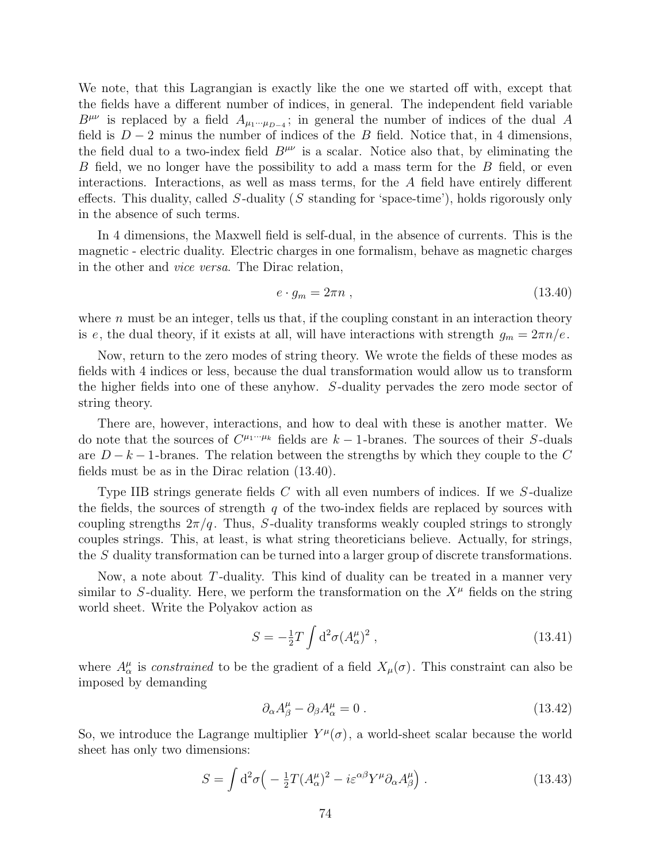We note, that this Lagrangian is exactly like the one we started off with, except that the fields have a different number of indices, in general. The independent field variable  $B^{\mu\nu}$  is replaced by a field  $A_{\mu_1\cdots\mu_{D-4}}$ ; in general the number of indices of the dual A field is  $D-2$  minus the number of indices of the B field. Notice that, in 4 dimensions, the field dual to a two-index field  $B^{\mu\nu}$  is a scalar. Notice also that, by eliminating the B field, we no longer have the possibility to add a mass term for the B field, or even interactions. Interactions, as well as mass terms, for the A field have entirely different effects. This duality, called  $S$ -duality (S standing for 'space-time'), holds rigorously only in the absence of such terms.

In 4 dimensions, the Maxwell field is self-dual, in the absence of currents. This is the magnetic - electric duality. Electric charges in one formalism, behave as magnetic charges in the other and vice versa. The Dirac relation,

$$
e \cdot g_m = 2\pi n \tag{13.40}
$$

where  $n$  must be an integer, tells us that, if the coupling constant in an interaction theory is e, the dual theory, if it exists at all, will have interactions with strength  $g_m = 2\pi n/e$ .

Now, return to the zero modes of string theory. We wrote the fields of these modes as fields with 4 indices or less, because the dual transformation would allow us to transform the higher fields into one of these anyhow. S-duality pervades the zero mode sector of string theory.

There are, however, interactions, and how to deal with these is another matter. We do note that the sources of  $C^{\mu_1\cdots\mu_k}$  fields are  $k-1$ -branes. The sources of their S-duals are  $D - k - 1$ -branes. The relation between the strengths by which they couple to the C fields must be as in the Dirac relation (13.40).

Type IIB strings generate fields C with all even numbers of indices. If we S-dualize the fields, the sources of strength  $q$  of the two-index fields are replaced by sources with coupling strengths  $2\pi/q$ . Thus, S-duality transforms weakly coupled strings to strongly couples strings. This, at least, is what string theoreticians believe. Actually, for strings, the S duality transformation can be turned into a larger group of discrete transformations.

Now, a note about  $T$ -duality. This kind of duality can be treated in a manner very similar to S-duality. Here, we perform the transformation on the  $X^{\mu}$  fields on the string world sheet. Write the Polyakov action as

$$
S = -\frac{1}{2}T \int d^2\sigma (A^{\mu}_{\alpha})^2 , \qquad (13.41)
$$

where  $A^{\mu}_{\alpha}$  is *constrained* to be the gradient of a field  $X_{\mu}(\sigma)$ . This constraint can also be imposed by demanding

$$
\partial_{\alpha}A^{\mu}_{\beta} - \partial_{\beta}A^{\mu}_{\alpha} = 0. \qquad (13.42)
$$

So, we introduce the Lagrange multiplier  $Y^{\mu}(\sigma)$ , a world-sheet scalar because the world sheet has only two dimensions:

$$
S = \int d^2 \sigma \left( -\frac{1}{2} T (A^{\mu}_{\alpha})^2 - i \varepsilon^{\alpha \beta} Y^{\mu} \partial_{\alpha} A^{\mu}_{\beta} \right). \tag{13.43}
$$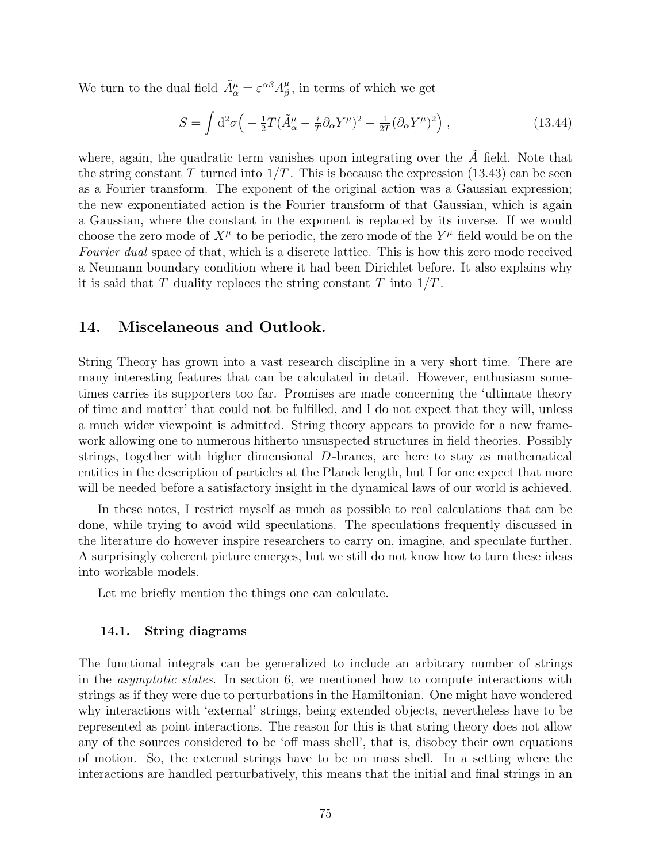We turn to the dual field  $\tilde{A}^{\mu}_{\alpha} = \varepsilon^{\alpha \beta} A^{\mu}_{\beta}$  $\frac{\mu}{\beta}$ , in terms of which we get

$$
S = \int d^2 \sigma \left( -\frac{1}{2} T (\tilde{A}^{\mu}_{\alpha} - \frac{i}{T} \partial_{\alpha} Y^{\mu})^2 - \frac{1}{2T} (\partial_{\alpha} Y^{\mu})^2 \right), \qquad (13.44)
$$

where, again, the quadratic term vanishes upon integrating over the  $\tilde{A}$  field. Note that the string constant T turned into  $1/T$ . This is because the expression (13.43) can be seen as a Fourier transform. The exponent of the original action was a Gaussian expression; the new exponentiated action is the Fourier transform of that Gaussian, which is again a Gaussian, where the constant in the exponent is replaced by its inverse. If we would choose the zero mode of  $X^{\mu}$  to be periodic, the zero mode of the  $Y^{\mu}$  field would be on the Fourier dual space of that, which is a discrete lattice. This is how this zero mode received a Neumann boundary condition where it had been Dirichlet before. It also explains why it is said that T duality replaces the string constant T into  $1/T$ .

# 14. Miscelaneous and Outlook.

String Theory has grown into a vast research discipline in a very short time. There are many interesting features that can be calculated in detail. However, enthusiasm sometimes carries its supporters too far. Promises are made concerning the 'ultimate theory of time and matter' that could not be fulfilled, and I do not expect that they will, unless a much wider viewpoint is admitted. String theory appears to provide for a new framework allowing one to numerous hitherto unsuspected structures in field theories. Possibly strings, together with higher dimensional  $D$ -branes, are here to stay as mathematical entities in the description of particles at the Planck length, but I for one expect that more will be needed before a satisfactory insight in the dynamical laws of our world is achieved.

In these notes, I restrict myself as much as possible to real calculations that can be done, while trying to avoid wild speculations. The speculations frequently discussed in the literature do however inspire researchers to carry on, imagine, and speculate further. A surprisingly coherent picture emerges, but we still do not know how to turn these ideas into workable models.

Let me briefly mention the things one can calculate.

# 14.1. String diagrams

The functional integrals can be generalized to include an arbitrary number of strings in the asymptotic states. In section 6, we mentioned how to compute interactions with strings as if they were due to perturbations in the Hamiltonian. One might have wondered why interactions with 'external' strings, being extended objects, nevertheless have to be represented as point interactions. The reason for this is that string theory does not allow any of the sources considered to be 'off mass shell', that is, disobey their own equations of motion. So, the external strings have to be on mass shell. In a setting where the interactions are handled perturbatively, this means that the initial and final strings in an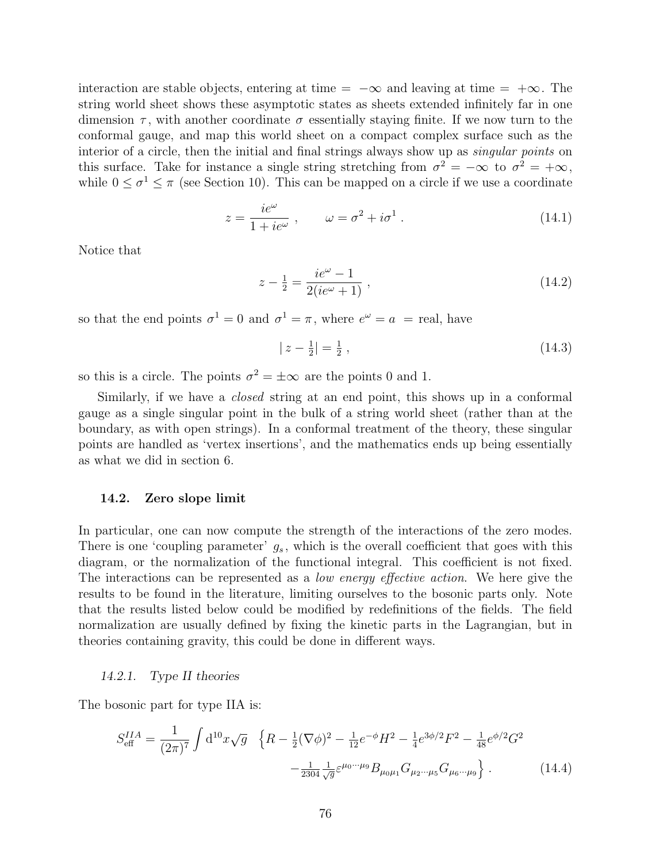interaction are stable objects, entering at time =  $-\infty$  and leaving at time =  $+\infty$ . The string world sheet shows these asymptotic states as sheets extended infinitely far in one dimension  $\tau$ , with another coordinate  $\sigma$  essentially staying finite. If we now turn to the conformal gauge, and map this world sheet on a compact complex surface such as the interior of a circle, then the initial and final strings always show up as *singular points* on this surface. Take for instance a single string stretching from  $\sigma^2 = -\infty$  to  $\sigma^2 = +\infty$ , while  $0 \le \sigma^1 \le \pi$  (see Section 10). This can be mapped on a circle if we use a coordinate

$$
z = \frac{ie^{\omega}}{1 + ie^{\omega}}, \qquad \omega = \sigma^2 + i\sigma^1. \tag{14.1}
$$

Notice that

$$
z - \frac{1}{2} = \frac{ie^{\omega} - 1}{2(ie^{\omega} + 1)} , \qquad (14.2)
$$

so that the end points  $\sigma^1 = 0$  and  $\sigma^1 = \pi$ , where  $e^{\omega} = a$  = real, have

$$
|z - \frac{1}{2}| = \frac{1}{2},\tag{14.3}
$$

so this is a circle. The points  $\sigma^2 = \pm \infty$  are the points 0 and 1.

Similarly, if we have a *closed* string at an end point, this shows up in a conformal gauge as a single singular point in the bulk of a string world sheet (rather than at the boundary, as with open strings). In a conformal treatment of the theory, these singular points are handled as 'vertex insertions', and the mathematics ends up being essentially as what we did in section 6.

## 14.2. Zero slope limit

In particular, one can now compute the strength of the interactions of the zero modes. There is one 'coupling parameter'  $g_s$ , which is the overall coefficient that goes with this diagram, or the normalization of the functional integral. This coefficient is not fixed. The interactions can be represented as a *low energy effective action*. We here give the results to be found in the literature, limiting ourselves to the bosonic parts only. Note that the results listed below could be modified by redefinitions of the fields. The field normalization are usually defined by fixing the kinetic parts in the Lagrangian, but in theories containing gravity, this could be done in different ways.

## 14.2.1. Type II theories

The bosonic part for type IIA is:

$$
S_{\text{eff}}^{IIA} = \frac{1}{(2\pi)^7} \int \mathrm{d}^{10} x \sqrt{g} \quad \left\{ R - \frac{1}{2} (\nabla \phi)^2 - \frac{1}{12} e^{-\phi} H^2 - \frac{1}{4} e^{3\phi/2} F^2 - \frac{1}{48} e^{\phi/2} G^2 - \frac{1}{2304} \frac{1}{\sqrt{g}} \varepsilon^{\mu_0 \cdots \mu_9} B_{\mu_0 \mu_1} G_{\mu_2 \cdots \mu_5} G_{\mu_6 \cdots \mu_9} \right\}.
$$
 (14.4)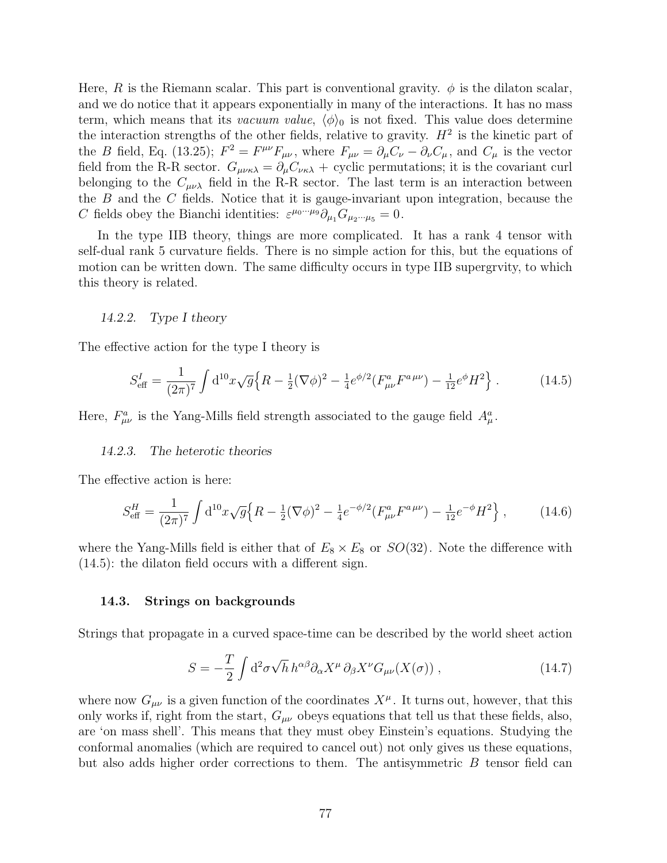Here, R is the Riemann scalar. This part is conventional gravity.  $\phi$  is the dilaton scalar, and we do notice that it appears exponentially in many of the interactions. It has no mass term, which means that its vacuum value,  $\langle \phi \rangle_0$  is not fixed. This value does determine the interaction strengths of the other fields, relative to gravity.  $H^2$  is the kinetic part of the B field, Eq. (13.25);  $F^2 = F^{\mu\nu}F_{\mu\nu}$ , where  $F_{\mu\nu} = \partial_{\mu}C_{\nu} - \partial_{\nu}C_{\mu}$ , and  $C_{\mu}$  is the vector field from the R-R sector.  $G_{\mu\nu\kappa\lambda} = \partial_{\mu} C_{\nu\kappa\lambda} +$  cyclic permutations; it is the covariant curl belonging to the  $C_{\mu\nu\lambda}$  field in the R-R sector. The last term is an interaction between the  $B$  and the  $C$  fields. Notice that it is gauge-invariant upon integration, because the C fields obey the Bianchi identities:  $\varepsilon^{\mu_0\cdots\mu_9}\partial_{\mu_1}G_{\mu_2\cdots\mu_5}=0.$ 

In the type IIB theory, things are more complicated. It has a rank 4 tensor with self-dual rank 5 curvature fields. There is no simple action for this, but the equations of motion can be written down. The same difficulty occurs in type IIB supergrvity, to which this theory is related.

# 14.2.2. Type I theory

The effective action for the type I theory is

$$
S_{\text{eff}}^{I} = \frac{1}{(2\pi)^{7}} \int d^{10}x \sqrt{g} \Big\{ R - \frac{1}{2} (\nabla \phi)^{2} - \frac{1}{4} e^{\phi/2} (F_{\mu\nu}^{a} F^{a\,\mu\nu}) - \frac{1}{12} e^{\phi} H^{2} \Big\} \ . \tag{14.5}
$$

Here,  $F^a_{\mu\nu}$  is the Yang-Mills field strength associated to the gauge field  $A^a_\mu$ .

#### 14.2.3. The heterotic theories

The effective action is here:

$$
S_{\text{eff}}^{H} = \frac{1}{(2\pi)^{7}} \int d^{10}x \sqrt{g} \Big\{ R - \frac{1}{2} (\nabla \phi)^{2} - \frac{1}{4} e^{-\phi/2} (F_{\mu\nu}^{a} F^{a\,\mu\nu}) - \frac{1}{12} e^{-\phi} H^{2} \Big\} \,, \tag{14.6}
$$

where the Yang-Mills field is either that of  $E_8 \times E_8$  or  $SO(32)$ . Note the difference with (14.5): the dilaton field occurs with a different sign.

#### 14.3. Strings on backgrounds

Strings that propagate in a curved space-time can be described by the world sheet action

$$
S = -\frac{T}{2} \int d^2 \sigma \sqrt{h} \, h^{\alpha \beta} \partial_\alpha X^\mu \, \partial_\beta X^\nu G_{\mu\nu}(X(\sigma)) \,, \tag{14.7}
$$

where now  $G_{\mu\nu}$  is a given function of the coordinates  $X^{\mu}$ . It turns out, however, that this only works if, right from the start,  $G_{\mu\nu}$  obeys equations that tell us that these fields, also, are 'on mass shell'. This means that they must obey Einstein's equations. Studying the conformal anomalies (which are required to cancel out) not only gives us these equations, but also adds higher order corrections to them. The antisymmetric  $B$  tensor field can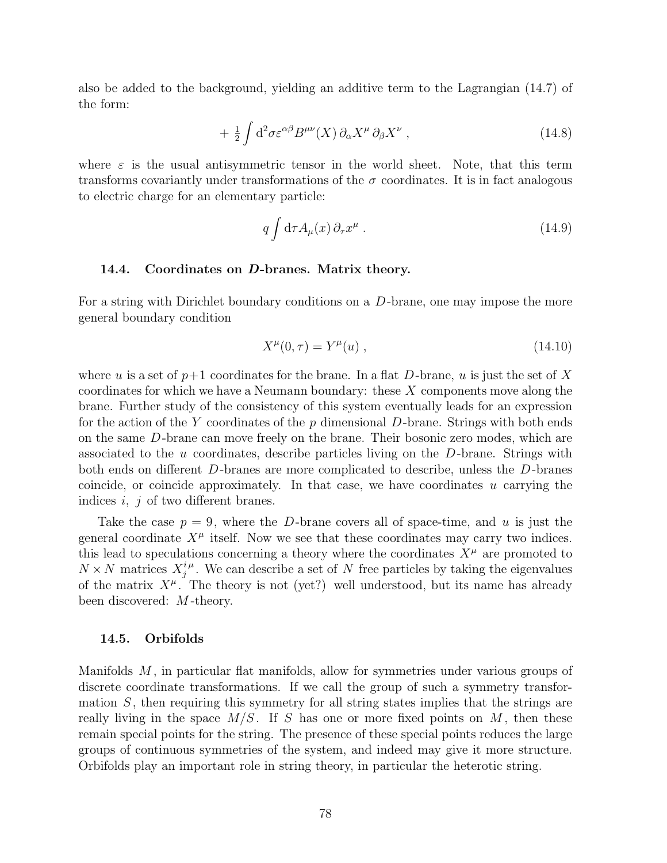also be added to the background, yielding an additive term to the Lagrangian (14.7) of the form:

$$
+ \frac{1}{2} \int d^2 \sigma \varepsilon^{\alpha \beta} B^{\mu \nu}(X) \, \partial_{\alpha} X^{\mu} \, \partial_{\beta} X^{\nu} \;, \tag{14.8}
$$

where  $\varepsilon$  is the usual antisymmetric tensor in the world sheet. Note, that this term transforms covariantly under transformations of the  $\sigma$  coordinates. It is in fact analogous to electric charge for an elementary particle:

$$
q \int d\tau A_{\mu}(x) \partial_{\tau} x^{\mu} . \tag{14.9}
$$

# 14.4. Coordinates on D-branes. Matrix theory.

For a string with Dirichlet boundary conditions on a D-brane, one may impose the more general boundary condition

$$
X^{\mu}(0,\tau) = Y^{\mu}(u) , \qquad (14.10)
$$

where u is a set of  $p+1$  coordinates for the brane. In a flat D-brane, u is just the set of X coordinates for which we have a Neumann boundary: these  $X$  components move along the brane. Further study of the consistency of this system eventually leads for an expression for the action of the Y coordinates of the p dimensional D-brane. Strings with both ends on the same D-brane can move freely on the brane. Their bosonic zero modes, which are associated to the u coordinates, describe particles living on the  $D$ -brane. Strings with both ends on different D-branes are more complicated to describe, unless the D-branes coincide, or coincide approximately. In that case, we have coordinates  $u$  carrying the indices  $i, j$  of two different branes.

Take the case  $p = 9$ , where the D-brane covers all of space-time, and u is just the general coordinate  $X^{\mu}$  itself. Now we see that these coordinates may carry two indices. this lead to speculations concerning a theory where the coordinates  $X^{\mu}$  are promoted to  $N \times N$  matrices  $X_i^{i\mu}$  $i^{\mu}_{j}$ . We can describe a set of N free particles by taking the eigenvalues of the matrix  $X^{\mu}$ . The theory is not (yet?) well understood, but its name has already been discovered: M -theory.

#### 14.5. Orbifolds

Manifolds M , in particular flat manifolds, allow for symmetries under various groups of discrete coordinate transformations. If we call the group of such a symmetry transformation  $S$ , then requiring this symmetry for all string states implies that the strings are really living in the space  $M/S$ . If S has one or more fixed points on M, then these remain special points for the string. The presence of these special points reduces the large groups of continuous symmetries of the system, and indeed may give it more structure. Orbifolds play an important role in string theory, in particular the heterotic string.